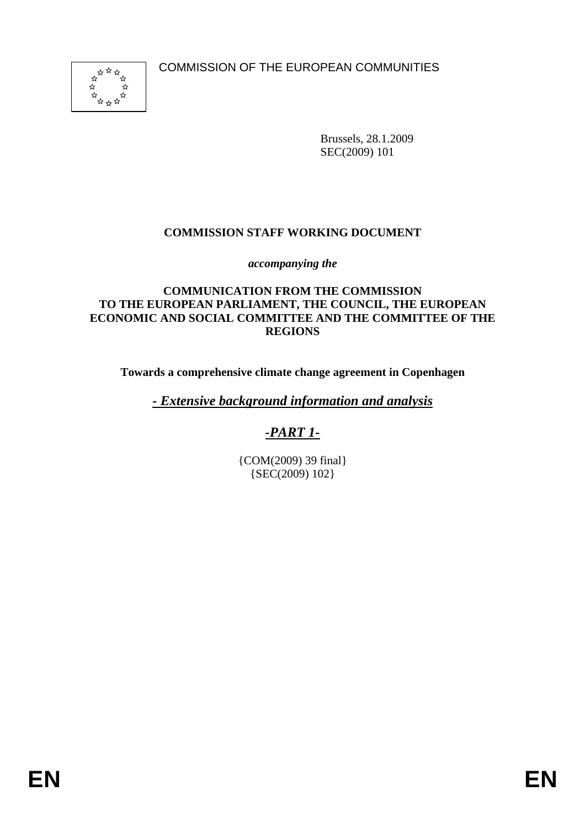COMMISSION OF THE EUROPEAN COMMUNITIES



Brussels, 28.1.2009 SEC(2009) 101

## **COMMISSION STAFF WORKING DOCUMENT**

*accompanying the* 

#### **COMMUNICATION FROM THE COMMISSION TO THE EUROPEAN PARLIAMENT, THE COUNCIL, THE EUROPEAN ECONOMIC AND SOCIAL COMMITTEE AND THE COMMITTEE OF THE REGIONS**

**Towards a comprehensive climate change agreement in Copenhagen** 

*- Extensive background information and analysis*

# *-PART 1-*

{COM(2009) 39 final} {SEC(2009) 102}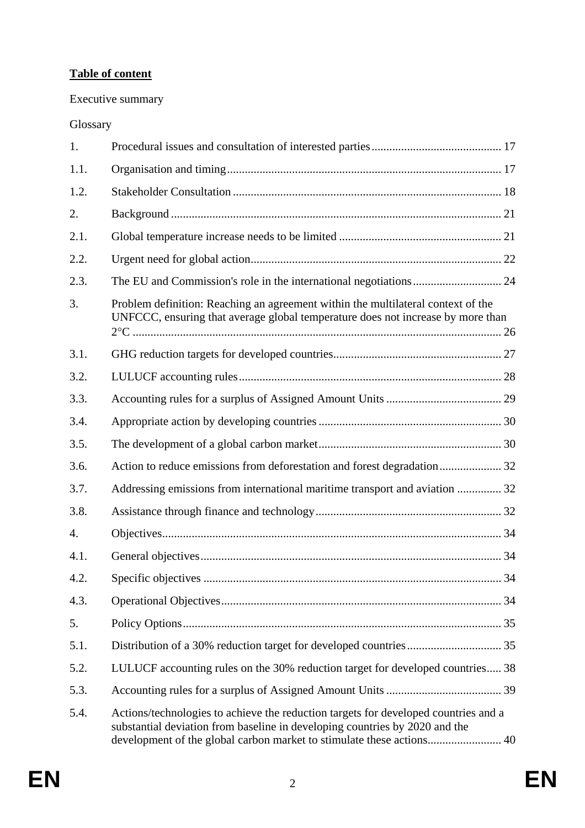# **Table of content**

# Executive summary

# Glossary

| 1.               |                                                                                                                                                                                                                                             |  |
|------------------|---------------------------------------------------------------------------------------------------------------------------------------------------------------------------------------------------------------------------------------------|--|
| 1.1.             |                                                                                                                                                                                                                                             |  |
| 1.2.             |                                                                                                                                                                                                                                             |  |
| 2.               |                                                                                                                                                                                                                                             |  |
| 2.1.             |                                                                                                                                                                                                                                             |  |
| 2.2.             |                                                                                                                                                                                                                                             |  |
| 2.3.             |                                                                                                                                                                                                                                             |  |
| 3.               | Problem definition: Reaching an agreement within the multilateral context of the<br>UNFCCC, ensuring that average global temperature does not increase by more than                                                                         |  |
| 3.1.             |                                                                                                                                                                                                                                             |  |
| 3.2.             |                                                                                                                                                                                                                                             |  |
| 3.3.             |                                                                                                                                                                                                                                             |  |
| 3.4.             |                                                                                                                                                                                                                                             |  |
| 3.5.             |                                                                                                                                                                                                                                             |  |
| 3.6.             | Action to reduce emissions from deforestation and forest degradation 32                                                                                                                                                                     |  |
| 3.7.             | Addressing emissions from international maritime transport and aviation  32                                                                                                                                                                 |  |
| 3.8.             |                                                                                                                                                                                                                                             |  |
| $\overline{4}$ . |                                                                                                                                                                                                                                             |  |
| 4.1.             |                                                                                                                                                                                                                                             |  |
| 4.2.             |                                                                                                                                                                                                                                             |  |
| 4.3.             |                                                                                                                                                                                                                                             |  |
| 5.               |                                                                                                                                                                                                                                             |  |
| 5.1.             |                                                                                                                                                                                                                                             |  |
| 5.2.             | LULUCF accounting rules on the 30% reduction target for developed countries 38                                                                                                                                                              |  |
| 5.3.             |                                                                                                                                                                                                                                             |  |
| 5.4.             | Actions/technologies to achieve the reduction targets for developed countries and a<br>substantial deviation from baseline in developing countries by 2020 and the<br>development of the global carbon market to stimulate these actions 40 |  |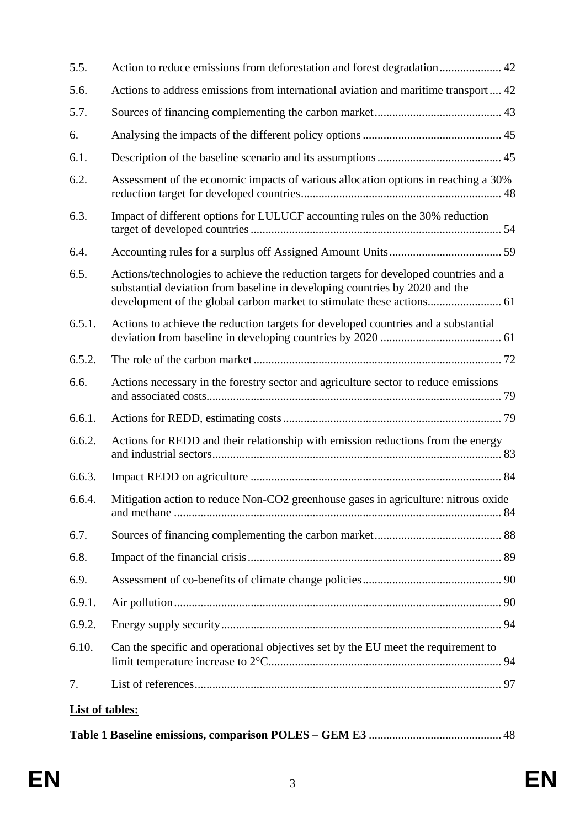| 5.5.                   | Action to reduce emissions from deforestation and forest degradation 42                                                                                            |
|------------------------|--------------------------------------------------------------------------------------------------------------------------------------------------------------------|
| 5.6.                   | Actions to address emissions from international aviation and maritime transport 42                                                                                 |
| 5.7.                   |                                                                                                                                                                    |
| 6.                     |                                                                                                                                                                    |
| 6.1.                   |                                                                                                                                                                    |
| 6.2.                   | Assessment of the economic impacts of various allocation options in reaching a 30%                                                                                 |
| 6.3.                   | Impact of different options for LULUCF accounting rules on the 30% reduction                                                                                       |
| 6.4.                   |                                                                                                                                                                    |
| 6.5.                   | Actions/technologies to achieve the reduction targets for developed countries and a<br>substantial deviation from baseline in developing countries by 2020 and the |
| 6.5.1.                 | Actions to achieve the reduction targets for developed countries and a substantial                                                                                 |
| 6.5.2.                 |                                                                                                                                                                    |
| 6.6.                   | Actions necessary in the forestry sector and agriculture sector to reduce emissions                                                                                |
| 6.6.1.                 |                                                                                                                                                                    |
| 6.6.2.                 | Actions for REDD and their relationship with emission reductions from the energy                                                                                   |
| 6.6.3.                 |                                                                                                                                                                    |
| 6.6.4.                 | Mitigation action to reduce Non-CO2 greenhouse gases in agriculture: nitrous oxide                                                                                 |
| 6.7.                   |                                                                                                                                                                    |
| 6.8.                   |                                                                                                                                                                    |
| 6.9.                   |                                                                                                                                                                    |
| 6.9.1.                 |                                                                                                                                                                    |
| 6.9.2.                 |                                                                                                                                                                    |
| 6.10.                  | Can the specific and operational objectives set by the EU meet the requirement to                                                                                  |
| 7.                     |                                                                                                                                                                    |
| <b>List of tables:</b> |                                                                                                                                                                    |
|                        |                                                                                                                                                                    |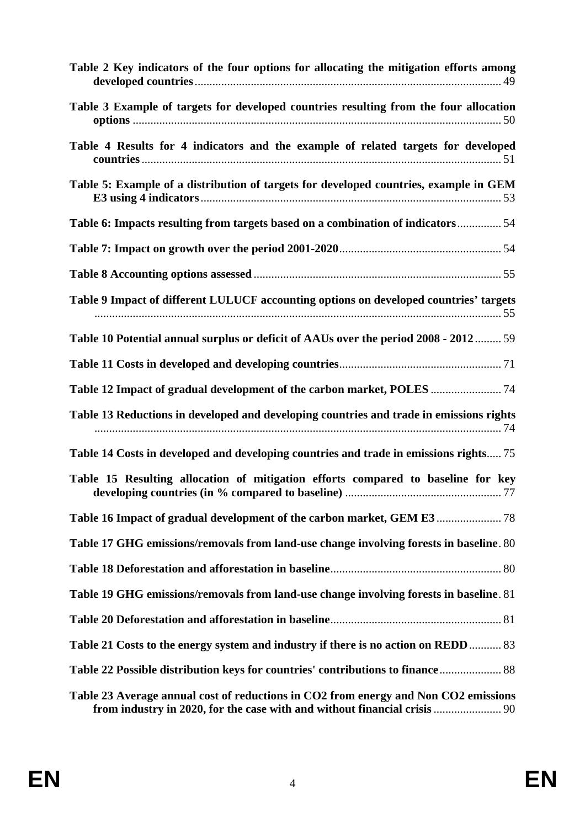| Table 2 Key indicators of the four options for allocating the mitigation efforts among                                                                           |
|------------------------------------------------------------------------------------------------------------------------------------------------------------------|
| Table 3 Example of targets for developed countries resulting from the four allocation                                                                            |
| Table 4 Results for 4 indicators and the example of related targets for developed                                                                                |
| Table 5: Example of a distribution of targets for developed countries, example in GEM                                                                            |
| Table 6: Impacts resulting from targets based on a combination of indicators54                                                                                   |
|                                                                                                                                                                  |
|                                                                                                                                                                  |
| Table 9 Impact of different LULUCF accounting options on developed countries' targets                                                                            |
| Table 10 Potential annual surplus or deficit of AAUs over the period 2008 - 2012 59                                                                              |
|                                                                                                                                                                  |
|                                                                                                                                                                  |
| Table 13 Reductions in developed and developing countries and trade in emissions rights                                                                          |
| Table 14 Costs in developed and developing countries and trade in emissions rights 75                                                                            |
| Table 15 Resulting allocation of mitigation efforts compared to baseline for key                                                                                 |
|                                                                                                                                                                  |
| Table 17 GHG emissions/removals from land-use change involving forests in baseline. 80                                                                           |
|                                                                                                                                                                  |
| Table 19 GHG emissions/removals from land-use change involving forests in baseline. 81                                                                           |
|                                                                                                                                                                  |
| Table 21 Costs to the energy system and industry if there is no action on REDD 83                                                                                |
| Table 22 Possible distribution keys for countries' contributions to finance 88                                                                                   |
| Table 23 Average annual cost of reductions in CO2 from energy and Non CO2 emissions<br>from industry in 2020, for the case with and without financial crisis  90 |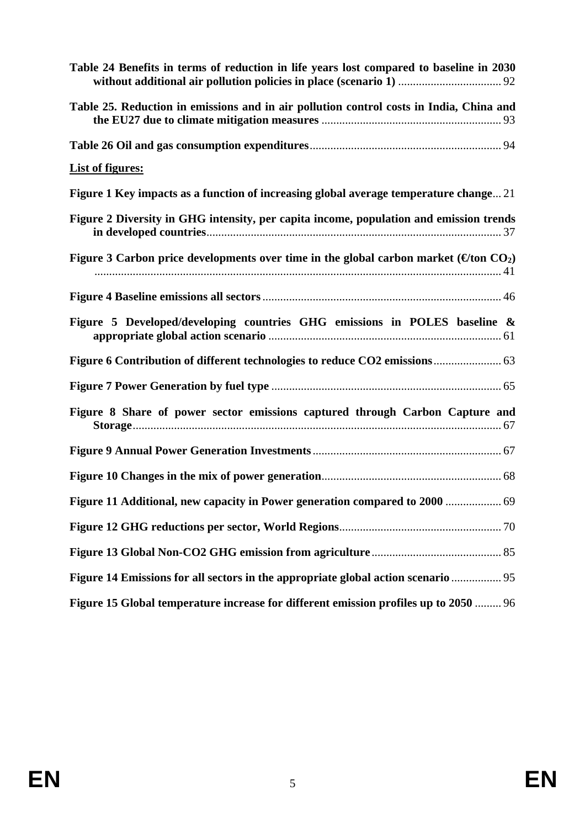| Table 24 Benefits in terms of reduction in life years lost compared to baseline in 2030                   |
|-----------------------------------------------------------------------------------------------------------|
| Table 25. Reduction in emissions and in air pollution control costs in India, China and                   |
|                                                                                                           |
| <b>List of figures:</b>                                                                                   |
| Figure 1 Key impacts as a function of increasing global average temperature change 21                     |
| Figure 2 Diversity in GHG intensity, per capita income, population and emission trends                    |
| Figure 3 Carbon price developments over time in the global carbon market ( $\Theta$ ton CO <sub>2</sub> ) |
|                                                                                                           |
| Figure 5 Developed/developing countries GHG emissions in POLES baseline &                                 |
|                                                                                                           |
|                                                                                                           |
| Figure 8 Share of power sector emissions captured through Carbon Capture and                              |
|                                                                                                           |
|                                                                                                           |
| Figure 11 Additional, new capacity in Power generation compared to 2000  69                               |
|                                                                                                           |
|                                                                                                           |
| Figure 14 Emissions for all sectors in the appropriate global action scenario                             |
| Figure 15 Global temperature increase for different emission profiles up to 2050  96                      |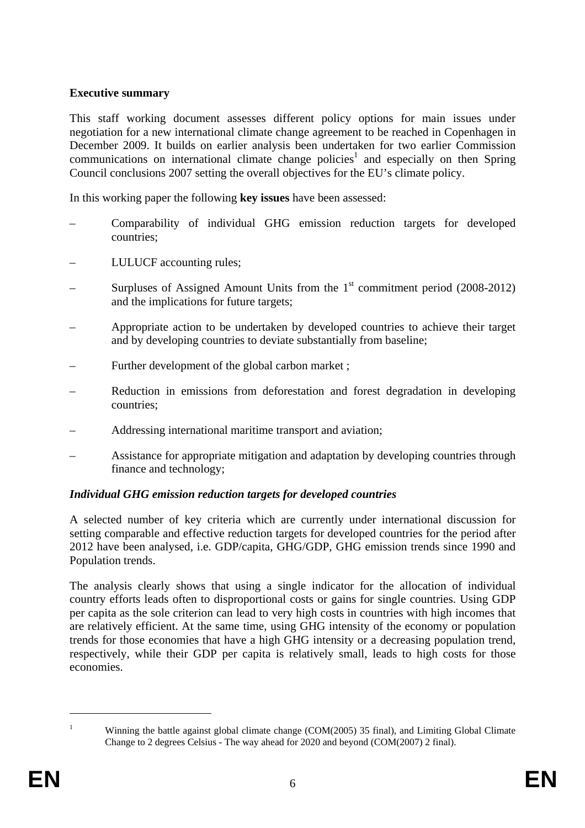## **Executive summary**

This staff working document assesses different policy options for main issues under negotiation for a new international climate change agreement to be reached in Copenhagen in December 2009. It builds on earlier analysis been undertaken for two earlier Commission communications on international climate change policies<sup>1</sup> and especially on then Spring Council conclusions 2007 setting the overall objectives for the EU's climate policy.

In this working paper the following **key issues** have been assessed:

- Comparability of individual GHG emission reduction targets for developed countries;
- LULUCF accounting rules;
- Surpluses of Assigned Amount Units from the  $1<sup>st</sup>$  commitment period (2008-2012) and the implications for future targets;
- Appropriate action to be undertaken by developed countries to achieve their target and by developing countries to deviate substantially from baseline;
- Further development of the global carbon market;
- Reduction in emissions from deforestation and forest degradation in developing countries;
- Addressing international maritime transport and aviation;
- Assistance for appropriate mitigation and adaptation by developing countries through finance and technology;

## *Individual GHG emission reduction targets for developed countries*

A selected number of key criteria which are currently under international discussion for setting comparable and effective reduction targets for developed countries for the period after 2012 have been analysed, i.e. GDP/capita, GHG/GDP, GHG emission trends since 1990 and Population trends.

The analysis clearly shows that using a single indicator for the allocation of individual country efforts leads often to disproportional costs or gains for single countries. Using GDP per capita as the sole criterion can lead to very high costs in countries with high incomes that are relatively efficient. At the same time, using GHG intensity of the economy or population trends for those economies that have a high GHG intensity or a decreasing population trend, respectively, while their GDP per capita is relatively small, leads to high costs for those economies.

Winning the battle against global climate change (COM(2005) 35 final), and Limiting Global Climate Change to 2 degrees Celsius - The way ahead for 2020 and beyond (COM(2007) 2 final).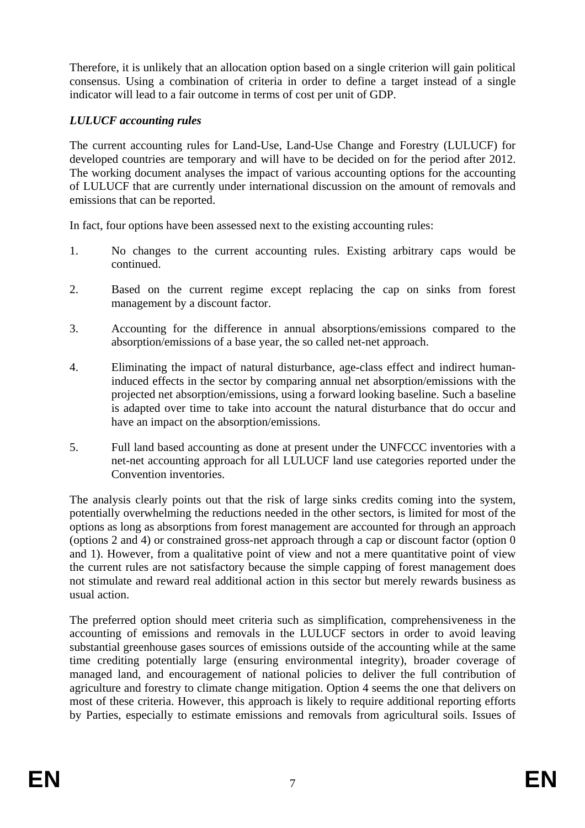Therefore, it is unlikely that an allocation option based on a single criterion will gain political consensus. Using a combination of criteria in order to define a target instead of a single indicator will lead to a fair outcome in terms of cost per unit of GDP.

## *LULUCF accounting rules*

The current accounting rules for Land-Use, Land-Use Change and Forestry (LULUCF) for developed countries are temporary and will have to be decided on for the period after 2012. The working document analyses the impact of various accounting options for the accounting of LULUCF that are currently under international discussion on the amount of removals and emissions that can be reported.

In fact, four options have been assessed next to the existing accounting rules:

- 1. No changes to the current accounting rules. Existing arbitrary caps would be continued.
- 2. Based on the current regime except replacing the cap on sinks from forest management by a discount factor.
- 3. Accounting for the difference in annual absorptions/emissions compared to the absorption/emissions of a base year, the so called net-net approach.
- 4. Eliminating the impact of natural disturbance, age-class effect and indirect humaninduced effects in the sector by comparing annual net absorption/emissions with the projected net absorption/emissions, using a forward looking baseline. Such a baseline is adapted over time to take into account the natural disturbance that do occur and have an impact on the absorption/emissions.
- 5. Full land based accounting as done at present under the UNFCCC inventories with a net-net accounting approach for all LULUCF land use categories reported under the Convention inventories.

The analysis clearly points out that the risk of large sinks credits coming into the system, potentially overwhelming the reductions needed in the other sectors, is limited for most of the options as long as absorptions from forest management are accounted for through an approach (options 2 and 4) or constrained gross-net approach through a cap or discount factor (option 0 and 1). However, from a qualitative point of view and not a mere quantitative point of view the current rules are not satisfactory because the simple capping of forest management does not stimulate and reward real additional action in this sector but merely rewards business as usual action.

The preferred option should meet criteria such as simplification, comprehensiveness in the accounting of emissions and removals in the LULUCF sectors in order to avoid leaving substantial greenhouse gases sources of emissions outside of the accounting while at the same time crediting potentially large (ensuring environmental integrity), broader coverage of managed land, and encouragement of national policies to deliver the full contribution of agriculture and forestry to climate change mitigation. Option 4 seems the one that delivers on most of these criteria. However, this approach is likely to require additional reporting efforts by Parties, especially to estimate emissions and removals from agricultural soils. Issues of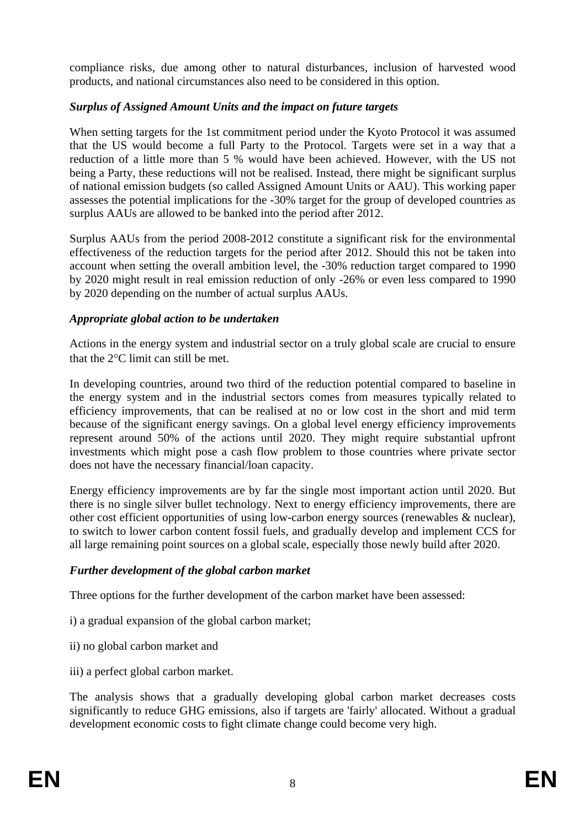compliance risks, due among other to natural disturbances, inclusion of harvested wood products, and national circumstances also need to be considered in this option.

## *Surplus of Assigned Amount Units and the impact on future targets*

When setting targets for the 1st commitment period under the Kyoto Protocol it was assumed that the US would become a full Party to the Protocol. Targets were set in a way that a reduction of a little more than 5 % would have been achieved. However, with the US not being a Party, these reductions will not be realised. Instead, there might be significant surplus of national emission budgets (so called Assigned Amount Units or AAU). This working paper assesses the potential implications for the -30% target for the group of developed countries as surplus AAUs are allowed to be banked into the period after 2012.

Surplus AAUs from the period 2008-2012 constitute a significant risk for the environmental effectiveness of the reduction targets for the period after 2012. Should this not be taken into account when setting the overall ambition level, the -30% reduction target compared to 1990 by 2020 might result in real emission reduction of only -26% or even less compared to 1990 by 2020 depending on the number of actual surplus AAUs.

## *Appropriate global action to be undertaken*

Actions in the energy system and industrial sector on a truly global scale are crucial to ensure that the 2°C limit can still be met.

In developing countries, around two third of the reduction potential compared to baseline in the energy system and in the industrial sectors comes from measures typically related to efficiency improvements, that can be realised at no or low cost in the short and mid term because of the significant energy savings. On a global level energy efficiency improvements represent around 50% of the actions until 2020. They might require substantial upfront investments which might pose a cash flow problem to those countries where private sector does not have the necessary financial/loan capacity.

Energy efficiency improvements are by far the single most important action until 2020. But there is no single silver bullet technology. Next to energy efficiency improvements, there are other cost efficient opportunities of using low-carbon energy sources (renewables & nuclear), to switch to lower carbon content fossil fuels, and gradually develop and implement CCS for all large remaining point sources on a global scale, especially those newly build after 2020.

## *Further development of the global carbon market*

Three options for the further development of the carbon market have been assessed:

- i) a gradual expansion of the global carbon market;
- ii) no global carbon market and
- iii) a perfect global carbon market.

The analysis shows that a gradually developing global carbon market decreases costs significantly to reduce GHG emissions, also if targets are 'fairly' allocated. Without a gradual development economic costs to fight climate change could become very high.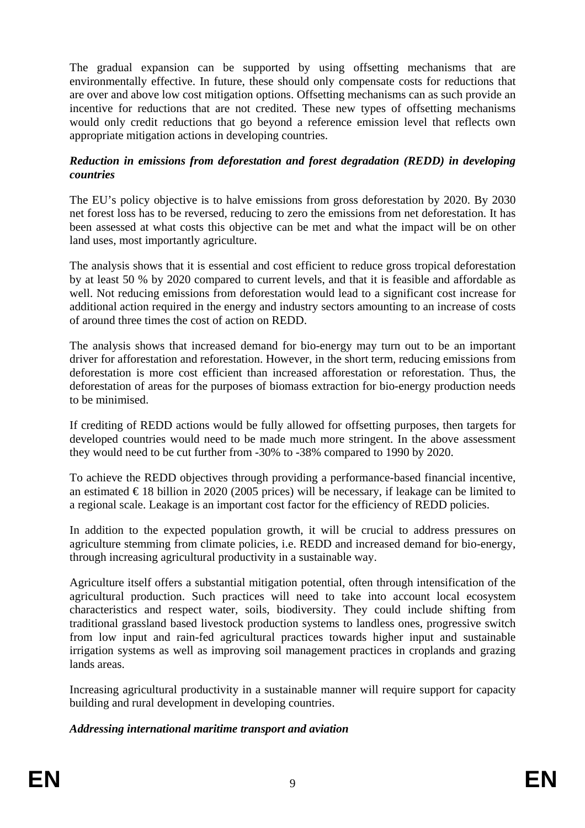The gradual expansion can be supported by using offsetting mechanisms that are environmentally effective. In future, these should only compensate costs for reductions that are over and above low cost mitigation options. Offsetting mechanisms can as such provide an incentive for reductions that are not credited. These new types of offsetting mechanisms would only credit reductions that go beyond a reference emission level that reflects own appropriate mitigation actions in developing countries.

#### *Reduction in emissions from deforestation and forest degradation (REDD) in developing countries*

The EU's policy objective is to halve emissions from gross deforestation by 2020. By 2030 net forest loss has to be reversed, reducing to zero the emissions from net deforestation. It has been assessed at what costs this objective can be met and what the impact will be on other land uses, most importantly agriculture.

The analysis shows that it is essential and cost efficient to reduce gross tropical deforestation by at least 50 % by 2020 compared to current levels, and that it is feasible and affordable as well. Not reducing emissions from deforestation would lead to a significant cost increase for additional action required in the energy and industry sectors amounting to an increase of costs of around three times the cost of action on REDD.

The analysis shows that increased demand for bio-energy may turn out to be an important driver for afforestation and reforestation. However, in the short term, reducing emissions from deforestation is more cost efficient than increased afforestation or reforestation. Thus, the deforestation of areas for the purposes of biomass extraction for bio-energy production needs to be minimised.

If crediting of REDD actions would be fully allowed for offsetting purposes, then targets for developed countries would need to be made much more stringent. In the above assessment they would need to be cut further from -30% to -38% compared to 1990 by 2020.

To achieve the REDD objectives through providing a performance-based financial incentive, an estimated  $\epsilon$ 18 billion in 2020 (2005 prices) will be necessary, if leakage can be limited to a regional scale. Leakage is an important cost factor for the efficiency of REDD policies.

In addition to the expected population growth, it will be crucial to address pressures on agriculture stemming from climate policies, i.e. REDD and increased demand for bio-energy, through increasing agricultural productivity in a sustainable way.

Agriculture itself offers a substantial mitigation potential, often through intensification of the agricultural production. Such practices will need to take into account local ecosystem characteristics and respect water, soils, biodiversity. They could include shifting from traditional grassland based livestock production systems to landless ones, progressive switch from low input and rain-fed agricultural practices towards higher input and sustainable irrigation systems as well as improving soil management practices in croplands and grazing lands areas.

Increasing agricultural productivity in a sustainable manner will require support for capacity building and rural development in developing countries.

## *Addressing international maritime transport and aviation*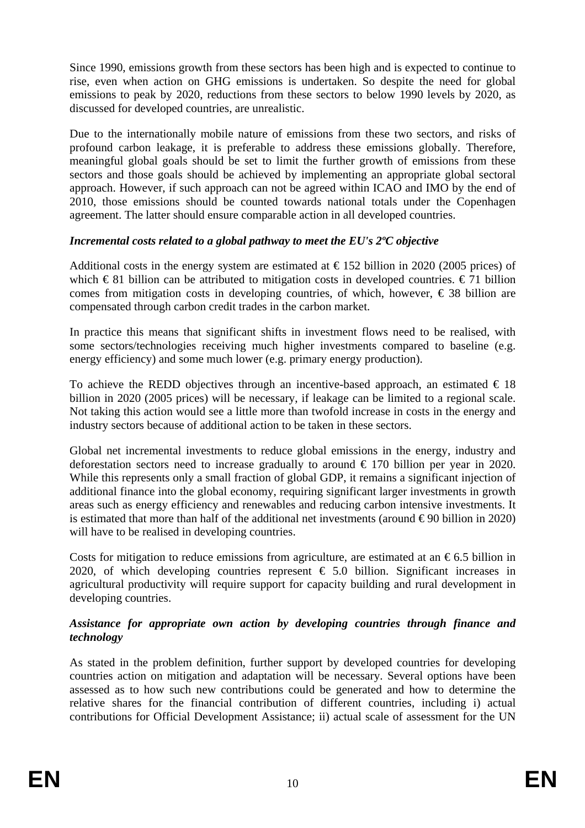Since 1990, emissions growth from these sectors has been high and is expected to continue to rise, even when action on GHG emissions is undertaken. So despite the need for global emissions to peak by 2020, reductions from these sectors to below 1990 levels by 2020, as discussed for developed countries, are unrealistic.

Due to the internationally mobile nature of emissions from these two sectors, and risks of profound carbon leakage, it is preferable to address these emissions globally. Therefore, meaningful global goals should be set to limit the further growth of emissions from these sectors and those goals should be achieved by implementing an appropriate global sectoral approach. However, if such approach can not be agreed within ICAO and IMO by the end of 2010, those emissions should be counted towards national totals under the Copenhagen agreement. The latter should ensure comparable action in all developed countries.

## *Incremental costs related to a global pathway to meet the EU's 2ºC objective*

Additional costs in the energy system are estimated at  $\epsilon$ 152 billion in 2020 (2005 prices) of which  $\in$  81 billion can be attributed to mitigation costs in developed countries.  $\in$  71 billion comes from mitigation costs in developing countries, of which, however,  $\epsilon$  38 billion are compensated through carbon credit trades in the carbon market.

In practice this means that significant shifts in investment flows need to be realised, with some sectors/technologies receiving much higher investments compared to baseline (e.g. energy efficiency) and some much lower (e.g. primary energy production).

To achieve the REDD objectives through an incentive-based approach, an estimated  $\in$  18 billion in 2020 (2005 prices) will be necessary, if leakage can be limited to a regional scale. Not taking this action would see a little more than twofold increase in costs in the energy and industry sectors because of additional action to be taken in these sectors.

Global net incremental investments to reduce global emissions in the energy, industry and deforestation sectors need to increase gradually to around  $\epsilon$  170 billion per year in 2020. While this represents only a small fraction of global GDP, it remains a significant injection of additional finance into the global economy, requiring significant larger investments in growth areas such as energy efficiency and renewables and reducing carbon intensive investments. It is estimated that more than half of the additional net investments (around  $\epsilon$ 90 billion in 2020) will have to be realised in developing countries.

Costs for mitigation to reduce emissions from agriculture, are estimated at an  $\epsilon$ 6.5 billion in 2020, of which developing countries represent  $\epsilon$  5.0 billion. Significant increases in agricultural productivity will require support for capacity building and rural development in developing countries.

## *Assistance for appropriate own action by developing countries through finance and technology*

As stated in the problem definition, further support by developed countries for developing countries action on mitigation and adaptation will be necessary. Several options have been assessed as to how such new contributions could be generated and how to determine the relative shares for the financial contribution of different countries, including i) actual contributions for Official Development Assistance; ii) actual scale of assessment for the UN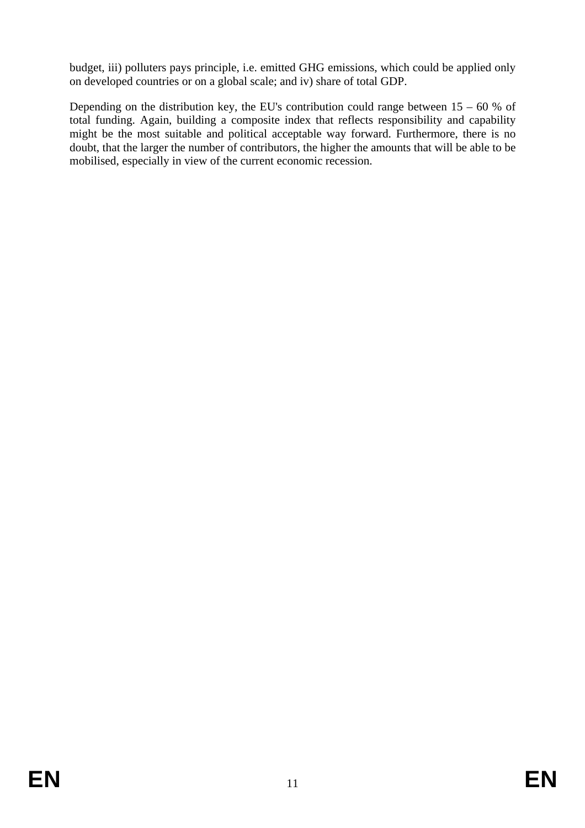budget, iii) polluters pays principle, i.e. emitted GHG emissions, which could be applied only on developed countries or on a global scale; and iv) share of total GDP.

Depending on the distribution key, the EU's contribution could range between  $15 - 60$  % of total funding. Again, building a composite index that reflects responsibility and capability might be the most suitable and political acceptable way forward. Furthermore, there is no doubt, that the larger the number of contributors, the higher the amounts that will be able to be mobilised, especially in view of the current economic recession.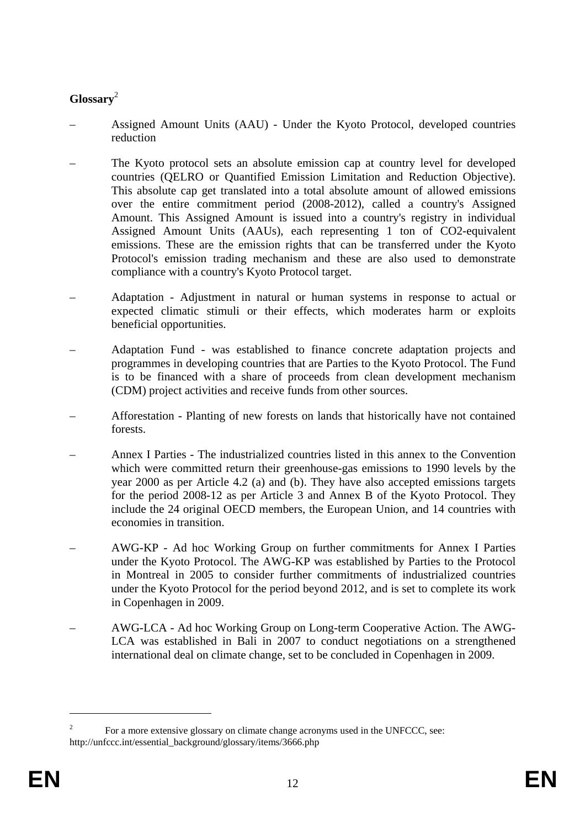# **Glossary**<sup>2</sup>

- Assigned Amount Units (AAU) Under the Kyoto Protocol, developed countries reduction
- The Kyoto protocol sets an absolute emission cap at country level for developed countries (QELRO or Quantified Emission Limitation and Reduction Objective). This absolute cap get translated into a total absolute amount of allowed emissions over the entire commitment period (2008-2012), called a country's Assigned Amount. This Assigned Amount is issued into a country's registry in individual Assigned Amount Units (AAUs), each representing 1 ton of CO2-equivalent emissions. These are the emission rights that can be transferred under the Kyoto Protocol's emission trading mechanism and these are also used to demonstrate compliance with a country's Kyoto Protocol target.
- Adaptation Adjustment in natural or human systems in response to actual or expected climatic stimuli or their effects, which moderates harm or exploits beneficial opportunities.
- Adaptation Fund was established to finance concrete adaptation projects and programmes in developing countries that are Parties to the Kyoto Protocol. The Fund is to be financed with a share of proceeds from clean development mechanism (CDM) project activities and receive funds from other sources.
- Afforestation Planting of new forests on lands that historically have not contained forests.
- Annex I Parties The industrialized countries listed in this annex to the Convention which were committed return their greenhouse-gas emissions to 1990 levels by the year 2000 as per Article 4.2 (a) and (b). They have also accepted emissions targets for the period 2008-12 as per Article 3 and Annex B of the Kyoto Protocol. They include the 24 original OECD members, the European Union, and 14 countries with economies in transition.
- AWG-KP Ad hoc Working Group on further commitments for Annex I Parties under the Kyoto Protocol. The AWG-KP was established by Parties to the Protocol in Montreal in 2005 to consider further commitments of industrialized countries under the Kyoto Protocol for the period beyond 2012, and is set to complete its work in Copenhagen in 2009.
- AWG-LCA Ad hoc Working Group on Long-term Cooperative Action. The AWG-LCA was established in Bali in 2007 to conduct negotiations on a strengthened international deal on climate change, set to be concluded in Copenhagen in 2009.

<sup>2</sup> For a more extensive glossary on climate change acronyms used in the UNFCCC, see: http://unfccc.int/essential\_background/glossary/items/3666.php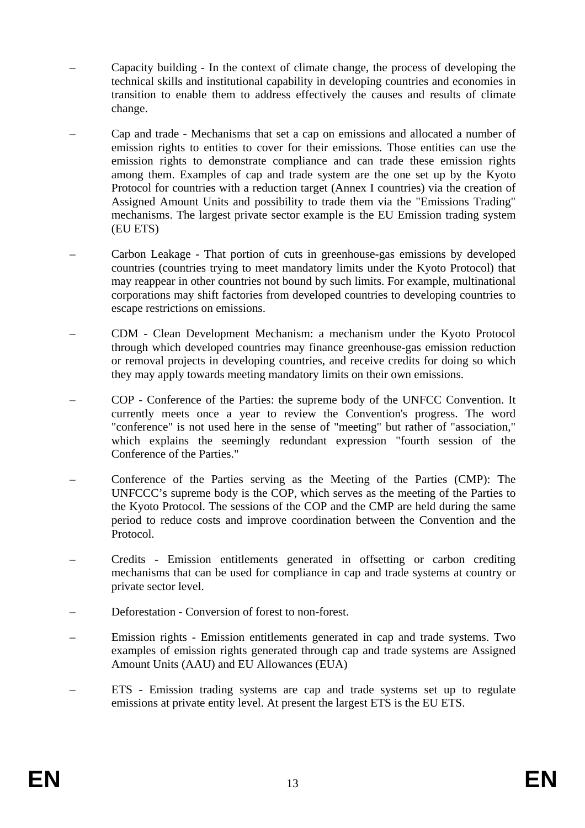- Capacity building In the context of climate change, the process of developing the technical skills and institutional capability in developing countries and economies in transition to enable them to address effectively the causes and results of climate change.
- Cap and trade Mechanisms that set a cap on emissions and allocated a number of emission rights to entities to cover for their emissions. Those entities can use the emission rights to demonstrate compliance and can trade these emission rights among them. Examples of cap and trade system are the one set up by the Kyoto Protocol for countries with a reduction target (Annex I countries) via the creation of Assigned Amount Units and possibility to trade them via the "Emissions Trading" mechanisms. The largest private sector example is the EU Emission trading system (EU ETS)
- Carbon Leakage That portion of cuts in greenhouse-gas emissions by developed countries (countries trying to meet mandatory limits under the Kyoto Protocol) that may reappear in other countries not bound by such limits. For example, multinational corporations may shift factories from developed countries to developing countries to escape restrictions on emissions.
- CDM Clean Development Mechanism: a mechanism under the Kyoto Protocol through which developed countries may finance greenhouse-gas emission reduction or removal projects in developing countries, and receive credits for doing so which they may apply towards meeting mandatory limits on their own emissions.
- COP Conference of the Parties: the supreme body of the UNFCC Convention. It currently meets once a year to review the Convention's progress. The word "conference" is not used here in the sense of "meeting" but rather of "association," which explains the seemingly redundant expression "fourth session of the Conference of the Parties."
- Conference of the Parties serving as the Meeting of the Parties (CMP): The UNFCCC's supreme body is the COP, which serves as the meeting of the Parties to the Kyoto Protocol. The sessions of the COP and the CMP are held during the same period to reduce costs and improve coordination between the Convention and the Protocol.
- Credits Emission entitlements generated in offsetting or carbon crediting mechanisms that can be used for compliance in cap and trade systems at country or private sector level.
- Deforestation Conversion of forest to non-forest.
- Emission rights Emission entitlements generated in cap and trade systems. Two examples of emission rights generated through cap and trade systems are Assigned Amount Units (AAU) and EU Allowances (EUA)
- ETS Emission trading systems are cap and trade systems set up to regulate emissions at private entity level. At present the largest ETS is the EU ETS.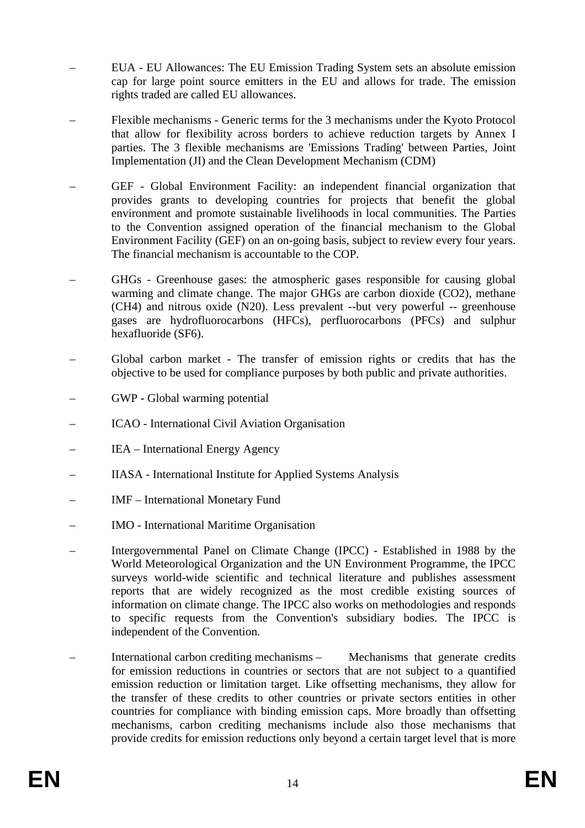- EUA EU Allowances: The EU Emission Trading System sets an absolute emission cap for large point source emitters in the EU and allows for trade. The emission rights traded are called EU allowances.
- Flexible mechanisms Generic terms for the 3 mechanisms under the Kyoto Protocol that allow for flexibility across borders to achieve reduction targets by Annex I parties. The 3 flexible mechanisms are 'Emissions Trading' between Parties, Joint Implementation (JI) and the Clean Development Mechanism (CDM)
- GEF Global Environment Facility: an independent financial organization that provides grants to developing countries for projects that benefit the global environment and promote sustainable livelihoods in local communities. The Parties to the Convention assigned operation of the financial mechanism to the Global Environment Facility (GEF) on an on-going basis, subject to review every four years. The financial mechanism is accountable to the COP.
- GHGs Greenhouse gases: the atmospheric gases responsible for causing global warming and climate change. The major GHGs are carbon dioxide (CO2), methane (CH4) and nitrous oxide (N20). Less prevalent --but very powerful -- greenhouse gases are hydrofluorocarbons (HFCs), perfluorocarbons (PFCs) and sulphur hexafluoride (SF6).
- Global carbon market The transfer of emission rights or credits that has the objective to be used for compliance purposes by both public and private authorities.
- GWP Global warming potential
- ICAO International Civil Aviation Organisation
- IEA International Energy Agency
- IIASA International Institute for Applied Systems Analysis
- IMF International Monetary Fund
- IMO International Maritime Organisation
- Intergovernmental Panel on Climate Change (IPCC) Established in 1988 by the World Meteorological Organization and the UN Environment Programme, the IPCC surveys world-wide scientific and technical literature and publishes assessment reports that are widely recognized as the most credible existing sources of information on climate change. The IPCC also works on methodologies and responds to specific requests from the Convention's subsidiary bodies. The IPCC is independent of the Convention.
- International carbon crediting mechanisms Mechanisms that generate credits for emission reductions in countries or sectors that are not subject to a quantified emission reduction or limitation target. Like offsetting mechanisms, they allow for the transfer of these credits to other countries or private sectors entities in other countries for compliance with binding emission caps. More broadly than offsetting mechanisms, carbon crediting mechanisms include also those mechanisms that provide credits for emission reductions only beyond a certain target level that is more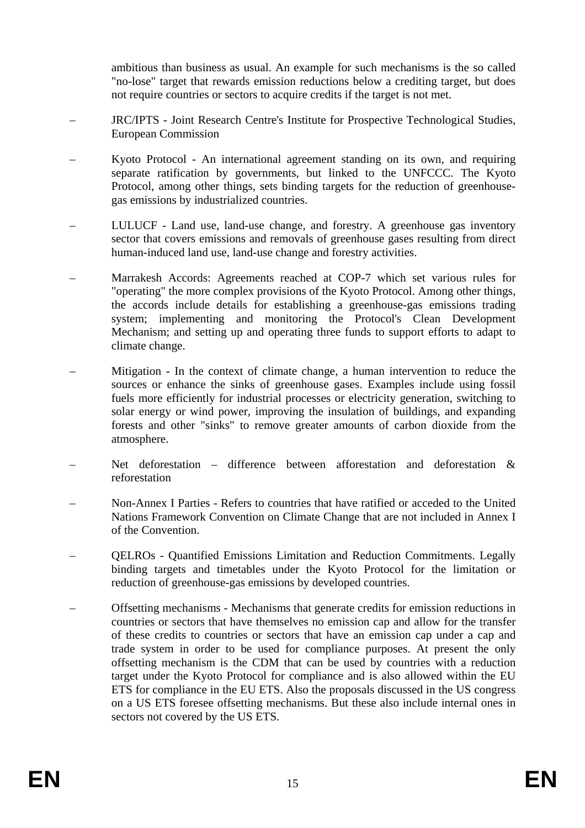ambitious than business as usual. An example for such mechanisms is the so called "no-lose" target that rewards emission reductions below a crediting target, but does not require countries or sectors to acquire credits if the target is not met.

- JRC/IPTS Joint Research Centre's Institute for Prospective Technological Studies, European Commission
- Kyoto Protocol An international agreement standing on its own, and requiring separate ratification by governments, but linked to the UNFCCC. The Kyoto Protocol, among other things, sets binding targets for the reduction of greenhousegas emissions by industrialized countries.
- LULUCF Land use, land-use change, and forestry. A greenhouse gas inventory sector that covers emissions and removals of greenhouse gases resulting from direct human-induced land use, land-use change and forestry activities.
- Marrakesh Accords: Agreements reached at COP-7 which set various rules for "operating" the more complex provisions of the Kyoto Protocol. Among other things, the accords include details for establishing a greenhouse-gas emissions trading system; implementing and monitoring the Protocol's Clean Development Mechanism; and setting up and operating three funds to support efforts to adapt to climate change.
- Mitigation In the context of climate change, a human intervention to reduce the sources or enhance the sinks of greenhouse gases. Examples include using fossil fuels more efficiently for industrial processes or electricity generation, switching to solar energy or wind power, improving the insulation of buildings, and expanding forests and other "sinks" to remove greater amounts of carbon dioxide from the atmosphere.
- Net deforestation difference between afforestation and deforestation  $\&$ reforestation
- Non-Annex I Parties Refers to countries that have ratified or acceded to the United Nations Framework Convention on Climate Change that are not included in Annex I of the Convention.
- QELROs Quantified Emissions Limitation and Reduction Commitments. Legally binding targets and timetables under the Kyoto Protocol for the limitation or reduction of greenhouse-gas emissions by developed countries.
- Offsetting mechanisms Mechanisms that generate credits for emission reductions in countries or sectors that have themselves no emission cap and allow for the transfer of these credits to countries or sectors that have an emission cap under a cap and trade system in order to be used for compliance purposes. At present the only offsetting mechanism is the CDM that can be used by countries with a reduction target under the Kyoto Protocol for compliance and is also allowed within the EU ETS for compliance in the EU ETS. Also the proposals discussed in the US congress on a US ETS foresee offsetting mechanisms. But these also include internal ones in sectors not covered by the US ETS.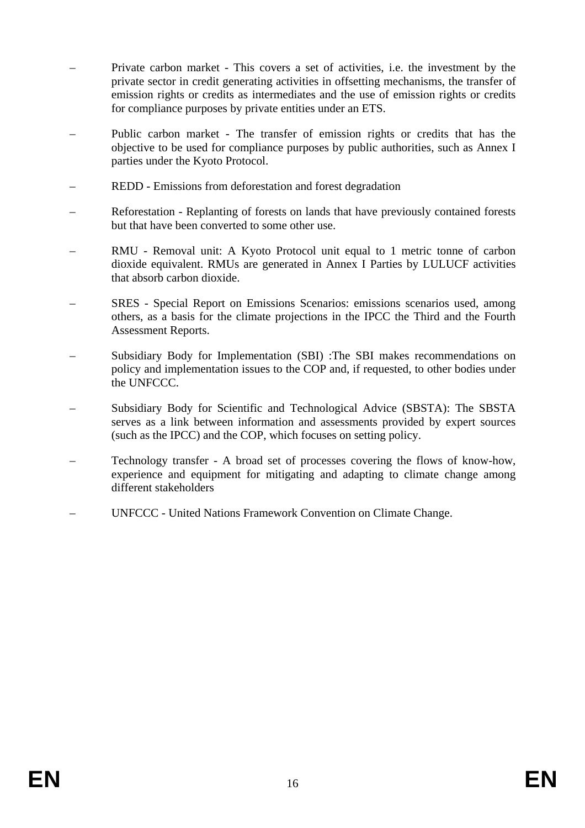- Private carbon market This covers a set of activities, i.e. the investment by the private sector in credit generating activities in offsetting mechanisms, the transfer of emission rights or credits as intermediates and the use of emission rights or credits for compliance purposes by private entities under an ETS.
- Public carbon market The transfer of emission rights or credits that has the objective to be used for compliance purposes by public authorities, such as Annex I parties under the Kyoto Protocol.
- REDD Emissions from deforestation and forest degradation
- Reforestation Replanting of forests on lands that have previously contained forests but that have been converted to some other use.
- RMU Removal unit: A Kyoto Protocol unit equal to 1 metric tonne of carbon dioxide equivalent. RMUs are generated in Annex I Parties by LULUCF activities that absorb carbon dioxide.
- SRES Special Report on Emissions Scenarios: emissions scenarios used, among others, as a basis for the climate projections in the IPCC the Third and the Fourth Assessment Reports.
- Subsidiary Body for Implementation (SBI) :The SBI makes recommendations on policy and implementation issues to the COP and, if requested, to other bodies under the UNFCCC.
- Subsidiary Body for Scientific and Technological Advice (SBSTA): The SBSTA serves as a link between information and assessments provided by expert sources (such as the IPCC) and the COP, which focuses on setting policy.
- Technology transfer A broad set of processes covering the flows of know-how, experience and equipment for mitigating and adapting to climate change among different stakeholders
- UNFCCC United Nations Framework Convention on Climate Change.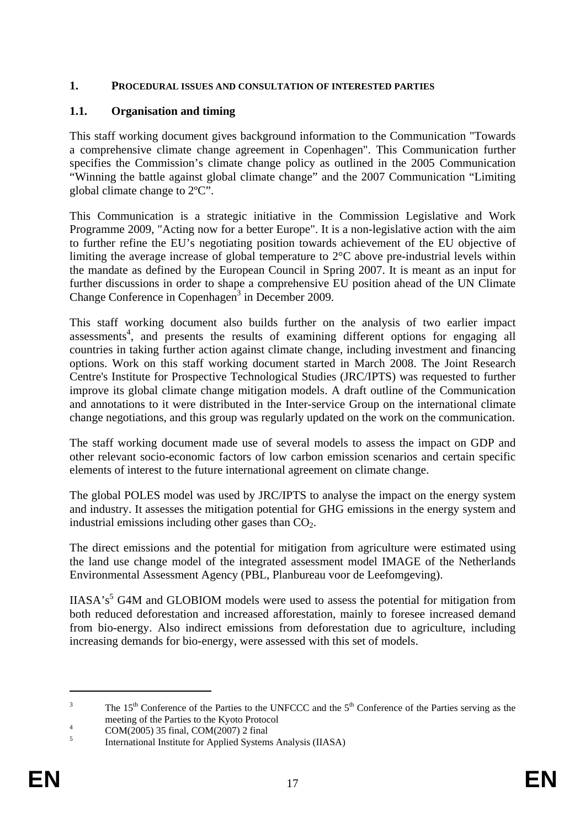#### <span id="page-16-0"></span>**1. PROCEDURAL ISSUES AND CONSULTATION OF INTERESTED PARTIES**

#### <span id="page-16-1"></span>**1.1. Organisation and timing**

This staff working document gives background information to the Communication "Towards a comprehensive climate change agreement in Copenhagen". This Communication further specifies the Commission's climate change policy as outlined in the 2005 Communication "Winning the battle against global climate change" and the 2007 Communication "Limiting global climate change to 2ºC".

This Communication is a strategic initiative in the Commission Legislative and Work Programme 2009, "Acting now for a better Europe". It is a non-legislative action with the aim to further refine the EU's negotiating position towards achievement of the EU objective of limiting the average increase of global temperature to 2°C above pre-industrial levels within the mandate as defined by the European Council in Spring 2007. It is meant as an input for further discussions in order to shape a comprehensive EU position ahead of the UN Climate Change Conference in Copenhagen<sup>3</sup> in December 2009.

This staff working document also builds further on the analysis of two earlier impact assessments<sup>4</sup>, and presents the results of examining different options for engaging all countries in taking further action against climate change, including investment and financing options. Work on this staff working document started in March 2008. The Joint Research Centre's Institute for Prospective Technological Studies (JRC/IPTS) was requested to further improve its global climate change mitigation models. A draft outline of the Communication and annotations to it were distributed in the Inter-service Group on the international climate change negotiations, and this group was regularly updated on the work on the communication.

The staff working document made use of several models to assess the impact on GDP and other relevant socio-economic factors of low carbon emission scenarios and certain specific elements of interest to the future international agreement on climate change.

The global POLES model was used by JRC/IPTS to analyse the impact on the energy system and industry. It assesses the mitigation potential for GHG emissions in the energy system and industrial emissions including other gases than  $CO<sub>2</sub>$ .

The direct emissions and the potential for mitigation from agriculture were estimated using the land use change model of the integrated assessment model IMAGE of the Netherlands Environmental Assessment Agency (PBL, Planbureau voor de Leefomgeving).

 $IIASA's<sup>5</sup> G4M$  and GLOBIOM models were used to assess the potential for mitigation from both reduced deforestation and increased afforestation, mainly to foresee increased demand from bio-energy. Also indirect emissions from deforestation due to agriculture, including increasing demands for bio-energy, were assessed with this set of models.

<sup>3</sup> The 15<sup>th</sup> Conference of the Parties to the UNFCCC and the  $5<sup>th</sup>$  Conference of the Parties serving as the meeting of the Parties to the Kyoto Protocol  $\frac{4}{1000}$ 

COM(2005) 35 final, COM(2007) 2 final

<sup>5</sup> International Institute for Applied Systems Analysis (IIASA)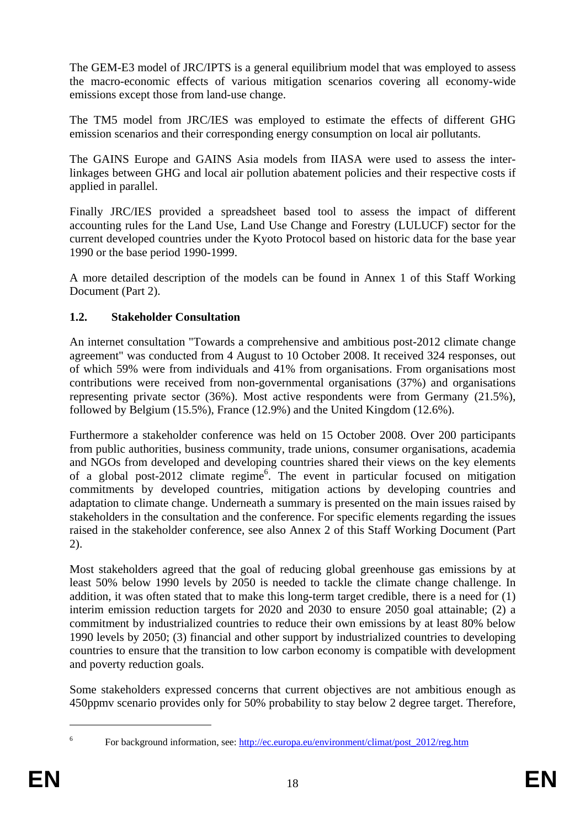The GEM-E3 model of JRC/IPTS is a general equilibrium model that was employed to assess the macro-economic effects of various mitigation scenarios covering all economy-wide emissions except those from land-use change.

The TM5 model from JRC/IES was employed to estimate the effects of different GHG emission scenarios and their corresponding energy consumption on local air pollutants.

The GAINS Europe and GAINS Asia models from IIASA were used to assess the interlinkages between GHG and local air pollution abatement policies and their respective costs if applied in parallel.

Finally JRC/IES provided a spreadsheet based tool to assess the impact of different accounting rules for the Land Use, Land Use Change and Forestry (LULUCF) sector for the current developed countries under the Kyoto Protocol based on historic data for the base year 1990 or the base period 1990-1999.

A more detailed description of the models can be found in Annex 1 of this Staff Working Document (Part 2).

## <span id="page-17-0"></span>**1.2. Stakeholder Consultation**

An internet consultation "Towards a comprehensive and ambitious post-2012 climate change agreement" was conducted from 4 August to 10 October 2008. It received 324 responses, out of which 59% were from individuals and 41% from organisations. From organisations most contributions were received from non-governmental organisations (37%) and organisations representing private sector (36%). Most active respondents were from Germany (21.5%), followed by Belgium (15.5%), France (12.9%) and the United Kingdom (12.6%).

Furthermore a stakeholder conference was held on 15 October 2008. Over 200 participants from public authorities, business community, trade unions, consumer organisations, academia and NGOs from developed and developing countries shared their views on the key elements of a global post-2012 climate regime<sup>6</sup>. The event in particular focused on mitigation commitments by developed countries, mitigation actions by developing countries and adaptation to climate change. Underneath a summary is presented on the main issues raised by stakeholders in the consultation and the conference. For specific elements regarding the issues raised in the stakeholder conference, see also Annex 2 of this Staff Working Document (Part 2).

Most stakeholders agreed that the goal of reducing global greenhouse gas emissions by at least 50% below 1990 levels by 2050 is needed to tackle the climate change challenge. In addition, it was often stated that to make this long-term target credible, there is a need for (1) interim emission reduction targets for 2020 and 2030 to ensure 2050 goal attainable; (2) a commitment by industrialized countries to reduce their own emissions by at least 80% below 1990 levels by 2050; (3) financial and other support by industrialized countries to developing countries to ensure that the transition to low carbon economy is compatible with development and poverty reduction goals.

Some stakeholders expressed concerns that current objectives are not ambitious enough as 450ppmv scenario provides only for 50% probability to stay below 2 degree target. Therefore,

<sup>1</sup> 6

For background information, see: [http://ec.europa.eu/environment/climat/post\\_2012/reg.htm](http://ec.europa.eu/environment/climat/post_2012/reg.htm)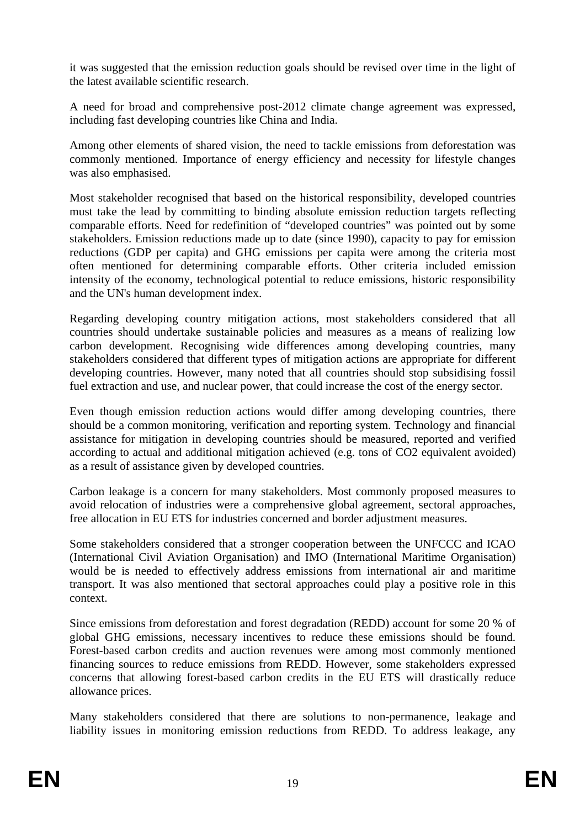it was suggested that the emission reduction goals should be revised over time in the light of the latest available scientific research.

A need for broad and comprehensive post-2012 climate change agreement was expressed, including fast developing countries like China and India.

Among other elements of shared vision, the need to tackle emissions from deforestation was commonly mentioned. Importance of energy efficiency and necessity for lifestyle changes was also emphasised.

Most stakeholder recognised that based on the historical responsibility, developed countries must take the lead by committing to binding absolute emission reduction targets reflecting comparable efforts. Need for redefinition of "developed countries" was pointed out by some stakeholders. Emission reductions made up to date (since 1990), capacity to pay for emission reductions (GDP per capita) and GHG emissions per capita were among the criteria most often mentioned for determining comparable efforts. Other criteria included emission intensity of the economy, technological potential to reduce emissions, historic responsibility and the UN's human development index.

Regarding developing country mitigation actions, most stakeholders considered that all countries should undertake sustainable policies and measures as a means of realizing low carbon development. Recognising wide differences among developing countries, many stakeholders considered that different types of mitigation actions are appropriate for different developing countries. However, many noted that all countries should stop subsidising fossil fuel extraction and use, and nuclear power, that could increase the cost of the energy sector.

Even though emission reduction actions would differ among developing countries, there should be a common monitoring, verification and reporting system. Technology and financial assistance for mitigation in developing countries should be measured, reported and verified according to actual and additional mitigation achieved (e.g. tons of CO2 equivalent avoided) as a result of assistance given by developed countries.

Carbon leakage is a concern for many stakeholders. Most commonly proposed measures to avoid relocation of industries were a comprehensive global agreement, sectoral approaches, free allocation in EU ETS for industries concerned and border adjustment measures.

Some stakeholders considered that a stronger cooperation between the UNFCCC and ICAO (International Civil Aviation Organisation) and IMO (International Maritime Organisation) would be is needed to effectively address emissions from international air and maritime transport. It was also mentioned that sectoral approaches could play a positive role in this context.

Since emissions from deforestation and forest degradation (REDD) account for some 20 % of global GHG emissions, necessary incentives to reduce these emissions should be found. Forest-based carbon credits and auction revenues were among most commonly mentioned financing sources to reduce emissions from REDD. However, some stakeholders expressed concerns that allowing forest-based carbon credits in the EU ETS will drastically reduce allowance prices.

Many stakeholders considered that there are solutions to non-permanence, leakage and liability issues in monitoring emission reductions from REDD. To address leakage, any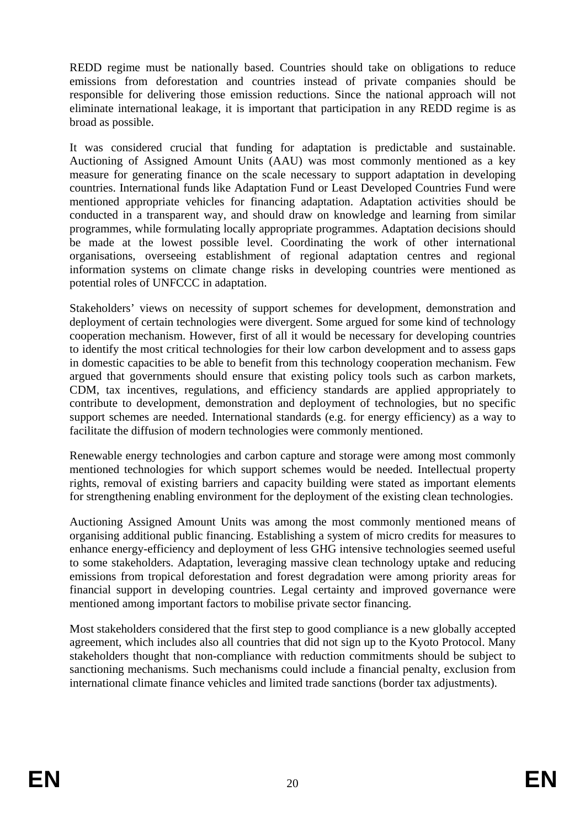REDD regime must be nationally based. Countries should take on obligations to reduce emissions from deforestation and countries instead of private companies should be responsible for delivering those emission reductions. Since the national approach will not eliminate international leakage, it is important that participation in any REDD regime is as broad as possible.

It was considered crucial that funding for adaptation is predictable and sustainable. Auctioning of Assigned Amount Units (AAU) was most commonly mentioned as a key measure for generating finance on the scale necessary to support adaptation in developing countries. International funds like Adaptation Fund or Least Developed Countries Fund were mentioned appropriate vehicles for financing adaptation. Adaptation activities should be conducted in a transparent way, and should draw on knowledge and learning from similar programmes, while formulating locally appropriate programmes. Adaptation decisions should be made at the lowest possible level. Coordinating the work of other international organisations, overseeing establishment of regional adaptation centres and regional information systems on climate change risks in developing countries were mentioned as potential roles of UNFCCC in adaptation.

Stakeholders' views on necessity of support schemes for development, demonstration and deployment of certain technologies were divergent. Some argued for some kind of technology cooperation mechanism. However, first of all it would be necessary for developing countries to identify the most critical technologies for their low carbon development and to assess gaps in domestic capacities to be able to benefit from this technology cooperation mechanism. Few argued that governments should ensure that existing policy tools such as carbon markets, CDM, tax incentives, regulations, and efficiency standards are applied appropriately to contribute to development, demonstration and deployment of technologies, but no specific support schemes are needed. International standards (e.g. for energy efficiency) as a way to facilitate the diffusion of modern technologies were commonly mentioned.

Renewable energy technologies and carbon capture and storage were among most commonly mentioned technologies for which support schemes would be needed. Intellectual property rights, removal of existing barriers and capacity building were stated as important elements for strengthening enabling environment for the deployment of the existing clean technologies.

Auctioning Assigned Amount Units was among the most commonly mentioned means of organising additional public financing. Establishing a system of micro credits for measures to enhance energy-efficiency and deployment of less GHG intensive technologies seemed useful to some stakeholders. Adaptation, leveraging massive clean technology uptake and reducing emissions from tropical deforestation and forest degradation were among priority areas for financial support in developing countries. Legal certainty and improved governance were mentioned among important factors to mobilise private sector financing.

Most stakeholders considered that the first step to good compliance is a new globally accepted agreement, which includes also all countries that did not sign up to the Kyoto Protocol. Many stakeholders thought that non-compliance with reduction commitments should be subject to sanctioning mechanisms. Such mechanisms could include a financial penalty, exclusion from international climate finance vehicles and limited trade sanctions (border tax adjustments).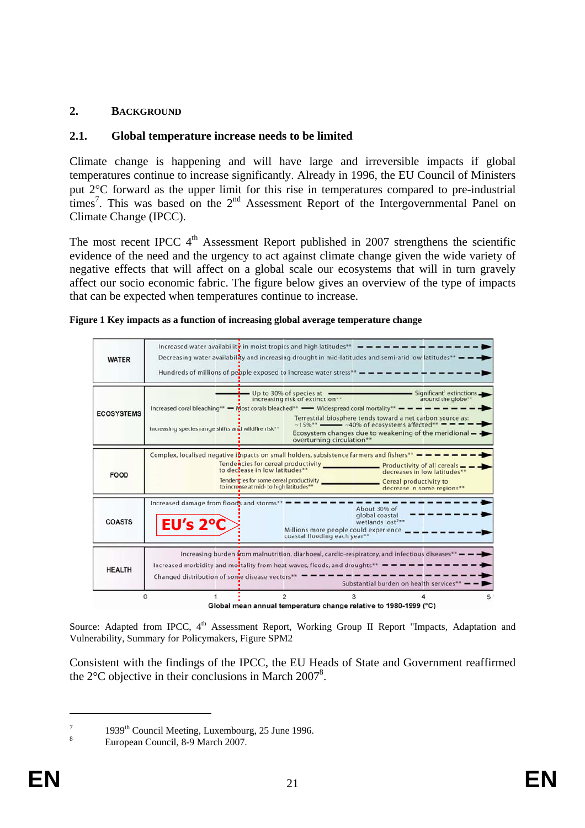## <span id="page-20-1"></span><span id="page-20-0"></span>**2. BACKGROUND**

## **2.1. Global temperature increase needs to be limited**

Climate change is happening and will have large and irreversible impacts if global temperatures continue to increase significantly. Already in 1996, the EU Council of Ministers put 2°C forward as the upper limit for this rise in temperatures compared to pre-industrial  $t$  times<sup>7</sup>. This was based on the  $2<sup>nd</sup>$  Assessment Report of the Intergovernmental Panel on Climate Change (IPCC).

The most recent IPCC  $4<sup>th</sup>$  Assessment Report published in 2007 strengthens the scientific evidence of the need and the urgency to act against climate change given the wide variety of negative effects that will affect on a global scale our ecosystems that will in turn gravely affect our socio economic fabric. The figure below gives an overview of the type of impacts that can be expected when temperatures continue to increase.

<span id="page-20-2"></span>

| Figure 1 Key impacts as a function of increasing global average temperature change |  |  |  |
|------------------------------------------------------------------------------------|--|--|--|
|                                                                                    |  |  |  |

| <b>WATER</b>      | Increased water availability in moist tropics and high latitudes**<br>Decreasing water availability and increasing drought in mid-latitudes and semi-arid low latitudes** $-$                                                                                           |                                                                                                                                                          |                                                                                                                                                                         |   |  |
|-------------------|-------------------------------------------------------------------------------------------------------------------------------------------------------------------------------------------------------------------------------------------------------------------------|----------------------------------------------------------------------------------------------------------------------------------------------------------|-------------------------------------------------------------------------------------------------------------------------------------------------------------------------|---|--|
| <b>ECOSYSTEMS</b> | Increased coral bleaching** - Most corals bleached** - Widespread coral mortality** -<br>Increasing species range shifts and wildfire risk**                                                                                                                            | Up to 30% of species at $-$<br>increasing risk of extinction**<br>$~15\%$ ** $\longrightarrow$ ~40% of ecosystems affected*<br>overturning circulation** | Significant extinctions<br>around the globe**<br>Terrestrial biosphere tends toward a net carbon source as:<br>Ecosystem changes due to weakening of the meridional $-$ |   |  |
| <b>FOOD</b>       | Complex, localised negative impacts on small holders, subsistence farmers and fishers** $- - -$<br>to declease in low latitudes**<br>decreases in low latitudes**<br>to increase at mid- to high latitudes**<br>decrease in some regions**                              |                                                                                                                                                          |                                                                                                                                                                         |   |  |
| <b>COASTS</b>     | Increased damage from floods and storms*<br>EU's 2°C                                                                                                                                                                                                                    | Millions more people could experience<br>coastal flooding each year**                                                                                    | About 30% of<br>global coastal<br>wetlands lost <sup>2**</sup>                                                                                                          |   |  |
| <b>HEALTH</b>     | Increasing burden from malnutrition, diarhoeal, cardio-respiratory, and infectious diseases**<br>Increased morbidity and montality from heat waves, floods, and droughts** $\blacksquare = \blacksquare = \blacksquare$<br>Changed distribution of some disease vectors |                                                                                                                                                          | Substantial burden on health services'                                                                                                                                  |   |  |
|                   | $\overline{c}$                                                                                                                                                                                                                                                          | 3                                                                                                                                                        |                                                                                                                                                                         | 5 |  |

Global mean annual temperature change relative to 1980-1999 (°C)

Source: Adapted from IPCC, 4<sup>th</sup> Assessment Report, Working Group II Report "Impacts, Adaptation and Vulnerability, Summary for Policymakers, Figure SPM2

Consistent with the findings of the IPCC, the EU Heads of State and Government reaffirmed the  $2^{\circ}$ C objective in their conclusions in March  $2007^8$ .

7 <sup>7</sup> 1939<sup>th</sup> Council Meeting, Luxembourg, 25 June 1996.

European Council, 8-9 March 2007.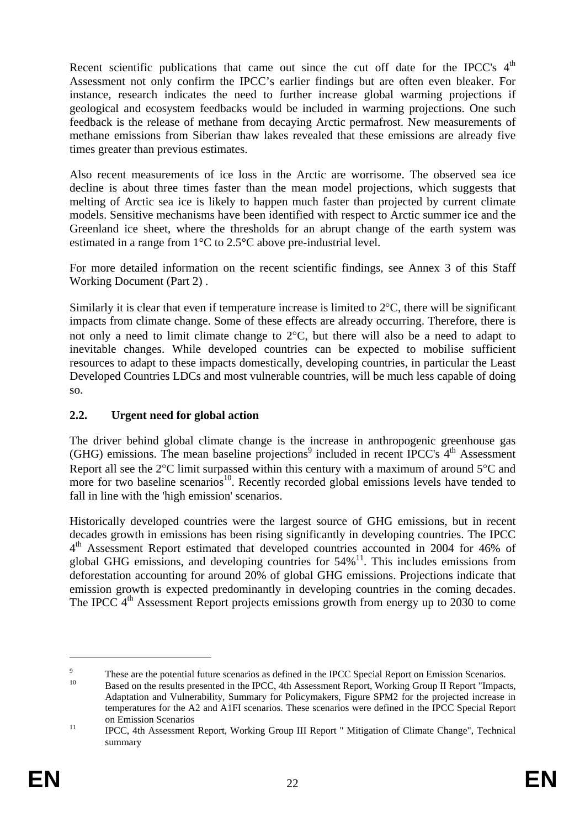Recent scientific publications that came out since the cut off date for the IPCC's  $4<sup>th</sup>$ Assessment not only confirm the IPCC's earlier findings but are often even bleaker. For instance, research indicates the need to further increase global warming projections if geological and ecosystem feedbacks would be included in warming projections. One such feedback is the release of methane from decaying Arctic permafrost. New measurements of methane emissions from Siberian thaw lakes revealed that these emissions are already five times greater than previous estimates.

Also recent measurements of ice loss in the Arctic are worrisome. The observed sea ice decline is about three times faster than the mean model projections, which suggests that melting of Arctic sea ice is likely to happen much faster than projected by current climate models. Sensitive mechanisms have been identified with respect to Arctic summer ice and the Greenland ice sheet, where the thresholds for an abrupt change of the earth system was estimated in a range from 1°C to 2.5°C above pre-industrial level.

For more detailed information on the recent scientific findings, see Annex 3 of this Staff Working Document (Part 2) .

Similarly it is clear that even if temperature increase is limited to 2°C, there will be significant impacts from climate change. Some of these effects are already occurring. Therefore, there is not only a need to limit climate change to 2°C, but there will also be a need to adapt to inevitable changes. While developed countries can be expected to mobilise sufficient resources to adapt to these impacts domestically, developing countries, in particular the Least Developed Countries LDCs and most vulnerable countries, will be much less capable of doing so.

## <span id="page-21-0"></span>**2.2. Urgent need for global action**

The driver behind global climate change is the increase in anthropogenic greenhouse gas  $(GHG)$  emissions. The mean baseline projections<sup>9</sup> included in recent IPCC's  $4<sup>th</sup>$  Assessment Report all see the 2<sup>o</sup>C limit surpassed within this century with a maximum of around 5<sup>o</sup>C and more for two baseline scenarios<sup>10</sup>. Recently recorded global emissions levels have tended to fall in line with the 'high emission' scenarios.

Historically developed countries were the largest source of GHG emissions, but in recent decades growth in emissions has been rising significantly in developing countries. The IPCC 4<sup>th</sup> Assessment Report estimated that developed countries accounted in 2004 for 46% of global GHG emissions, and developing countries for  $54\%$ <sup>11</sup>. This includes emissions from deforestation accounting for around 20% of global GHG emissions. Projections indicate that emission growth is expected predominantly in developing countries in the coming decades. The IPCC 4<sup>th</sup> Assessment Report projects emissions growth from energy up to 2030 to come

<sup>9</sup> These are the potential future scenarios as defined in the IPCC Special Report on Emission Scenarios.<br>Based on the results presented in the IPCC, 4th Assessment Report, Working Group II Report "Impacts,

Adaptation and Vulnerability, Summary for Policymakers, Figure SPM2 for the projected increase in temperatures for the A2 and A1FI scenarios. These scenarios were defined in the IPCC Special Report

on Emission Scenarios<br>
IPCC, 4th Assessment Report, Working Group III Report " Mitigation of Climate Change", Technical summary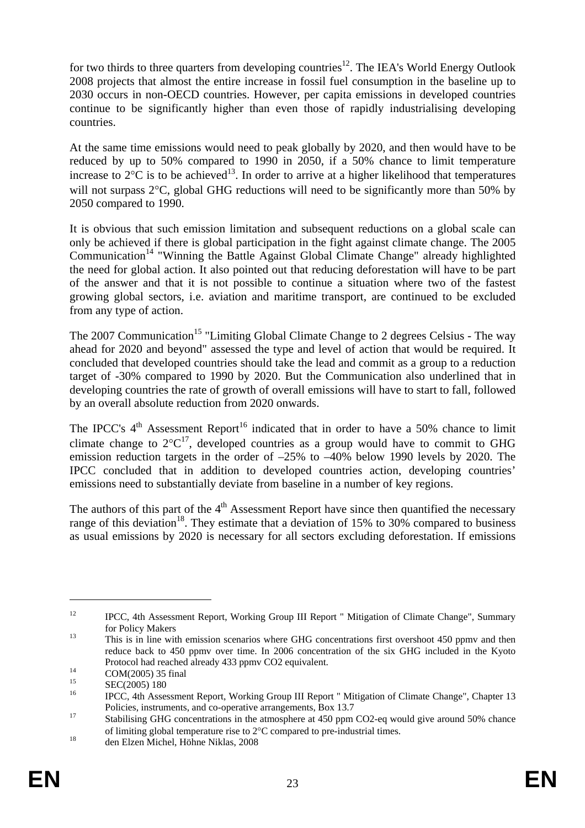for two thirds to three quarters from developing countries<sup>12</sup>. The IEA's World Energy Outlook 2008 projects that almost the entire increase in fossil fuel consumption in the baseline up to 2030 occurs in non-OECD countries. However, per capita emissions in developed countries continue to be significantly higher than even those of rapidly industrialising developing countries.

At the same time emissions would need to peak globally by 2020, and then would have to be reduced by up to 50% compared to 1990 in 2050, if a 50% chance to limit temperature increase to  $2^{\circ}$ C is to be achieved<sup>13</sup>. In order to arrive at a higher likelihood that temperatures will not surpass 2°C, global GHG reductions will need to be significantly more than 50% by 2050 compared to 1990.

It is obvious that such emission limitation and subsequent reductions on a global scale can only be achieved if there is global participation in the fight against climate change. The 2005  $Communication<sup>14</sup>$  "Winning the Battle Against Global Climate Change" already highlighted the need for global action. It also pointed out that reducing deforestation will have to be part of the answer and that it is not possible to continue a situation where two of the fastest growing global sectors, i.e. aviation and maritime transport, are continued to be excluded from any type of action.

The 2007 Communication<sup>15</sup> "Limiting Global Climate Change to 2 degrees Celsius - The way ahead for 2020 and beyond" assessed the type and level of action that would be required. It concluded that developed countries should take the lead and commit as a group to a reduction target of -30% compared to 1990 by 2020. But the Communication also underlined that in developing countries the rate of growth of overall emissions will have to start to fall, followed by an overall absolute reduction from 2020 onwards.

The IPCC's  $4<sup>th</sup>$  Assessment Report<sup>16</sup> indicated that in order to have a 50% chance to limit climate change to  $2^{\circ}C^{17}$ , developed countries as a group would have to commit to GHG emission reduction targets in the order of –25% to –40% below 1990 levels by 2020. The IPCC concluded that in addition to developed countries action, developing countries' emissions need to substantially deviate from baseline in a number of key regions.

The authors of this part of the  $4<sup>th</sup>$  Assessment Report have since then quantified the necessary range of this deviation<sup>18</sup>. They estimate that a deviation of 15% to 30% compared to business as usual emissions by 2020 is necessary for all sectors excluding deforestation. If emissions

<sup>&</sup>lt;sup>12</sup> IPCC, 4th Assessment Report, Working Group III Report " Mitigation of Climate Change", Summary for Policy Makers<br>
13 This is in line with emission scenarios where GHG concentrations first overshoot 450 ppmv and then

reduce back to 450 ppmv over time. In 2006 concentration of the six GHG included in the Kyoto Protocol had reached already 433 ppmv CO2 equivalent.<br>COM(2005) 35 final<br><sup>15</sup>

 $\frac{15}{16}$  SEC(2005) 180

<sup>16</sup> IPCC, 4th Assessment Report, Working Group III Report " Mitigation of Climate Change", Chapter 13 Policies, instruments, and co-operative arrangements, Box 13.7<br>Stabilising GHG concentrations in the atmosphere at 450 ppm CO2-eq would give around 50% chance

of limiting global temperature rise to  $2^{\circ}$ C compared to pre-industrial times.<br><sup>18</sup> den Elzen Michel, Höhne Niklas, 2008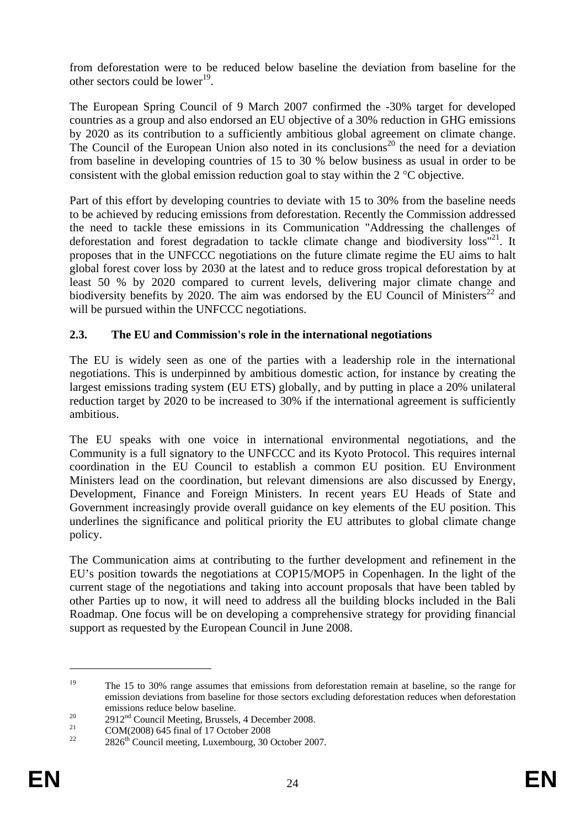from deforestation were to be reduced below baseline the deviation from baseline for the other sectors could be lower<sup>19</sup>.

The European Spring Council of 9 March 2007 confirmed the -30% target for developed countries as a group and also endorsed an EU objective of a 30% reduction in GHG emissions by 2020 as its contribution to a sufficiently ambitious global agreement on climate change. The Council of the European Union also noted in its conclusions<sup>20</sup> the need for a deviation from baseline in developing countries of 15 to 30 % below business as usual in order to be consistent with the global emission reduction goal to stay within the 2 °C objective.

Part of this effort by developing countries to deviate with 15 to 30% from the baseline needs to be achieved by reducing emissions from deforestation. Recently the Commission addressed the need to tackle these emissions in its Communication "Addressing the challenges of deforestation and forest degradation to tackle climate change and biodiversity  $\cos^{21}$ . It proposes that in the UNFCCC negotiations on the future climate regime the EU aims to halt global forest cover loss by 2030 at the latest and to reduce gross tropical deforestation by at least 50 % by 2020 compared to current levels, delivering major climate change and biodiversity benefits by 2020. The aim was endorsed by the EU Council of Ministers<sup>22</sup> and will be pursued within the UNFCCC negotiations.

## <span id="page-23-0"></span>**2.3. The EU and Commission's role in the international negotiations**

The EU is widely seen as one of the parties with a leadership role in the international negotiations. This is underpinned by ambitious domestic action, for instance by creating the largest emissions trading system (EU ETS) globally, and by putting in place a 20% unilateral reduction target by 2020 to be increased to 30% if the international agreement is sufficiently ambitious.

The EU speaks with one voice in international environmental negotiations, and the Community is a full signatory to the UNFCCC and its Kyoto Protocol. This requires internal coordination in the EU Council to establish a common EU position. EU Environment Ministers lead on the coordination, but relevant dimensions are also discussed by Energy, Development, Finance and Foreign Ministers. In recent years EU Heads of State and Government increasingly provide overall guidance on key elements of the EU position. This underlines the significance and political priority the EU attributes to global climate change policy.

The Communication aims at contributing to the further development and refinement in the EU's position towards the negotiations at COP15/MOP5 in Copenhagen. In the light of the current stage of the negotiations and taking into account proposals that have been tabled by other Parties up to now, it will need to address all the building blocks included in the Bali Roadmap. One focus will be on developing a comprehensive strategy for providing financial support as requested by the European Council in June 2008.

<u>.</u>

<sup>&</sup>lt;sup>19</sup> The 15 to 30% range assumes that emissions from deforestation remain at baseline, so the range for emission deviations from baseline for those sectors excluding deforestation reduces when deforestation

emissions reduce below baseline.<br>
<sup>20</sup> 2912<sup>nd</sup> Council Meeting, Brussels, 4 December 2008.<br> **COM(2008) 645 final of 17 October 2008** 

 $2826<sup>th</sup>$  Council meeting, Luxembourg, 30 October 2007.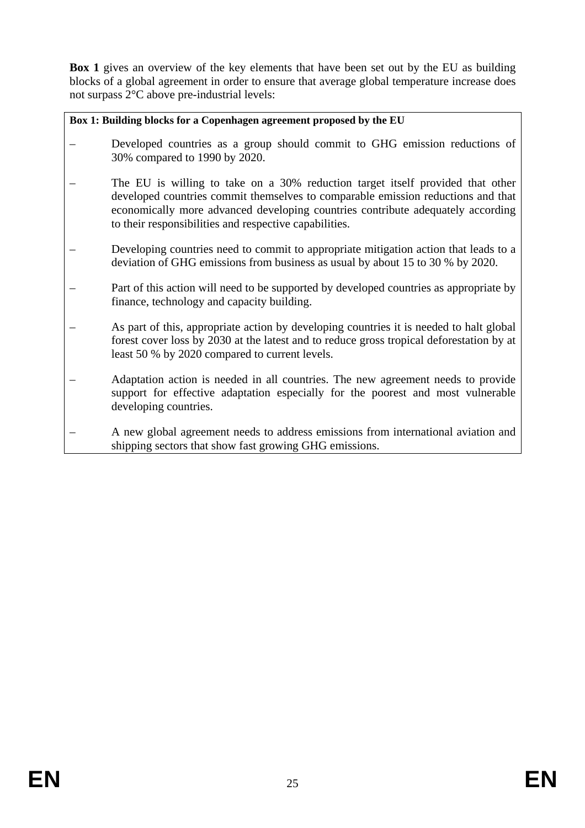**[Box 1](#page-24-0)** gives an overview of the key elements that have been set out by the EU as building blocks of a global agreement in order to ensure that average global temperature increase does not surpass 2°C above pre-industrial levels:

<span id="page-24-0"></span>**Box 1: Building blocks for a Copenhagen agreement proposed by the EU** 

- Developed countries as a group should commit to GHG emission reductions of 30% compared to 1990 by 2020.
- The EU is willing to take on a 30% reduction target itself provided that other developed countries commit themselves to comparable emission reductions and that economically more advanced developing countries contribute adequately according to their responsibilities and respective capabilities.
- Developing countries need to commit to appropriate mitigation action that leads to a deviation of GHG emissions from business as usual by about 15 to 30 % by 2020.
- Part of this action will need to be supported by developed countries as appropriate by finance, technology and capacity building.
- As part of this, appropriate action by developing countries it is needed to halt global forest cover loss by 2030 at the latest and to reduce gross tropical deforestation by at least 50 % by 2020 compared to current levels.
- Adaptation action is needed in all countries. The new agreement needs to provide support for effective adaptation especially for the poorest and most vulnerable developing countries.
- A new global agreement needs to address emissions from international aviation and shipping sectors that show fast growing GHG emissions.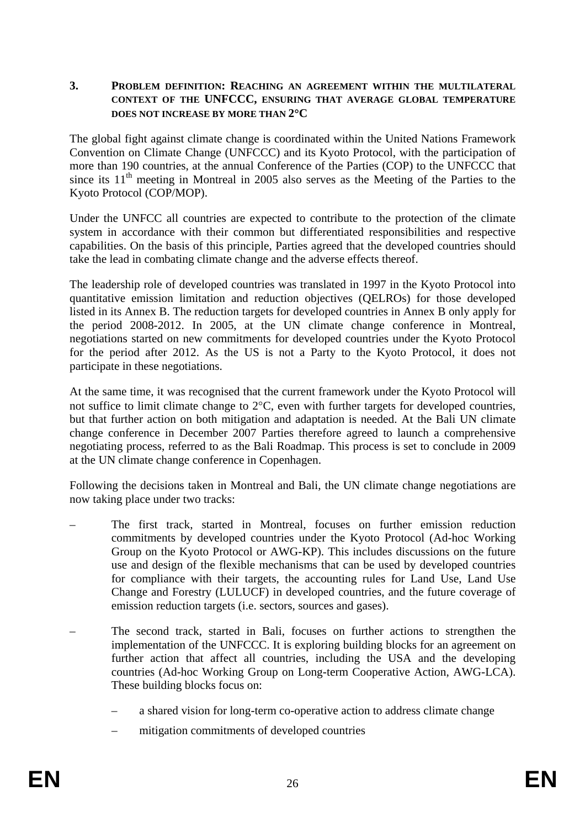#### <span id="page-25-0"></span>**3. PROBLEM DEFINITION: REACHING AN AGREEMENT WITHIN THE MULTILATERAL CONTEXT OF THE UNFCCC, ENSURING THAT AVERAGE GLOBAL TEMPERATURE DOES NOT INCREASE BY MORE THAN 2**°**C**

The global fight against climate change is coordinated within the United Nations Framework Convention on Climate Change (UNFCCC) and its Kyoto Protocol, with the participation of more than 190 countries, at the annual Conference of the Parties (COP) to the UNFCCC that since its  $11<sup>th</sup>$  meeting in Montreal in 2005 also serves as the Meeting of the Parties to the Kyoto Protocol (COP/MOP).

Under the UNFCC all countries are expected to contribute to the protection of the climate system in accordance with their common but differentiated responsibilities and respective capabilities. On the basis of this principle, Parties agreed that the developed countries should take the lead in combating climate change and the adverse effects thereof.

The leadership role of developed countries was translated in 1997 in the Kyoto Protocol into quantitative emission limitation and reduction objectives (QELROs) for those developed listed in its Annex B. The reduction targets for developed countries in Annex B only apply for the period 2008-2012. In 2005, at the UN climate change conference in Montreal, negotiations started on new commitments for developed countries under the Kyoto Protocol for the period after 2012. As the US is not a Party to the Kyoto Protocol, it does not participate in these negotiations.

At the same time, it was recognised that the current framework under the Kyoto Protocol will not suffice to limit climate change to 2°C, even with further targets for developed countries, but that further action on both mitigation and adaptation is needed. At the Bali UN climate change conference in December 2007 Parties therefore agreed to launch a comprehensive negotiating process, referred to as the Bali Roadmap. This process is set to conclude in 2009 at the UN climate change conference in Copenhagen.

Following the decisions taken in Montreal and Bali, the UN climate change negotiations are now taking place under two tracks:

- The first track, started in Montreal, focuses on further emission reduction commitments by developed countries under the Kyoto Protocol (Ad-hoc Working Group on the Kyoto Protocol or AWG-KP). This includes discussions on the future use and design of the flexible mechanisms that can be used by developed countries for compliance with their targets, the accounting rules for Land Use, Land Use Change and Forestry (LULUCF) in developed countries, and the future coverage of emission reduction targets (i.e. sectors, sources and gases).
- The second track, started in Bali, focuses on further actions to strengthen the implementation of the UNFCCC. It is exploring building blocks for an agreement on further action that affect all countries, including the USA and the developing countries (Ad-hoc Working Group on Long-term Cooperative Action, AWG-LCA). These building blocks focus on:
	- a shared vision for long-term co-operative action to address climate change
	- mitigation commitments of developed countries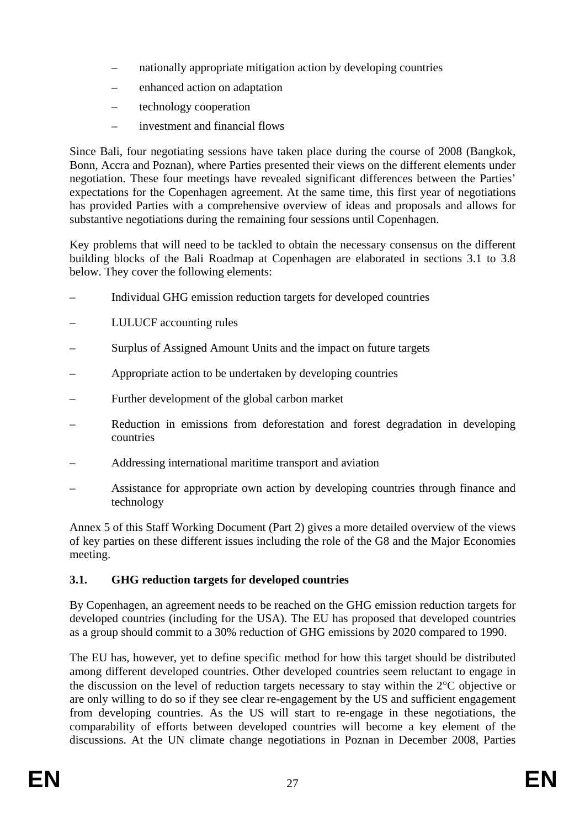- nationally appropriate mitigation action by developing countries
- enhanced action on adaptation
- technology cooperation
- investment and financial flows

Since Bali, four negotiating sessions have taken place during the course of 2008 (Bangkok, Bonn, Accra and Poznan), where Parties presented their views on the different elements under negotiation. These four meetings have revealed significant differences between the Parties' expectations for the Copenhagen agreement. At the same time, this first year of negotiations has provided Parties with a comprehensive overview of ideas and proposals and allows for substantive negotiations during the remaining four sessions until Copenhagen.

Key problems that will need to be tackled to obtain the necessary consensus on the different building blocks of the Bali Roadmap at Copenhagen are elaborated in sections [3.1](#page-26-0) to [3.8](#page-31-2)  below. They cover the following elements:

- Individual GHG emission reduction targets for developed countries
- LULUCF accounting rules
- Surplus of Assigned Amount Units and the impact on future targets
- Appropriate action to be undertaken by developing countries
- Further development of the global carbon market
- Reduction in emissions from deforestation and forest degradation in developing countries
- Addressing international maritime transport and aviation
- Assistance for appropriate own action by developing countries through finance and technology

Annex 5 of this Staff Working Document (Part 2) gives a more detailed overview of the views of key parties on these different issues including the role of the G8 and the Major Economies meeting.

# <span id="page-26-0"></span>**3.1. GHG reduction targets for developed countries**

By Copenhagen, an agreement needs to be reached on the GHG emission reduction targets for developed countries (including for the USA). The EU has proposed that developed countries as a group should commit to a 30% reduction of GHG emissions by 2020 compared to 1990.

The EU has, however, yet to define specific method for how this target should be distributed among different developed countries. Other developed countries seem reluctant to engage in the discussion on the level of reduction targets necessary to stay within the 2°C objective or are only willing to do so if they see clear re-engagement by the US and sufficient engagement from developing countries. As the US will start to re-engage in these negotiations, the comparability of efforts between developed countries will become a key element of the discussions. At the UN climate change negotiations in Poznan in December 2008, Parties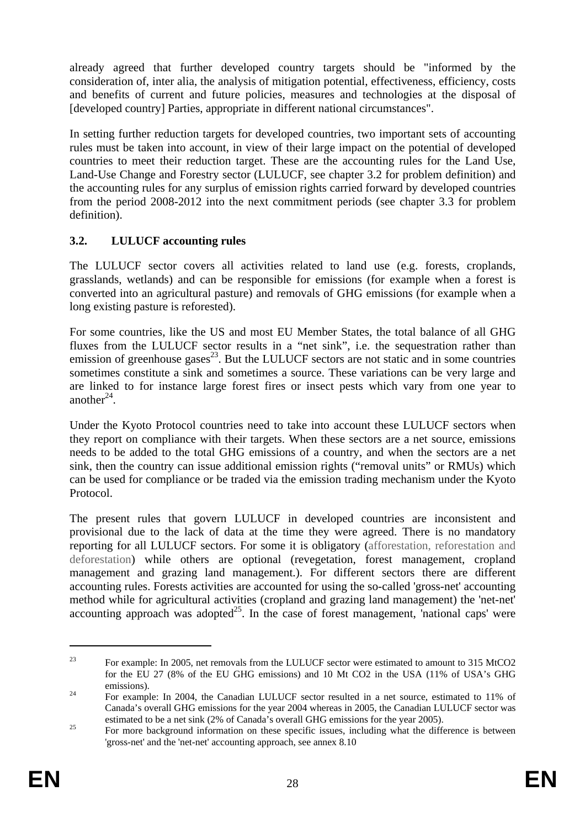already agreed that further developed country targets should be "informed by the consideration of, inter alia, the analysis of mitigation potential, effectiveness, efficiency, costs and benefits of current and future policies, measures and technologies at the disposal of [developed country] Parties, appropriate in different national circumstances".

In setting further reduction targets for developed countries, two important sets of accounting rules must be taken into account, in view of their large impact on the potential of developed countries to meet their reduction target. These are the accounting rules for the Land Use, Land-Use Change and Forestry sector (LULUCF, see chapter [3.2](#page-27-0) for problem definition) and the accounting rules for any surplus of emission rights carried forward by developed countries from the period 2008-2012 into the next commitment periods (see chapter [3.3](#page-28-0) for problem definition).

# <span id="page-27-0"></span>**3.2. LULUCF accounting rules**

The LULUCF sector covers all activities related to land use (e.g. forests, croplands, grasslands, wetlands) and can be responsible for emissions (for example when a forest is converted into an agricultural pasture) and removals of GHG emissions (for example when a long existing pasture is reforested).

For some countries, like the US and most EU Member States, the total balance of all GHG fluxes from the LULUCF sector results in a "net sink", i.e. the sequestration rather than emission of greenhouse gases $^{23}$ . But the LULUCF sectors are not static and in some countries sometimes constitute a sink and sometimes a source. These variations can be very large and are linked to for instance large forest fires or insect pests which vary from one year to another $^{24}$ .

Under the Kyoto Protocol countries need to take into account these LULUCF sectors when they report on compliance with their targets. When these sectors are a net source, emissions needs to be added to the total GHG emissions of a country, and when the sectors are a net sink, then the country can issue additional emission rights ("removal units" or RMUs) which can be used for compliance or be traded via the emission trading mechanism under the Kyoto Protocol.

The present rules that govern LULUCF in developed countries are inconsistent and provisional due to the lack of data at the time they were agreed. There is no mandatory reporting for all LULUCF sectors. For some it is obligatory (afforestation, reforestation and deforestation) while others are optional (revegetation, forest management, cropland management and grazing land management.). For different sectors there are different accounting rules. Forests activities are accounted for using the so-called 'gross-net' accounting method while for agricultural activities (cropland and grazing land management) the 'net-net' accounting approach was adopted<sup>25</sup>. In the case of forest management, 'national caps' were

<sup>&</sup>lt;sup>23</sup> For example: In 2005, net removals from the LULUCF sector were estimated to amount to 315 MtCO2 for the EU 27 (8% of the EU GHG emissions) and 10 Mt CO2 in the USA (11% of USA's GHG emissions).<br><sup>24</sup> For example: In 2004, the Canadian LULUCF sector resulted in a net source, estimated to 11% of

Canada's overall GHG emissions for the year 2004 whereas in 2005, the Canadian LULUCF sector was estimated to be a net sink (2% of Canada's overall GHG emissions for the year 2005).<br>For more background information on these specific issues, including what the difference is between

<sup>&#</sup>x27;gross-net' and the 'net-net' accounting approach, see annex 8.10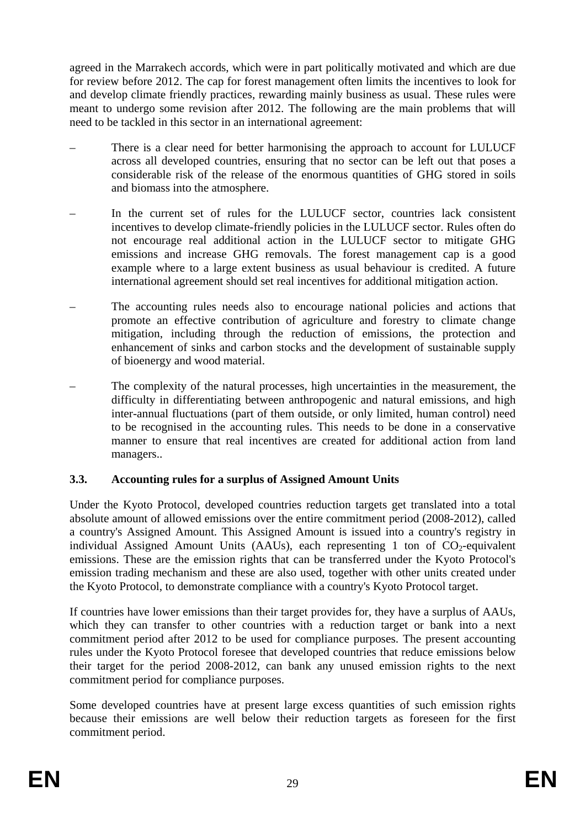agreed in the Marrakech accords, which were in part politically motivated and which are due for review before 2012. The cap for forest management often limits the incentives to look for and develop climate friendly practices, rewarding mainly business as usual. These rules were meant to undergo some revision after 2012. The following are the main problems that will need to be tackled in this sector in an international agreement:

- There is a clear need for better harmonising the approach to account for LULUCF across all developed countries, ensuring that no sector can be left out that poses a considerable risk of the release of the enormous quantities of GHG stored in soils and biomass into the atmosphere.
- In the current set of rules for the LULUCF sector, countries lack consistent incentives to develop climate-friendly policies in the LULUCF sector. Rules often do not encourage real additional action in the LULUCF sector to mitigate GHG emissions and increase GHG removals. The forest management cap is a good example where to a large extent business as usual behaviour is credited. A future international agreement should set real incentives for additional mitigation action.
- The accounting rules needs also to encourage national policies and actions that promote an effective contribution of agriculture and forestry to climate change mitigation, including through the reduction of emissions, the protection and enhancement of sinks and carbon stocks and the development of sustainable supply of bioenergy and wood material.
- The complexity of the natural processes, high uncertainties in the measurement, the difficulty in differentiating between anthropogenic and natural emissions, and high inter-annual fluctuations (part of them outside, or only limited, human control) need to be recognised in the accounting rules. This needs to be done in a conservative manner to ensure that real incentives are created for additional action from land managers..

## <span id="page-28-0"></span>**3.3. Accounting rules for a surplus of Assigned Amount Units**

Under the Kyoto Protocol, developed countries reduction targets get translated into a total absolute amount of allowed emissions over the entire commitment period (2008-2012), called a country's Assigned Amount. This Assigned Amount is issued into a country's registry in individual Assigned Amount Units  $(AAUs)$ , each representing 1 ton of  $CO<sub>2</sub>$ -equivalent emissions. These are the emission rights that can be transferred under the Kyoto Protocol's emission trading mechanism and these are also used, together with other units created under the Kyoto Protocol, to demonstrate compliance with a country's Kyoto Protocol target.

If countries have lower emissions than their target provides for, they have a surplus of AAUs, which they can transfer to other countries with a reduction target or bank into a next commitment period after 2012 to be used for compliance purposes. The present accounting rules under the Kyoto Protocol foresee that developed countries that reduce emissions below their target for the period 2008-2012, can bank any unused emission rights to the next commitment period for compliance purposes.

Some developed countries have at present large excess quantities of such emission rights because their emissions are well below their reduction targets as foreseen for the first commitment period.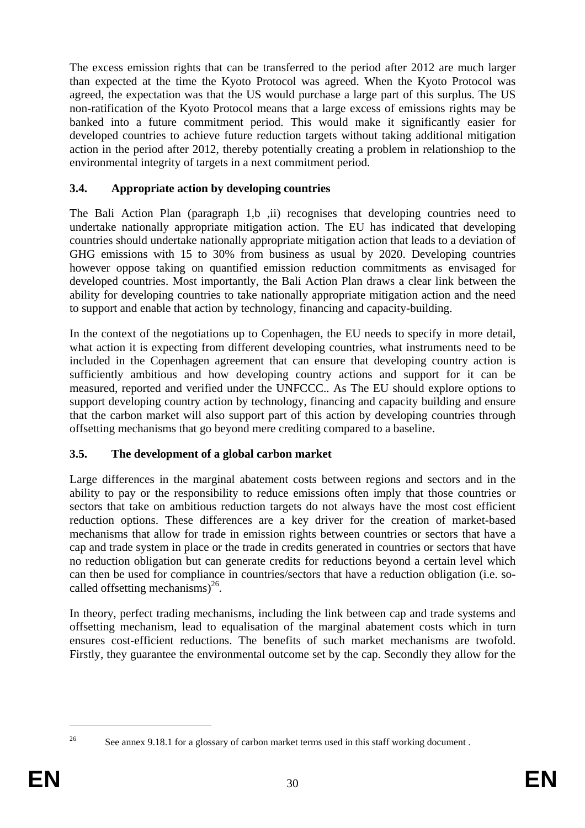The excess emission rights that can be transferred to the period after 2012 are much larger than expected at the time the Kyoto Protocol was agreed. When the Kyoto Protocol was agreed, the expectation was that the US would purchase a large part of this surplus. The US non-ratification of the Kyoto Protocol means that a large excess of emissions rights may be banked into a future commitment period. This would make it significantly easier for developed countries to achieve future reduction targets without taking additional mitigation action in the period after 2012, thereby potentially creating a problem in relationshiop to the environmental integrity of targets in a next commitment period.

## <span id="page-29-0"></span>**3.4. Appropriate action by developing countries**

The Bali Action Plan (paragraph 1,b ,ii) recognises that developing countries need to undertake nationally appropriate mitigation action. The EU has indicated that developing countries should undertake nationally appropriate mitigation action that leads to a deviation of GHG emissions with 15 to 30% from business as usual by 2020. Developing countries however oppose taking on quantified emission reduction commitments as envisaged for developed countries. Most importantly, the Bali Action Plan draws a clear link between the ability for developing countries to take nationally appropriate mitigation action and the need to support and enable that action by technology, financing and capacity-building.

In the context of the negotiations up to Copenhagen, the EU needs to specify in more detail, what action it is expecting from different developing countries, what instruments need to be included in the Copenhagen agreement that can ensure that developing country action is sufficiently ambitious and how developing country actions and support for it can be measured, reported and verified under the UNFCCC.. As The EU should explore options to support developing country action by technology, financing and capacity building and ensure that the carbon market will also support part of this action by developing countries through offsetting mechanisms that go beyond mere crediting compared to a baseline.

## <span id="page-29-1"></span>**3.5. The development of a global carbon market**

Large differences in the marginal abatement costs between regions and sectors and in the ability to pay or the responsibility to reduce emissions often imply that those countries or sectors that take on ambitious reduction targets do not always have the most cost efficient reduction options. These differences are a key driver for the creation of market-based mechanisms that allow for trade in emission rights between countries or sectors that have a cap and trade system in place or the trade in credits generated in countries or sectors that have no reduction obligation but can generate credits for reductions beyond a certain level which can then be used for compliance in countries/sectors that have a reduction obligation (i.e. socalled offsetting mechanisms $)^{26}$ .

In theory, perfect trading mechanisms, including the link between cap and trade systems and offsetting mechanism, lead to equalisation of the marginal abatement costs which in turn ensures cost-efficient reductions. The benefits of such market mechanisms are twofold. Firstly, they guarantee the environmental outcome set by the cap. Secondly they allow for the

<sup>1</sup> 

<sup>&</sup>lt;sup>26</sup> See annex 9.18.1 for a glossary of carbon market terms used in this staff working document.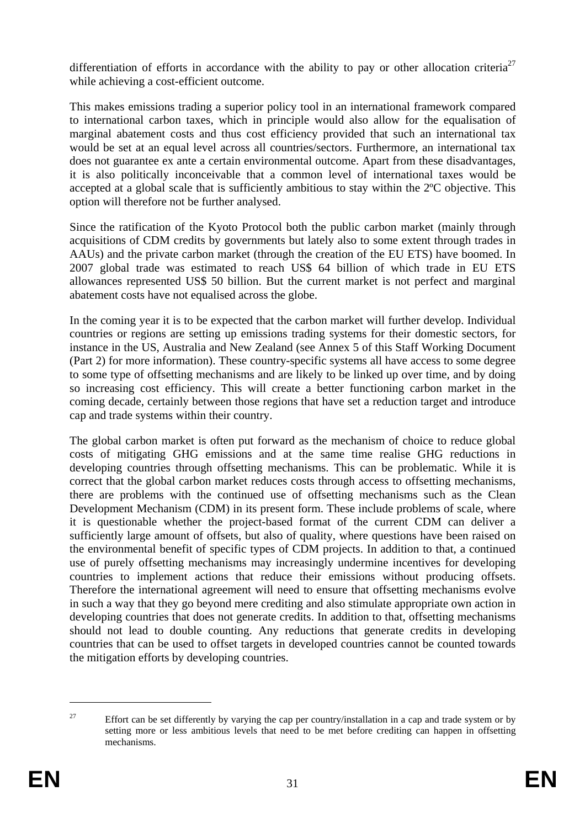differentiation of efforts in accordance with the ability to pay or other allocation criteria<sup>27</sup> while achieving a cost-efficient outcome.

This makes emissions trading a superior policy tool in an international framework compared to international carbon taxes, which in principle would also allow for the equalisation of marginal abatement costs and thus cost efficiency provided that such an international tax would be set at an equal level across all countries/sectors. Furthermore, an international tax does not guarantee ex ante a certain environmental outcome. Apart from these disadvantages, it is also politically inconceivable that a common level of international taxes would be accepted at a global scale that is sufficiently ambitious to stay within the 2ºC objective. This option will therefore not be further analysed.

Since the ratification of the Kyoto Protocol both the public carbon market (mainly through acquisitions of CDM credits by governments but lately also to some extent through trades in AAUs) and the private carbon market (through the creation of the EU ETS) have boomed. In 2007 global trade was estimated to reach US\$ 64 billion of which trade in EU ETS allowances represented US\$ 50 billion. But the current market is not perfect and marginal abatement costs have not equalised across the globe.

In the coming year it is to be expected that the carbon market will further develop. Individual countries or regions are setting up emissions trading systems for their domestic sectors, for instance in the US, Australia and New Zealand (see Annex 5 of this Staff Working Document (Part 2) for more information). These country-specific systems all have access to some degree to some type of offsetting mechanisms and are likely to be linked up over time, and by doing so increasing cost efficiency. This will create a better functioning carbon market in the coming decade, certainly between those regions that have set a reduction target and introduce cap and trade systems within their country.

The global carbon market is often put forward as the mechanism of choice to reduce global costs of mitigating GHG emissions and at the same time realise GHG reductions in developing countries through offsetting mechanisms. This can be problematic. While it is correct that the global carbon market reduces costs through access to offsetting mechanisms, there are problems with the continued use of offsetting mechanisms such as the Clean Development Mechanism (CDM) in its present form. These include problems of scale, where it is questionable whether the project-based format of the current CDM can deliver a sufficiently large amount of offsets, but also of quality, where questions have been raised on the environmental benefit of specific types of CDM projects. In addition to that, a continued use of purely offsetting mechanisms may increasingly undermine incentives for developing countries to implement actions that reduce their emissions without producing offsets. Therefore the international agreement will need to ensure that offsetting mechanisms evolve in such a way that they go beyond mere crediting and also stimulate appropriate own action in developing countries that does not generate credits. In addition to that, offsetting mechanisms should not lead to double counting. Any reductions that generate credits in developing countries that can be used to offset targets in developed countries cannot be counted towards the mitigation efforts by developing countries.

<u>.</u>

<sup>&</sup>lt;sup>27</sup> Effort can be set differently by varying the cap per country/installation in a cap and trade system or by setting more or less ambitious levels that need to be met before crediting can happen in offsetting mechanisms.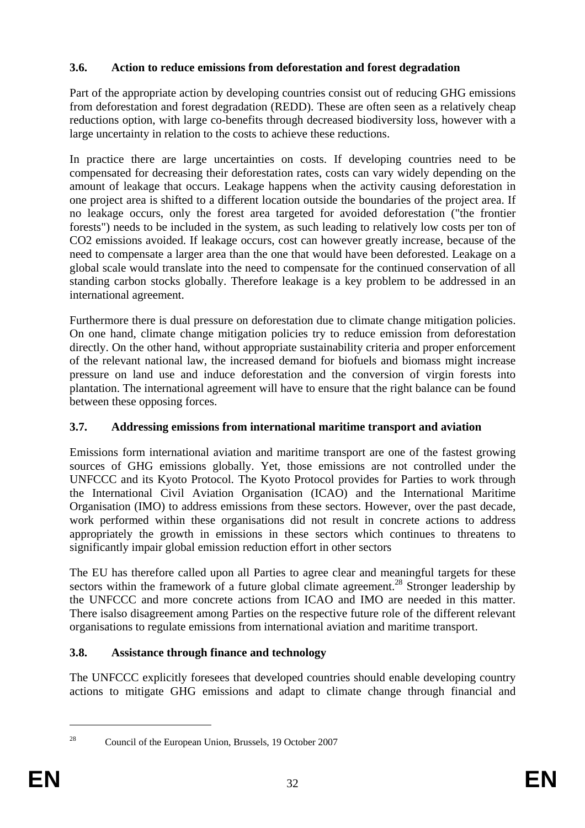## <span id="page-31-0"></span>**3.6. Action to reduce emissions from deforestation and forest degradation**

Part of the appropriate action by developing countries consist out of reducing GHG emissions from deforestation and forest degradation (REDD). These are often seen as a relatively cheap reductions option, with large co-benefits through decreased biodiversity loss, however with a large uncertainty in relation to the costs to achieve these reductions.

In practice there are large uncertainties on costs. If developing countries need to be compensated for decreasing their deforestation rates, costs can vary widely depending on the amount of leakage that occurs. Leakage happens when the activity causing deforestation in one project area is shifted to a different location outside the boundaries of the project area. If no leakage occurs, only the forest area targeted for avoided deforestation ("the frontier forests") needs to be included in the system, as such leading to relatively low costs per ton of CO2 emissions avoided. If leakage occurs, cost can however greatly increase, because of the need to compensate a larger area than the one that would have been deforested. Leakage on a global scale would translate into the need to compensate for the continued conservation of all standing carbon stocks globally. Therefore leakage is a key problem to be addressed in an international agreement.

Furthermore there is dual pressure on deforestation due to climate change mitigation policies. On one hand, climate change mitigation policies try to reduce emission from deforestation directly. On the other hand, without appropriate sustainability criteria and proper enforcement of the relevant national law, the increased demand for biofuels and biomass might increase pressure on land use and induce deforestation and the conversion of virgin forests into plantation. The international agreement will have to ensure that the right balance can be found between these opposing forces.

# <span id="page-31-1"></span>**3.7. Addressing emissions from international maritime transport and aviation**

Emissions form international aviation and maritime transport are one of the fastest growing sources of GHG emissions globally. Yet, those emissions are not controlled under the UNFCCC and its Kyoto Protocol. The Kyoto Protocol provides for Parties to work through the International Civil Aviation Organisation (ICAO) and the International Maritime Organisation (IMO) to address emissions from these sectors. However, over the past decade, work performed within these organisations did not result in concrete actions to address appropriately the growth in emissions in these sectors which continues to threatens to significantly impair global emission reduction effort in other sectors

The EU has therefore called upon all Parties to agree clear and meaningful targets for these sectors within the framework of a future global climate agreement.<sup>28</sup> Stronger leadership by the UNFCCC and more concrete actions from ICAO and IMO are needed in this matter. There isalso disagreement among Parties on the respective future role of the different relevant organisations to regulate emissions from international aviation and maritime transport.

# <span id="page-31-2"></span>**3.8. Assistance through finance and technology**

The UNFCCC explicitly foresees that developed countries should enable developing country actions to mitigate GHG emissions and adapt to climate change through financial and

<sup>28</sup> Council of the European Union, Brussels, 19 October 2007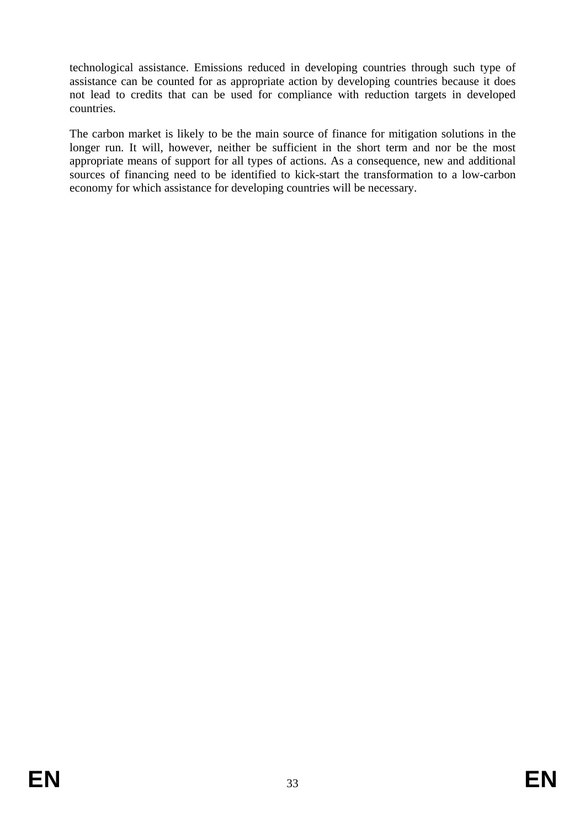technological assistance. Emissions reduced in developing countries through such type of assistance can be counted for as appropriate action by developing countries because it does not lead to credits that can be used for compliance with reduction targets in developed countries.

The carbon market is likely to be the main source of finance for mitigation solutions in the longer run. It will, however, neither be sufficient in the short term and nor be the most appropriate means of support for all types of actions. As a consequence, new and additional sources of financing need to be identified to kick-start the transformation to a low-carbon economy for which assistance for developing countries will be necessary.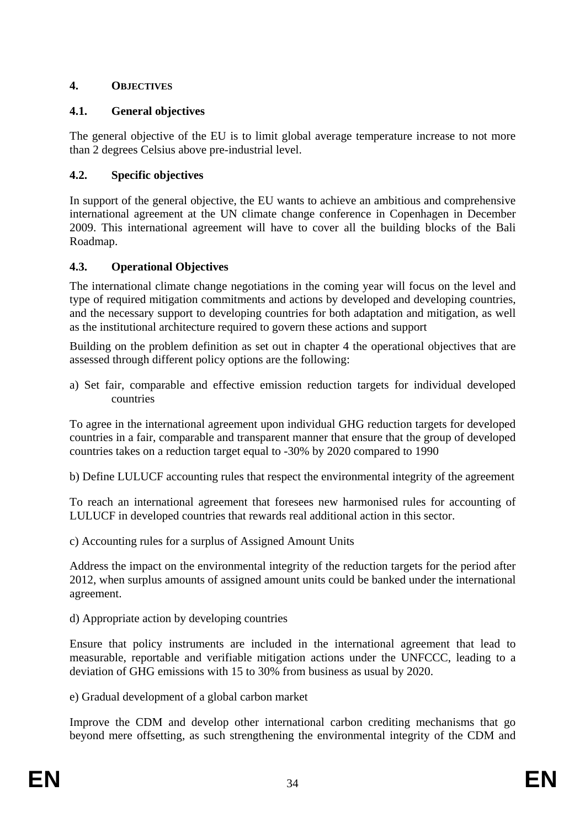## <span id="page-33-1"></span><span id="page-33-0"></span>**4. OBJECTIVES**

## **4.1. General objectives**

The general objective of the EU is to limit global average temperature increase to not more than 2 degrees Celsius above pre-industrial level.

## <span id="page-33-2"></span>**4.2. Specific objectives**

In support of the general objective, the EU wants to achieve an ambitious and comprehensive international agreement at the UN climate change conference in Copenhagen in December 2009. This international agreement will have to cover all the building blocks of the Bali Roadmap.

## <span id="page-33-3"></span>**4.3. Operational Objectives**

The international climate change negotiations in the coming year will focus on the level and type of required mitigation commitments and actions by developed and developing countries, and the necessary support to developing countries for both adaptation and mitigation, as well as the institutional architecture required to govern these actions and support

Building on the problem definition as set out in chapter 4 the operational objectives that are assessed through different policy options are the following:

a) Set fair, comparable and effective emission reduction targets for individual developed countries

To agree in the international agreement upon individual GHG reduction targets for developed countries in a fair, comparable and transparent manner that ensure that the group of developed countries takes on a reduction target equal to -30% by 2020 compared to 1990

b) Define LULUCF accounting rules that respect the environmental integrity of the agreement

To reach an international agreement that foresees new harmonised rules for accounting of LULUCF in developed countries that rewards real additional action in this sector.

c) Accounting rules for a surplus of Assigned Amount Units

Address the impact on the environmental integrity of the reduction targets for the period after 2012, when surplus amounts of assigned amount units could be banked under the international agreement.

d) Appropriate action by developing countries

Ensure that policy instruments are included in the international agreement that lead to measurable, reportable and verifiable mitigation actions under the UNFCCC, leading to a deviation of GHG emissions with 15 to 30% from business as usual by 2020.

e) Gradual development of a global carbon market

Improve the CDM and develop other international carbon crediting mechanisms that go beyond mere offsetting, as such strengthening the environmental integrity of the CDM and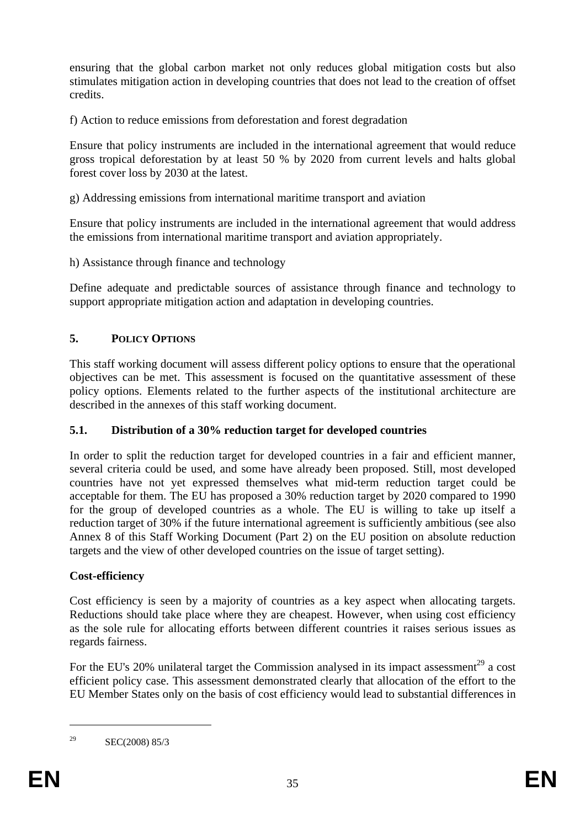ensuring that the global carbon market not only reduces global mitigation costs but also stimulates mitigation action in developing countries that does not lead to the creation of offset credits.

f) Action to reduce emissions from deforestation and forest degradation

Ensure that policy instruments are included in the international agreement that would reduce gross tropical deforestation by at least 50 % by 2020 from current levels and halts global forest cover loss by 2030 at the latest.

g) Addressing emissions from international maritime transport and aviation

Ensure that policy instruments are included in the international agreement that would address the emissions from international maritime transport and aviation appropriately.

h) Assistance through finance and technology

Define adequate and predictable sources of assistance through finance and technology to support appropriate mitigation action and adaptation in developing countries.

# <span id="page-34-0"></span>**5. POLICY OPTIONS**

This staff working document will assess different policy options to ensure that the operational objectives can be met. This assessment is focused on the quantitative assessment of these policy options. Elements related to the further aspects of the institutional architecture are described in the annexes of this staff working document.

# <span id="page-34-1"></span>**5.1. Distribution of a 30% reduction target for developed countries**

In order to split the reduction target for developed countries in a fair and efficient manner, several criteria could be used, and some have already been proposed. Still, most developed countries have not yet expressed themselves what mid-term reduction target could be acceptable for them. The EU has proposed a 30% reduction target by 2020 compared to 1990 for the group of developed countries as a whole. The EU is willing to take up itself a reduction target of 30% if the future international agreement is sufficiently ambitious (see also Annex 8 of this Staff Working Document (Part 2) on the EU position on absolute reduction targets and the view of other developed countries on the issue of target setting).

# **Cost-efficiency**

Cost efficiency is seen by a majority of countries as a key aspect when allocating targets. Reductions should take place where they are cheapest. However, when using cost efficiency as the sole rule for allocating efforts between different countries it raises serious issues as regards fairness.

For the EU's 20% unilateral target the Commission analysed in its impact assessment<sup>29</sup> a cost efficient policy case. This assessment demonstrated clearly that allocation of the effort to the EU Member States only on the basis of cost efficiency would lead to substantial differences in

<sup>&</sup>lt;sup>29</sup> SEC(2008) 85/3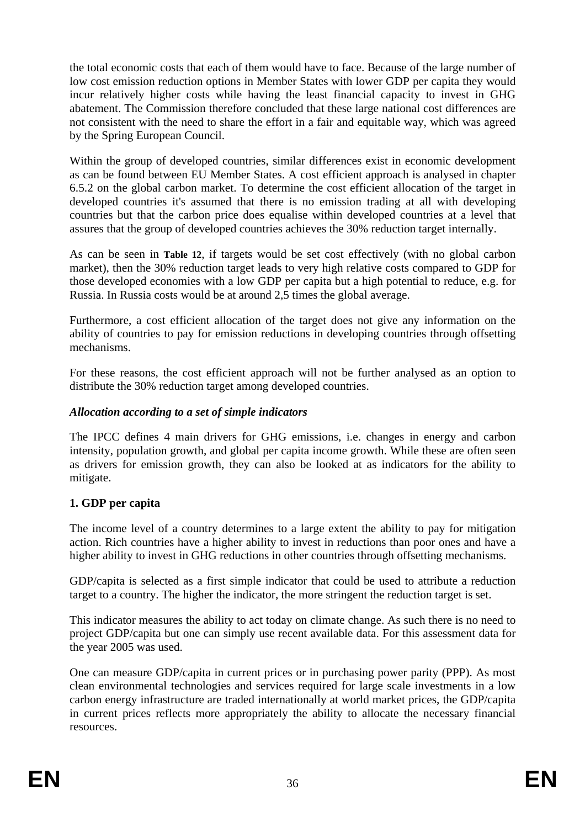the total economic costs that each of them would have to face. Because of the large number of low cost emission reduction options in Member States with lower GDP per capita they would incur relatively higher costs while having the least financial capacity to invest in GHG abatement. The Commission therefore concluded that these large national cost differences are not consistent with the need to share the effort in a fair and equitable way, which was agreed by the Spring European Council.

Within the group of developed countries, similar differences exist in economic development as can be found between EU Member States. A cost efficient approach is analysed in chapter [6.5.2](#page-71-0) on the global carbon market. To determine the cost efficient allocation of the target in developed countries it's assumed that there is no emission trading at all with developing countries but that the carbon price does equalise within developed countries at a level that assures that the group of developed countries achieves the 30% reduction target internally.

As can be seen in **[Table 12](#page-73-0)**, if targets would be set cost effectively (with no global carbon market), then the 30% reduction target leads to very high relative costs compared to GDP for those developed economies with a low GDP per capita but a high potential to reduce, e.g. for Russia. In Russia costs would be at around 2,5 times the global average.

Furthermore, a cost efficient allocation of the target does not give any information on the ability of countries to pay for emission reductions in developing countries through offsetting mechanisms.

For these reasons, the cost efficient approach will not be further analysed as an option to distribute the 30% reduction target among developed countries.

## *Allocation according to a set of simple indicators*

The IPCC defines 4 main drivers for GHG emissions, i.e. changes in energy and carbon intensity, population growth, and global per capita income growth. While these are often seen as drivers for emission growth, they can also be looked at as indicators for the ability to mitigate.

# **1. GDP per capita**

The income level of a country determines to a large extent the ability to pay for mitigation action. Rich countries have a higher ability to invest in reductions than poor ones and have a higher ability to invest in GHG reductions in other countries through offsetting mechanisms.

GDP/capita is selected as a first simple indicator that could be used to attribute a reduction target to a country. The higher the indicator, the more stringent the reduction target is set.

This indicator measures the ability to act today on climate change. As such there is no need to project GDP/capita but one can simply use recent available data. For this assessment data for the year 2005 was used.

One can measure GDP/capita in current prices or in purchasing power parity (PPP). As most clean environmental technologies and services required for large scale investments in a low carbon energy infrastructure are traded internationally at world market prices, the GDP/capita in current prices reflects more appropriately the ability to allocate the necessary financial resources.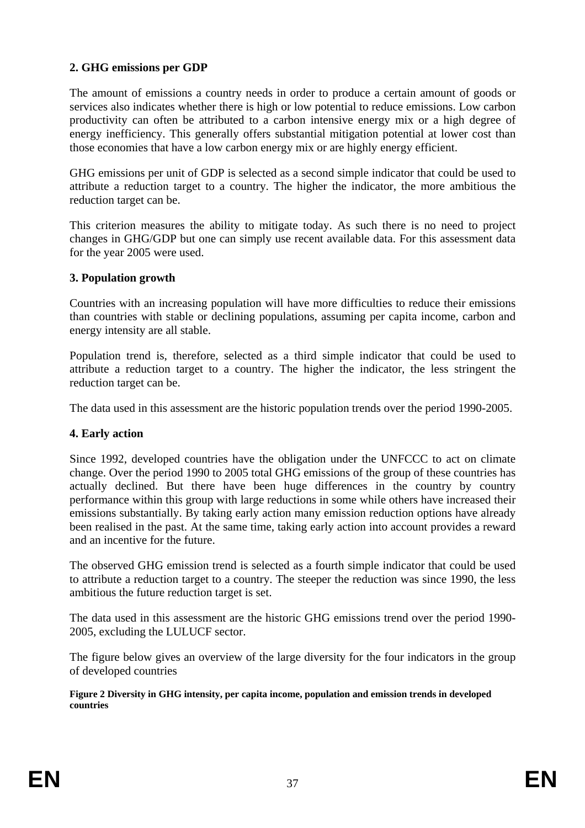# **2. GHG emissions per GDP**

The amount of emissions a country needs in order to produce a certain amount of goods or services also indicates whether there is high or low potential to reduce emissions. Low carbon productivity can often be attributed to a carbon intensive energy mix or a high degree of energy inefficiency. This generally offers substantial mitigation potential at lower cost than those economies that have a low carbon energy mix or are highly energy efficient.

GHG emissions per unit of GDP is selected as a second simple indicator that could be used to attribute a reduction target to a country. The higher the indicator, the more ambitious the reduction target can be.

This criterion measures the ability to mitigate today. As such there is no need to project changes in GHG/GDP but one can simply use recent available data. For this assessment data for the year 2005 were used.

### **3. Population growth**

Countries with an increasing population will have more difficulties to reduce their emissions than countries with stable or declining populations, assuming per capita income, carbon and energy intensity are all stable.

Population trend is, therefore, selected as a third simple indicator that could be used to attribute a reduction target to a country. The higher the indicator, the less stringent the reduction target can be.

The data used in this assessment are the historic population trends over the period 1990-2005.

# **4. Early action**

Since 1992, developed countries have the obligation under the UNFCCC to act on climate change. Over the period 1990 to 2005 total GHG emissions of the group of these countries has actually declined. But there have been huge differences in the country by country performance within this group with large reductions in some while others have increased their emissions substantially. By taking early action many emission reduction options have already been realised in the past. At the same time, taking early action into account provides a reward and an incentive for the future.

The observed GHG emission trend is selected as a fourth simple indicator that could be used to attribute a reduction target to a country. The steeper the reduction was since 1990, the less ambitious the future reduction target is set.

The data used in this assessment are the historic GHG emissions trend over the period 1990- 2005, excluding the LULUCF sector.

The figure below gives an overview of the large diversity for the four indicators in the group of developed countries

**Figure 2 Diversity in GHG intensity, per capita income, population and emission trends in developed countries**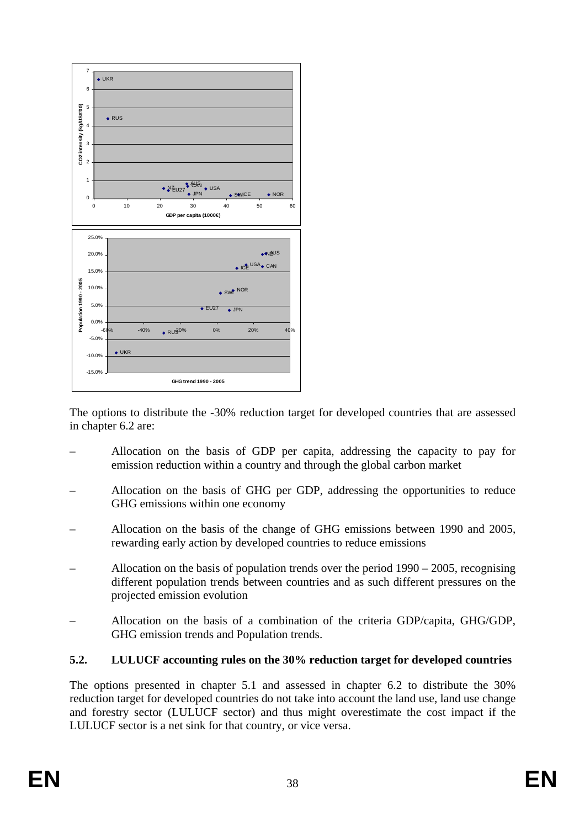

The options to distribute the -30% reduction target for developed countries that are assessed in chapte[r 6.2](#page-47-0) are:

- Allocation on the basis of GDP per capita, addressing the capacity to pay for emission reduction within a country and through the global carbon market
- Allocation on the basis of GHG per GDP, addressing the opportunities to reduce GHG emissions within one economy
- Allocation on the basis of the change of GHG emissions between 1990 and 2005, rewarding early action by developed countries to reduce emissions
- Allocation on the basis of population trends over the period  $1990 2005$ , recognising different population trends between countries and as such different pressures on the projected emission evolution
- Allocation on the basis of a combination of the criteria GDP/capita, GHG/GDP, GHG emission trends and Population trends.

# <span id="page-37-0"></span>**5.2. LULUCF accounting rules on the 30% reduction target for developed countries**

The options presented in chapter [5.1](#page-34-0) and assessed in chapter [6.2](#page-47-0) to distribute the 30% reduction target for developed countries do not take into account the land use, land use change and forestry sector (LULUCF sector) and thus might overestimate the cost impact if the LULUCF sector is a net sink for that country, or vice versa.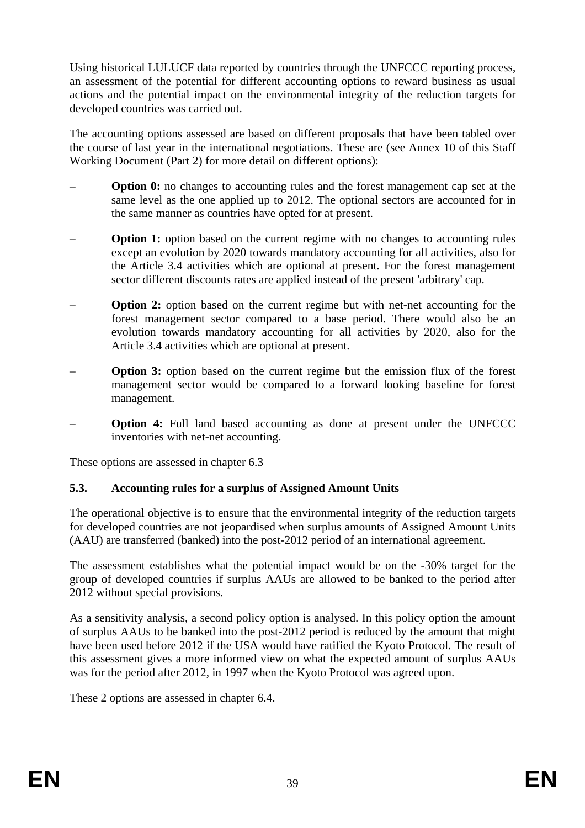Using historical LULUCF data reported by countries through the UNFCCC reporting process, an assessment of the potential for different accounting options to reward business as usual actions and the potential impact on the environmental integrity of the reduction targets for developed countries was carried out.

The accounting options assessed are based on different proposals that have been tabled over the course of last year in the international negotiations. These are (see Annex 10 of this Staff Working Document (Part 2) for more detail on different options):

- **Option 0:** no changes to accounting rules and the forest management cap set at the same level as the one applied up to 2012. The optional sectors are accounted for in the same manner as countries have opted for at present.
- **Option 1:** option based on the current regime with no changes to accounting rules except an evolution by 2020 towards mandatory accounting for all activities, also for the Article 3.4 activities which are optional at present. For the forest management sector different discounts rates are applied instead of the present 'arbitrary' cap.
- **Option 2:** option based on the current regime but with net-net accounting for the forest management sector compared to a base period. There would also be an evolution towards mandatory accounting for all activities by 2020, also for the Article 3.4 activities which are optional at present.
- **Option 3:** option based on the current regime but the emission flux of the forest management sector would be compared to a forward looking baseline for forest management.
- **Option 4:** Full land based accounting as done at present under the UNFCCC inventories with net-net accounting.

These options are assessed in chapter [6.3](#page-53-0) 

# **5.3. Accounting rules for a surplus of Assigned Amount Units**

The operational objective is to ensure that the environmental integrity of the reduction targets for developed countries are not jeopardised when surplus amounts of Assigned Amount Units (AAU) are transferred (banked) into the post-2012 period of an international agreement.

The assessment establishes what the potential impact would be on the -30% target for the group of developed countries if surplus AAUs are allowed to be banked to the period after 2012 without special provisions.

As a sensitivity analysis, a second policy option is analysed. In this policy option the amount of surplus AAUs to be banked into the post-2012 period is reduced by the amount that might have been used before 2012 if the USA would have ratified the Kyoto Protocol. The result of this assessment gives a more informed view on what the expected amount of surplus AAUs was for the period after 2012, in 1997 when the Kyoto Protocol was agreed upon.

These 2 options are assessed in chapter [6.4.](#page-58-0)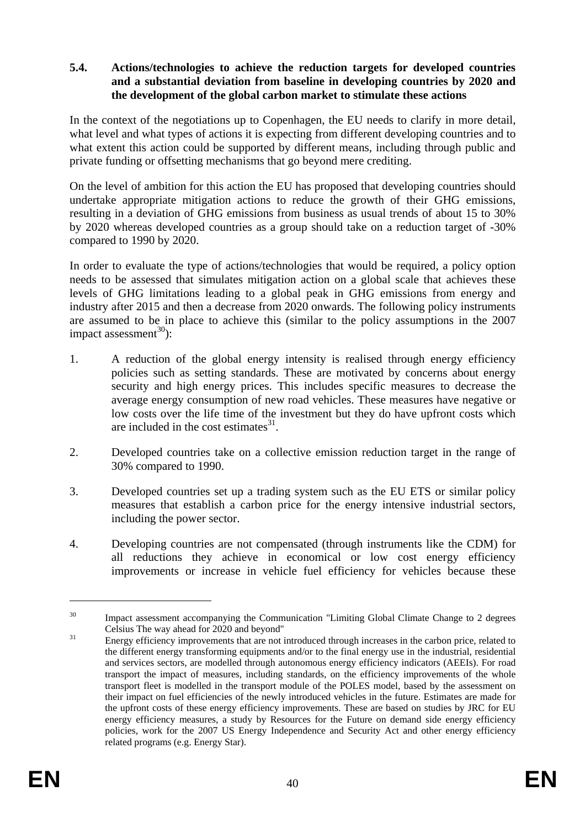### <span id="page-39-0"></span>**5.4. Actions/technologies to achieve the reduction targets for developed countries and a substantial deviation from baseline in developing countries by 2020 and the development of the global carbon market to stimulate these actions**

In the context of the negotiations up to Copenhagen, the EU needs to clarify in more detail, what level and what types of actions it is expecting from different developing countries and to what extent this action could be supported by different means, including through public and private funding or offsetting mechanisms that go beyond mere crediting.

On the level of ambition for this action the EU has proposed that developing countries should undertake appropriate mitigation actions to reduce the growth of their GHG emissions, resulting in a deviation of GHG emissions from business as usual trends of about 15 to 30% by 2020 whereas developed countries as a group should take on a reduction target of -30% compared to 1990 by 2020.

In order to evaluate the type of actions/technologies that would be required, a policy option needs to be assessed that simulates mitigation action on a global scale that achieves these levels of GHG limitations leading to a global peak in GHG emissions from energy and industry after 2015 and then a decrease from 2020 onwards. The following policy instruments are assumed to be in place to achieve this (similar to the policy assumptions in the 2007 impact assessment<sup>30</sup>):

- 1. A reduction of the global energy intensity is realised through energy efficiency policies such as setting standards. These are motivated by concerns about energy security and high energy prices. This includes specific measures to decrease the average energy consumption of new road vehicles. These measures have negative or low costs over the life time of the investment but they do have upfront costs which are included in the cost estimates $31$ .
- 2. Developed countries take on a collective emission reduction target in the range of 30% compared to 1990.
- 3. Developed countries set up a trading system such as the EU ETS or similar policy measures that establish a carbon price for the energy intensive industrial sectors, including the power sector.
- 4. Developing countries are not compensated (through instruments like the CDM) for all reductions they achieve in economical or low cost energy efficiency improvements or increase in vehicle fuel efficiency for vehicles because these

<u>.</u>

<sup>&</sup>lt;sup>30</sup> Impact assessment accompanying the Communication "Limiting Global Climate Change to 2 degrees Celsius The way ahead for 2020 and beyond" 31 Energy efficiency improvements that are not introduced through increases in the carbon price, related to

the different energy transforming equipments and/or to the final energy use in the industrial, residential and services sectors, are modelled through autonomous energy efficiency indicators (AEEIs). For road transport the impact of measures, including standards, on the efficiency improvements of the whole transport fleet is modelled in the transport module of the POLES model, based by the assessment on their impact on fuel efficiencies of the newly introduced vehicles in the future. Estimates are made for the upfront costs of these energy efficiency improvements. These are based on studies by JRC for EU energy efficiency measures, a study by Resources for the Future on demand side energy efficiency policies, work for the 2007 US Energy Independence and Security Act and other energy efficiency related programs (e.g. Energy Star).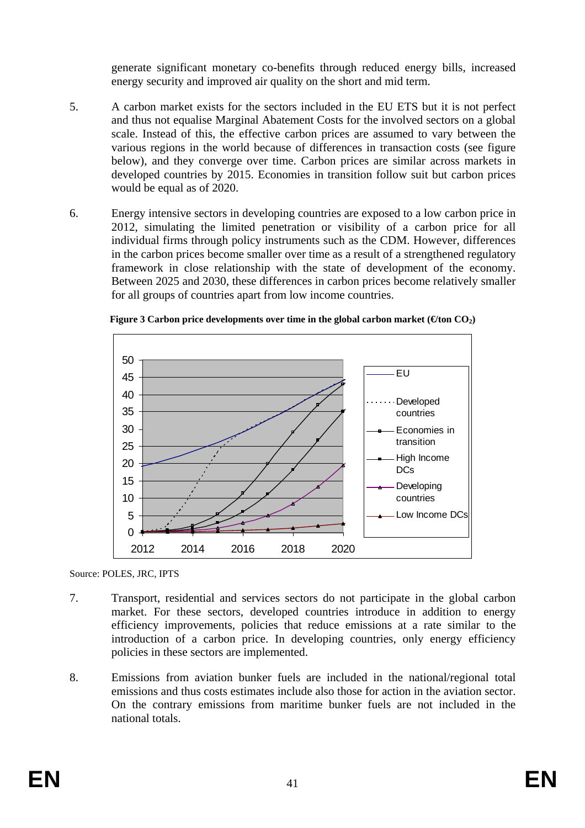generate significant monetary co-benefits through reduced energy bills, increased energy security and improved air quality on the short and mid term.

- 5. A carbon market exists for the sectors included in the EU ETS but it is not perfect and thus not equalise Marginal Abatement Costs for the involved sectors on a global scale. Instead of this, the effective carbon prices are assumed to vary between the various regions in the world because of differences in transaction costs (see figure below), and they converge over time. Carbon prices are similar across markets in developed countries by 2015. Economies in transition follow suit but carbon prices would be equal as of 2020.
- 6. Energy intensive sectors in developing countries are exposed to a low carbon price in 2012, simulating the limited penetration or visibility of a carbon price for all individual firms through policy instruments such as the CDM. However, differences in the carbon prices become smaller over time as a result of a strengthened regulatory framework in close relationship with the state of development of the economy. Between 2025 and 2030, these differences in carbon prices become relatively smaller for all groups of countries apart from low income countries.



|  | Figure 3 Carbon price developments over time in the global carbon market ( $\Theta$ ton CO <sub>2</sub> ) |  |  |  |  |
|--|-----------------------------------------------------------------------------------------------------------|--|--|--|--|
|  |                                                                                                           |  |  |  |  |

Source: POLES, JRC, IPTS

- 7. Transport, residential and services sectors do not participate in the global carbon market. For these sectors, developed countries introduce in addition to energy efficiency improvements, policies that reduce emissions at a rate similar to the introduction of a carbon price. In developing countries, only energy efficiency policies in these sectors are implemented.
- 8. Emissions from aviation bunker fuels are included in the national/regional total emissions and thus costs estimates include also those for action in the aviation sector. On the contrary emissions from maritime bunker fuels are not included in the national totals.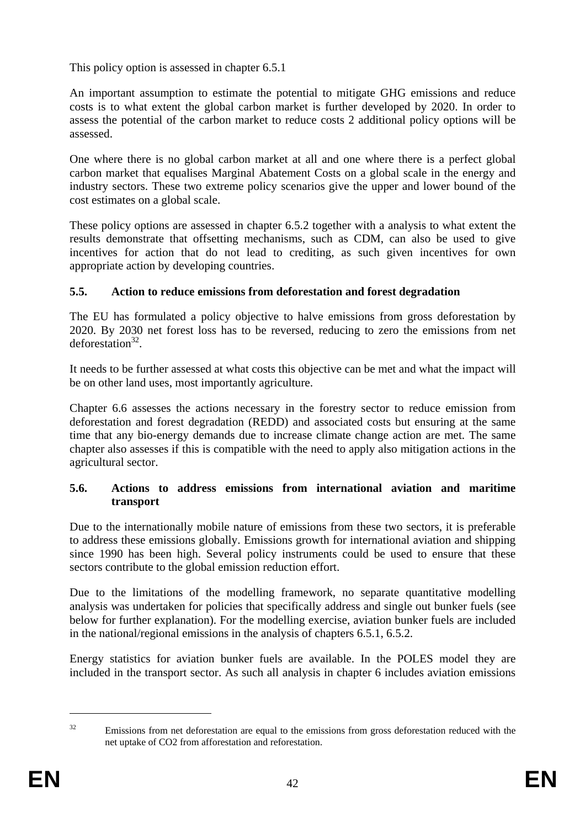This policy option is assessed in chapte[r 6.5.1](#page-60-0) 

An important assumption to estimate the potential to mitigate GHG emissions and reduce costs is to what extent the global carbon market is further developed by 2020. In order to assess the potential of the carbon market to reduce costs 2 additional policy options will be assessed.

One where there is no global carbon market at all and one where there is a perfect global carbon market that equalises Marginal Abatement Costs on a global scale in the energy and industry sectors. These two extreme policy scenarios give the upper and lower bound of the cost estimates on a global scale.

These policy options are assessed in chapter [6.5.2](#page-71-0) together with a analysis to what extent the results demonstrate that offsetting mechanisms, such as CDM, can also be used to give incentives for action that do not lead to crediting, as such given incentives for own appropriate action by developing countries.

# **5.5. Action to reduce emissions from deforestation and forest degradation**

The EU has formulated a policy objective to halve emissions from gross deforestation by 2020. By 2030 net forest loss has to be reversed, reducing to zero the emissions from net  $deforestation<sup>32</sup>$ .

It needs to be further assessed at what costs this objective can be met and what the impact will be on other land uses, most importantly agriculture.

Chapter [6.6](#page-78-0) assesses the actions necessary in the forestry sector to reduce emission from deforestation and forest degradation (REDD) and associated costs but ensuring at the same time that any bio-energy demands due to increase climate change action are met. The same chapter also assesses if this is compatible with the need to apply also mitigation actions in the agricultural sector.

# **5.6. Actions to address emissions from international aviation and maritime transport**

Due to the internationally mobile nature of emissions from these two sectors, it is preferable to address these emissions globally. Emissions growth for international aviation and shipping since 1990 has been high. Several policy instruments could be used to ensure that these sectors contribute to the global emission reduction effort.

Due to the limitations of the modelling framework, no separate quantitative modelling analysis was undertaken for policies that specifically address and single out bunker fuels (see below for further explanation). For the modelling exercise, aviation bunker fuels are included in the national/regional emissions in the analysis of chapter[s 6.5.1,](#page-60-0) [6.5.2.](#page-71-0)

Energy statistics for aviation bunker fuels are available. In the POLES model they are included in the transport sector. As such all analysis in chapter [6](#page-44-0) includes aviation emissions

1

<sup>&</sup>lt;sup>32</sup> Emissions from net deforestation are equal to the emissions from gross deforestation reduced with the net uptake of CO2 from afforestation and reforestation.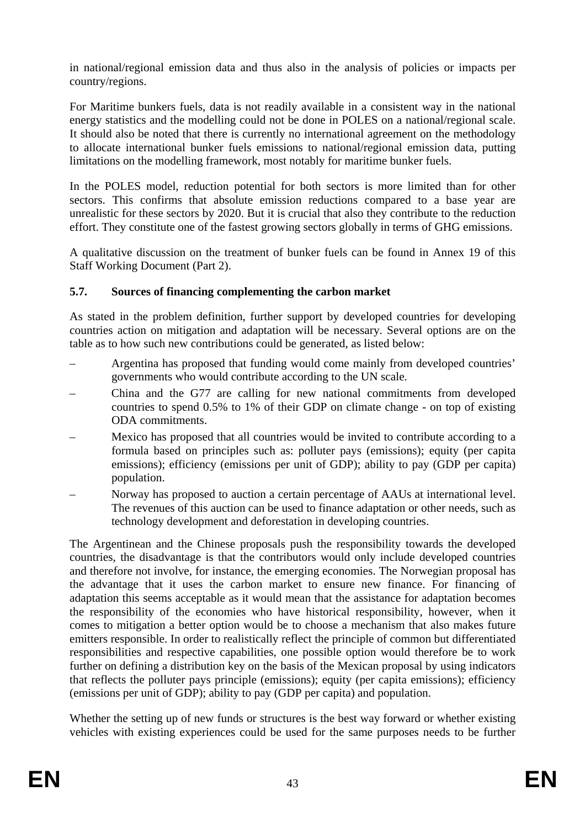in national/regional emission data and thus also in the analysis of policies or impacts per country/regions.

For Maritime bunkers fuels, data is not readily available in a consistent way in the national energy statistics and the modelling could not be done in POLES on a national/regional scale. It should also be noted that there is currently no international agreement on the methodology to allocate international bunker fuels emissions to national/regional emission data, putting limitations on the modelling framework, most notably for maritime bunker fuels.

In the POLES model, reduction potential for both sectors is more limited than for other sectors. This confirms that absolute emission reductions compared to a base year are unrealistic for these sectors by 2020. But it is crucial that also they contribute to the reduction effort. They constitute one of the fastest growing sectors globally in terms of GHG emissions.

A qualitative discussion on the treatment of bunker fuels can be found in Annex 19 of this Staff Working Document (Part 2).

# **5.7. Sources of financing complementing the carbon market**

As stated in the problem definition, further support by developed countries for developing countries action on mitigation and adaptation will be necessary. Several options are on the table as to how such new contributions could be generated, as listed below:

- Argentina has proposed that funding would come mainly from developed countries' governments who would contribute according to the UN scale.
- China and the G77 are calling for new national commitments from developed countries to spend 0.5% to 1% of their GDP on climate change - on top of existing ODA commitments.
- Mexico has proposed that all countries would be invited to contribute according to a formula based on principles such as: polluter pays (emissions); equity (per capita emissions); efficiency (emissions per unit of GDP); ability to pay (GDP per capita) population.
- Norway has proposed to auction a certain percentage of AAUs at international level. The revenues of this auction can be used to finance adaptation or other needs, such as technology development and deforestation in developing countries.

The Argentinean and the Chinese proposals push the responsibility towards the developed countries, the disadvantage is that the contributors would only include developed countries and therefore not involve, for instance, the emerging economies. The Norwegian proposal has the advantage that it uses the carbon market to ensure new finance. For financing of adaptation this seems acceptable as it would mean that the assistance for adaptation becomes the responsibility of the economies who have historical responsibility, however, when it comes to mitigation a better option would be to choose a mechanism that also makes future emitters responsible. In order to realistically reflect the principle of common but differentiated responsibilities and respective capabilities, one possible option would therefore be to work further on defining a distribution key on the basis of the Mexican proposal by using indicators that reflects the polluter pays principle (emissions); equity (per capita emissions); efficiency (emissions per unit of GDP); ability to pay (GDP per capita) and population.

Whether the setting up of new funds or structures is the best way forward or whether existing vehicles with existing experiences could be used for the same purposes needs to be further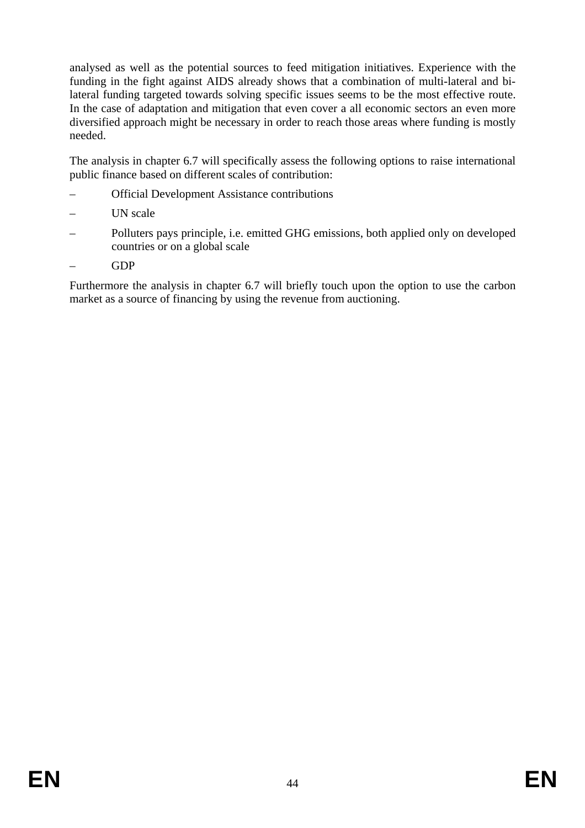analysed as well as the potential sources to feed mitigation initiatives. Experience with the funding in the fight against AIDS already shows that a combination of multi-lateral and bilateral funding targeted towards solving specific issues seems to be the most effective route. In the case of adaptation and mitigation that even cover a all economic sectors an even more diversified approach might be necessary in order to reach those areas where funding is mostly needed.

The analysis in chapte[r 6.7](#page-87-0) will specifically assess the following options to raise international public finance based on different scales of contribution:

- Official Development Assistance contributions
- UN scale
- Polluters pays principle, i.e. emitted GHG emissions, both applied only on developed countries or on a global scale
- GDP

Furthermore the analysis in chapter [6.7](#page-87-0) will briefly touch upon the option to use the carbon market as a source of financing by using the revenue from auctioning.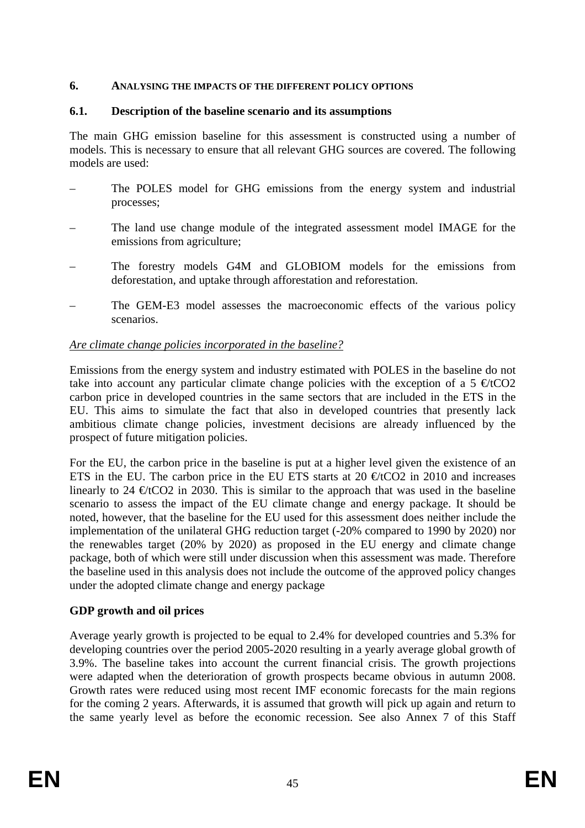### **6. ANALYSING THE IMPACTS OF THE DIFFERENT POLICY OPTIONS**

## **6.1. Description of the baseline scenario and its assumptions**

The main GHG emission baseline for this assessment is constructed using a number of models. This is necessary to ensure that all relevant GHG sources are covered. The following models are used:

- The POLES model for GHG emissions from the energy system and industrial processes;
- The land use change module of the integrated assessment model IMAGE for the emissions from agriculture;
- The forestry models G4M and GLOBIOM models for the emissions from deforestation, and uptake through afforestation and reforestation.
- <span id="page-44-0"></span>The GEM-E3 model assesses the macroeconomic effects of the various policy scenarios.

## *Are climate change policies incorporated in the baseline?*

Emissions from the energy system and industry estimated with POLES in the baseline do not take into account any particular climate change policies with the exception of a 5  $\epsilon$ tCO2 carbon price in developed countries in the same sectors that are included in the ETS in the EU. This aims to simulate the fact that also in developed countries that presently lack ambitious climate change policies, investment decisions are already influenced by the prospect of future mitigation policies.

For the EU, the carbon price in the baseline is put at a higher level given the existence of an ETS in the EU. The carbon price in the EU ETS starts at 20  $\epsilon$ tCO2 in 2010 and increases linearly to 24  $\epsilon$ tCO2 in 2030. This is similar to the approach that was used in the baseline scenario to assess the impact of the EU climate change and energy package. It should be noted, however, that the baseline for the EU used for this assessment does neither include the implementation of the unilateral GHG reduction target (-20% compared to 1990 by 2020) nor the renewables target (20% by 2020) as proposed in the EU energy and climate change package, both of which were still under discussion when this assessment was made. Therefore the baseline used in this analysis does not include the outcome of the approved policy changes under the adopted climate change and energy package

# **GDP growth and oil prices**

Average yearly growth is projected to be equal to 2.4% for developed countries and 5.3% for developing countries over the period 2005-2020 resulting in a yearly average global growth of 3.9%. The baseline takes into account the current financial crisis. The growth projections were adapted when the deterioration of growth prospects became obvious in autumn 2008. Growth rates were reduced using most recent IMF economic forecasts for the main regions for the coming 2 years. Afterwards, it is assumed that growth will pick up again and return to the same yearly level as before the economic recession. See also Annex 7 of this Staff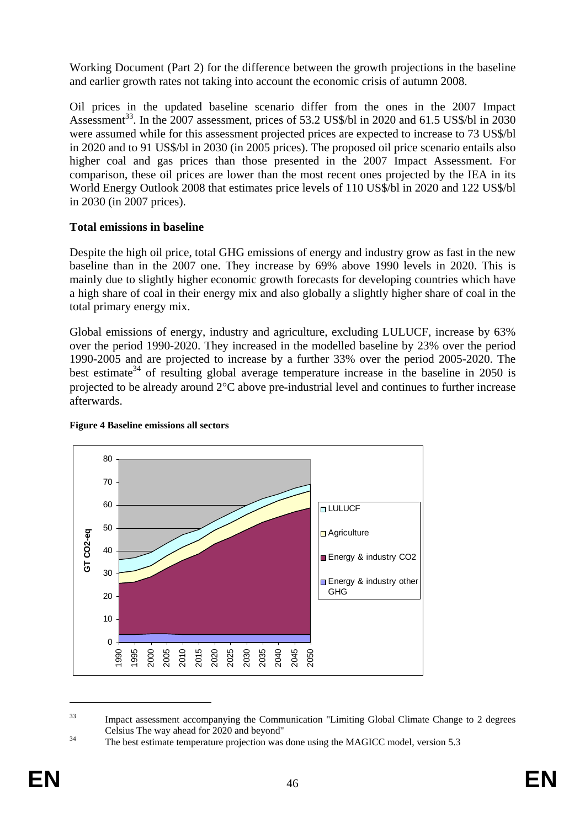Working Document (Part 2) for the difference between the growth projections in the baseline and earlier growth rates not taking into account the economic crisis of autumn 2008.

Oil prices in the updated baseline scenario differ from the ones in the 2007 Impact Assessment<sup>33</sup>. In the 2007 assessment, prices of 53.2 US\$/bl in 2020 and 61.5 US\$/bl in 2030 were assumed while for this assessment projected prices are expected to increase to 73 US\$/bl in 2020 and to 91 US\$/bl in 2030 (in 2005 prices). The proposed oil price scenario entails also higher coal and gas prices than those presented in the 2007 Impact Assessment. For comparison, these oil prices are lower than the most recent ones projected by the IEA in its World Energy Outlook 2008 that estimates price levels of 110 US\$/bl in 2020 and 122 US\$/bl in 2030 (in 2007 prices).

# **Total emissions in baseline**

Despite the high oil price, total GHG emissions of energy and industry grow as fast in the new baseline than in the 2007 one. They increase by 69% above 1990 levels in 2020. This is mainly due to slightly higher economic growth forecasts for developing countries which have a high share of coal in their energy mix and also globally a slightly higher share of coal in the total primary energy mix.

Global emissions of energy, industry and agriculture, excluding LULUCF, increase by 63% over the period 1990-2020. They increased in the modelled baseline by 23% over the period 1990-2005 and are projected to increase by a further 33% over the period 2005-2020. The best estimate<sup>34</sup> of resulting global average temperature increase in the baseline in 2050 is projected to be already around 2°C above pre-industrial level and continues to further increase afterwards.



#### **Figure 4 Baseline emissions all sectors**

<u>.</u>

<sup>&</sup>lt;sup>33</sup> Impact assessment accompanying the Communication "Limiting Global Climate Change to 2 degrees Celsius The way ahead for 2020 and beyond" 34 The best estimate temperature projection was done using the MAGICC model, version 5.3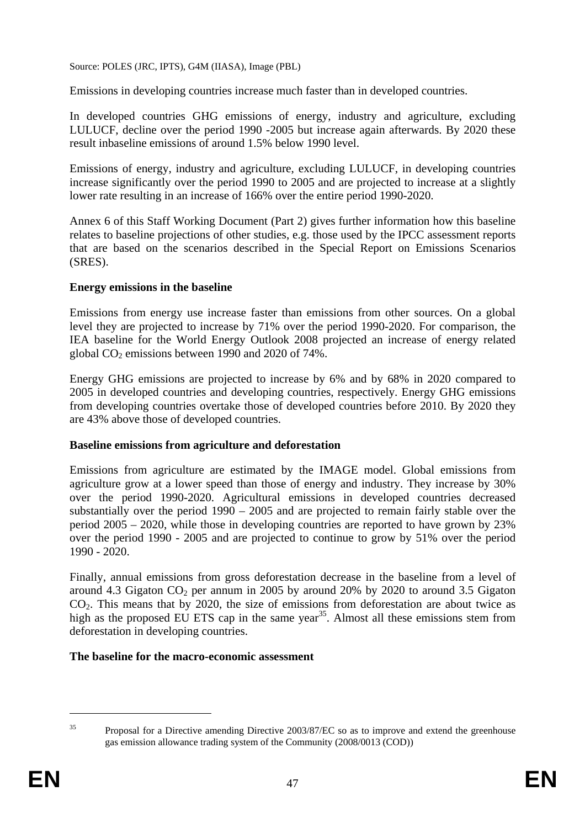Source: POLES (JRC, IPTS), G4M (IIASA), Image (PBL)

Emissions in developing countries increase much faster than in developed countries.

In developed countries GHG emissions of energy, industry and agriculture, excluding LULUCF, decline over the period 1990 -2005 but increase again afterwards. By 2020 these result inbaseline emissions of around 1.5% below 1990 level.

Emissions of energy, industry and agriculture, excluding LULUCF, in developing countries increase significantly over the period 1990 to 2005 and are projected to increase at a slightly lower rate resulting in an increase of 166% over the entire period 1990-2020.

Annex 6 of this Staff Working Document (Part 2) gives further information how this baseline relates to baseline projections of other studies, e.g. those used by the IPCC assessment reports that are based on the scenarios described in the Special Report on Emissions Scenarios (SRES).

## **Energy emissions in the baseline**

Emissions from energy use increase faster than emissions from other sources. On a global level they are projected to increase by 71% over the period 1990-2020. For comparison, the IEA baseline for the World Energy Outlook 2008 projected an increase of energy related global  $CO<sub>2</sub>$  emissions between 1990 and 2020 of 74%.

Energy GHG emissions are projected to increase by 6% and by 68% in 2020 compared to 2005 in developed countries and developing countries, respectively. Energy GHG emissions from developing countries overtake those of developed countries before 2010. By 2020 they are 43% above those of developed countries.

# **Baseline emissions from agriculture and deforestation**

Emissions from agriculture are estimated by the IMAGE model. Global emissions from agriculture grow at a lower speed than those of energy and industry. They increase by 30% over the period 1990-2020. Agricultural emissions in developed countries decreased substantially over the period 1990 – 2005 and are projected to remain fairly stable over the period 2005 – 2020, while those in developing countries are reported to have grown by 23% over the period 1990 - 2005 and are projected to continue to grow by 51% over the period 1990 - 2020.

Finally, annual emissions from gross deforestation decrease in the baseline from a level of around 4.3 Gigaton  $CO_2$  per annum in 2005 by around 20% by 2020 to around 3.5 Gigaton  $CO<sub>2</sub>$ . This means that by 2020, the size of emissions from deforestation are about twice as high as the proposed EU ETS cap in the same year<sup>35</sup>. Almost all these emissions stem from deforestation in developing countries.

### **The baseline for the macro-economic assessment**

<sup>1</sup> 

<sup>&</sup>lt;sup>35</sup> Proposal for a Directive amending Directive 2003/87/EC so as to improve and extend the greenhouse gas emission allowance trading system of the Community (2008/0013 (COD))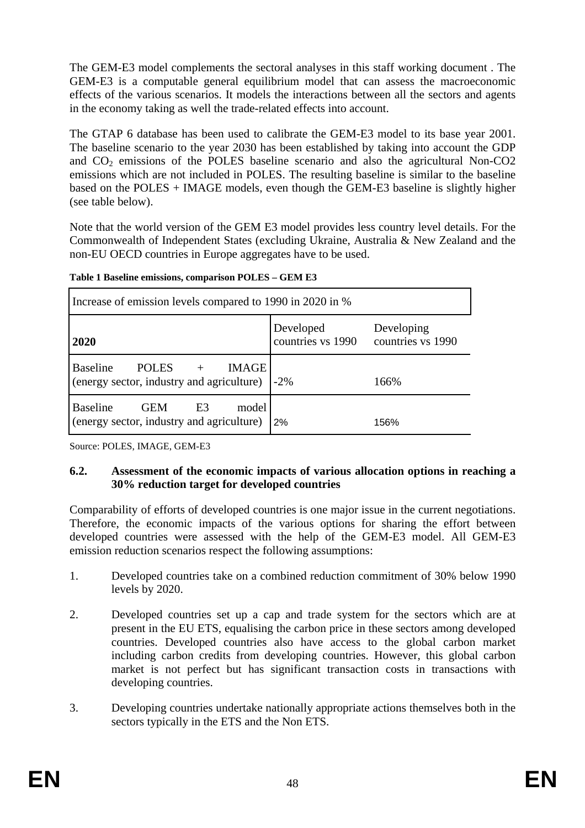The GEM-E3 model complements the sectoral analyses in this staff working document . The GEM-E3 is a computable general equilibrium model that can assess the macroeconomic effects of the various scenarios. It models the interactions between all the sectors and agents in the economy taking as well the trade-related effects into account.

The GTAP 6 database has been used to calibrate the GEM-E3 model to its base year 2001. The baseline scenario to the year 2030 has been established by taking into account the GDP and  $CO<sub>2</sub>$  emissions of the POLES baseline scenario and also the agricultural Non-CO2 emissions which are not included in POLES. The resulting baseline is similar to the baseline based on the POLES + IMAGE models, even though the GEM-E3 baseline is slightly higher (see table below).

Note that the world version of the GEM E3 model provides less country level details. For the Commonwealth of Independent States (excluding Ukraine, Australia & New Zealand and the non-EU OECD countries in Europe aggregates have to be used.

| Increase of emission levels compared to 1990 in 2020 in %                                             |                                |                                 |  |  |  |
|-------------------------------------------------------------------------------------------------------|--------------------------------|---------------------------------|--|--|--|
| 2020                                                                                                  | Developed<br>countries vs 1990 | Developing<br>countries vs 1990 |  |  |  |
| <b>Baseline</b><br>POLES<br>IMAGE<br>(energy sector, industry and agriculture)                        | $-2\%$                         | 166%                            |  |  |  |
| <b>Baseline</b><br>model<br><b>GEM</b><br>E <sub>3</sub><br>(energy sector, industry and agriculture) | 2%                             | 156%                            |  |  |  |

**Table 1 Baseline emissions, comparison POLES – GEM E3** 

<span id="page-47-0"></span>Source: POLES, IMAGE, GEM-E3

# **6.2. Assessment of the economic impacts of various allocation options in reaching a 30% reduction target for developed countries**

Comparability of efforts of developed countries is one major issue in the current negotiations. Therefore, the economic impacts of the various options for sharing the effort between developed countries were assessed with the help of the GEM-E3 model. All GEM-E3 emission reduction scenarios respect the following assumptions:

- 1. Developed countries take on a combined reduction commitment of 30% below 1990 levels by 2020.
- 2. Developed countries set up a cap and trade system for the sectors which are at present in the EU ETS, equalising the carbon price in these sectors among developed countries. Developed countries also have access to the global carbon market including carbon credits from developing countries. However, this global carbon market is not perfect but has significant transaction costs in transactions with developing countries.
- 3. Developing countries undertake nationally appropriate actions themselves both in the sectors typically in the ETS and the Non ETS.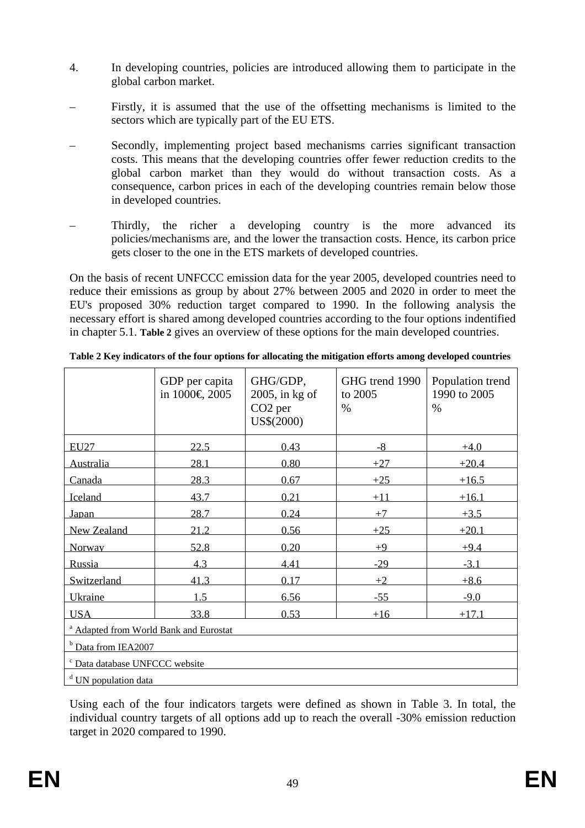- 4. In developing countries, policies are introduced allowing them to participate in the global carbon market.
- Firstly, it is assumed that the use of the offsetting mechanisms is limited to the sectors which are typically part of the EU ETS.
- Secondly, implementing project based mechanisms carries significant transaction costs. This means that the developing countries offer fewer reduction credits to the global carbon market than they would do without transaction costs. As a consequence, carbon prices in each of the developing countries remain below those in developed countries.
- Thirdly, the richer a developing country is the more advanced its policies/mechanisms are, and the lower the transaction costs. Hence, its carbon price gets closer to the one in the ETS markets of developed countries.

On the basis of recent UNFCCC emission data for the year 2005, developed countries need to reduce their emissions as group by about 27% between 2005 and 2020 in order to meet the EU's proposed 30% reduction target compared to 1990. In the following analysis the necessary effort is shared among developed countries according to the four options indentified in chapte[r 5.1.](#page-34-0) **[Table 2](#page-48-0)** gives an overview of these options for the main developed countries.

|                                                   | GDP per capita<br>in 1000€ 2005 | GHG/GDP,<br>$2005$ , in kg of<br>CO <sub>2</sub> per<br>US\$(2000) | GHG trend 1990<br>to 2005<br>$\%$ | Population trend<br>1990 to 2005<br>$\%$ |  |  |
|---------------------------------------------------|---------------------------------|--------------------------------------------------------------------|-----------------------------------|------------------------------------------|--|--|
| <b>EU27</b>                                       | 22.5                            | 0.43                                                               | $-8$                              | $+4.0$                                   |  |  |
| Australia                                         | 28.1                            | 0.80                                                               | ±27                               | $+20.4$                                  |  |  |
| Canada                                            | 28.3                            | 0.67                                                               | $+25$                             | $+16.5$                                  |  |  |
| Iceland                                           | 43.7                            | 0.21                                                               | $+11$                             | $+16.1$                                  |  |  |
| Japan                                             | 28.7                            | 0.24                                                               | $+7$                              | $+3.5$                                   |  |  |
| New Zealand                                       | 21.2                            | 0.56                                                               | $+25$                             | $+20.1$                                  |  |  |
| Norway                                            | 52.8                            | 0.20                                                               | $+9$                              | $+9.4$                                   |  |  |
| Russia                                            | 4.3                             | 4.41                                                               | $-29$                             | $-3.1$                                   |  |  |
| Switzerland                                       | 41.3                            | 0.17                                                               | $+2$                              | $+8.6$                                   |  |  |
| Ukraine                                           | 1.5                             | 6.56                                                               | $-55$                             | $-9.0$                                   |  |  |
| <b>USA</b>                                        | 33.8                            | 0.53                                                               | $+16$                             | ±17.1                                    |  |  |
| <sup>a</sup> Adapted from World Bank and Eurostat |                                 |                                                                    |                                   |                                          |  |  |
| b Data from IEA2007                               |                                 |                                                                    |                                   |                                          |  |  |
| <sup>c</sup> Data database UNFCCC website         |                                 |                                                                    |                                   |                                          |  |  |
| <sup>d</sup> UN population data                   |                                 |                                                                    |                                   |                                          |  |  |

<span id="page-48-0"></span>**Table 2 Key indicators of the four options for allocating the mitigation efforts among developed countries** 

Using each of the four indicators targets were defined as shown in [Table 3.](#page-49-0) In total, the individual country targets of all options add up to reach the overall -30% emission reduction target in 2020 compared to 1990.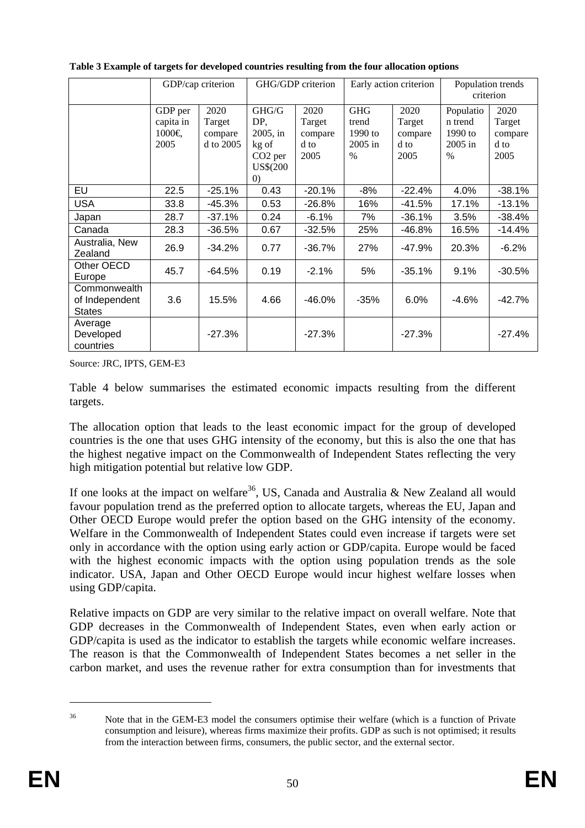|                                                 |                                       | GDP/cap criterion                      |                                                                             | GHG/GDP criterion                         | Early action criterion                              |                                           | Population trends<br>criterion                       |                                           |
|-------------------------------------------------|---------------------------------------|----------------------------------------|-----------------------------------------------------------------------------|-------------------------------------------|-----------------------------------------------------|-------------------------------------------|------------------------------------------------------|-------------------------------------------|
|                                                 | GDP per<br>capita in<br>1000€<br>2005 | 2020<br>Target<br>compare<br>d to 2005 | GHG/G<br>DP,<br>2005, in<br>kg of<br>CO <sub>2</sub> per<br>US\$(200<br>(0) | 2020<br>Target<br>compare<br>d to<br>2005 | <b>GHG</b><br>trend<br>1990 to<br>$2005$ in<br>$\%$ | 2020<br>Target<br>compare<br>d to<br>2005 | Populatio<br>n trend<br>$1990$ to<br>2005 in<br>$\%$ | 2020<br>Target<br>compare<br>d to<br>2005 |
| EU                                              | 22.5                                  | $-25.1%$                               | 0.43                                                                        | $-20.1%$                                  | $-8%$                                               | $-22.4%$                                  | 4.0%                                                 | $-38.1%$                                  |
| <b>USA</b>                                      | 33.8                                  | -45.3%                                 | 0.53                                                                        | -26.8%                                    | 16%                                                 | -41.5%                                    | 17.1%                                                | $-13.1%$                                  |
| Japan                                           | 28.7                                  | $-37.1%$                               | 0.24                                                                        | $-6.1%$                                   | 7%                                                  | $-36.1%$                                  | 3.5%                                                 | $-38.4%$                                  |
| Canada                                          | 28.3                                  | $-36.5%$                               | 0.67                                                                        | $-32.5%$                                  | 25%                                                 | $-46.8%$                                  | 16.5%                                                | $-14.4%$                                  |
| Australia, New<br>Zealand                       | 26.9                                  | $-34.2%$                               | 0.77                                                                        | $-36.7%$                                  | 27%                                                 | $-47.9%$                                  | 20.3%                                                | $-6.2%$                                   |
| Other OECD<br>Europe                            | 45.7                                  | $-64.5%$                               | 0.19                                                                        | $-2.1%$                                   | 5%                                                  | $-35.1%$                                  | 9.1%                                                 | $-30.5%$                                  |
| Commonwealth<br>of Independent<br><b>States</b> | 3.6                                   | 15.5%                                  | 4.66                                                                        | $-46.0%$                                  | $-35%$                                              | 6.0%                                      | $-4.6%$                                              | $-42.7%$                                  |
| Average<br>Developed<br>countries               |                                       | $-27.3%$                               |                                                                             | $-27.3%$                                  |                                                     | $-27.3%$                                  |                                                      | $-27.4%$                                  |

<span id="page-49-0"></span>**Table 3 Example of targets for developed countries resulting from the four allocation options** 

Source: JRC, IPTS, GEM-E3

[Table 4](#page-50-0) below summarises the estimated economic impacts resulting from the different targets.

The allocation option that leads to the least economic impact for the group of developed countries is the one that uses GHG intensity of the economy, but this is also the one that has the highest negative impact on the Commonwealth of Independent States reflecting the very high mitigation potential but relative low GDP.

If one looks at the impact on welfare<sup>36</sup>, US, Canada and Australia & New Zealand all would favour population trend as the preferred option to allocate targets, whereas the EU, Japan and Other OECD Europe would prefer the option based on the GHG intensity of the economy. Welfare in the Commonwealth of Independent States could even increase if targets were set only in accordance with the option using early action or GDP/capita. Europe would be faced with the highest economic impacts with the option using population trends as the sole indicator. USA, Japan and Other OECD Europe would incur highest welfare losses when using GDP/capita.

Relative impacts on GDP are very similar to the relative impact on overall welfare. Note that GDP decreases in the Commonwealth of Independent States, even when early action or GDP/capita is used as the indicator to establish the targets while economic welfare increases. The reason is that the Commonwealth of Independent States becomes a net seller in the carbon market, and uses the revenue rather for extra consumption than for investments that

<u>.</u>

<sup>&</sup>lt;sup>36</sup> Note that in the GEM-E3 model the consumers optimise their welfare (which is a function of Private consumption and leisure), whereas firms maximize their profits. GDP as such is not optimised; it results from the interaction between firms, consumers, the public sector, and the external sector.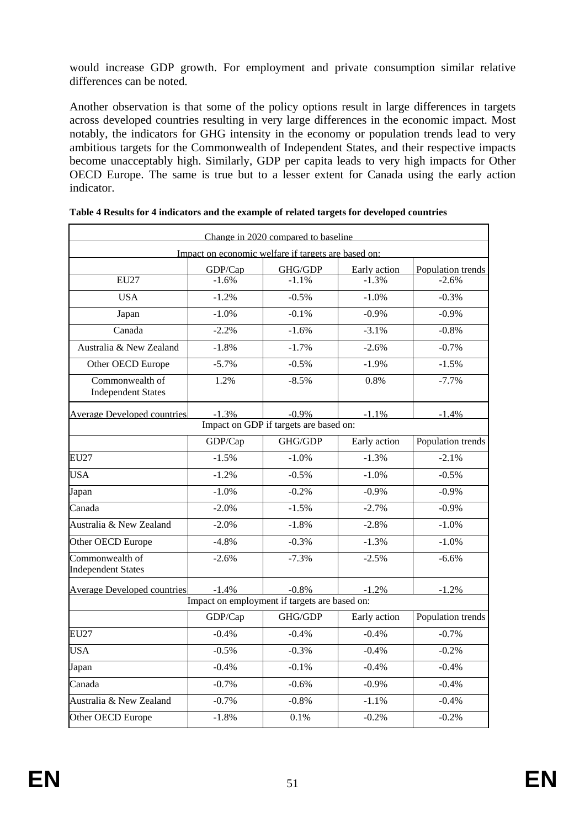would increase GDP growth. For employment and private consumption similar relative differences can be noted.

Another observation is that some of the policy options result in large differences in targets across developed countries resulting in very large differences in the economic impact. Most notably, the indicators for GHG intensity in the economy or population trends lead to very ambitious targets for the Commonwealth of Independent States, and their respective impacts become unacceptably high. Similarly, GDP per capita leads to very high impacts for Other OECD Europe. The same is true but to a lesser extent for Canada using the early action indicator.

|                                              |          | Change in 2020 compared to baseline                 |              |                   |
|----------------------------------------------|----------|-----------------------------------------------------|--------------|-------------------|
|                                              |          | Impact on economic welfare if targets are based on: |              |                   |
|                                              | GDP/Cap  | GHG/GDP                                             | Early action | Population trends |
| <b>EU27</b>                                  | $-1.6%$  | $-1.1%$                                             | $-1.3%$      | $-2.6%$           |
| <b>USA</b>                                   | $-1.2%$  | $-0.5%$                                             | $-1.0%$      | $-0.3%$           |
| Japan                                        | $-1.0%$  | $-0.1%$                                             | $-0.9%$      | $-0.9%$           |
| Canada                                       | $-2.2%$  | $-1.6%$                                             | $-3.1%$      | $-0.8%$           |
| Australia & New Zealand                      | $-1.8%$  | $-1.7%$                                             | $-2.6%$      | $-0.7%$           |
| Other OECD Europe                            | $-5.7%$  | $-0.5%$                                             | $-1.9%$      | $-1.5%$           |
| Commonwealth of<br><b>Independent States</b> | 1.2%     | $-8.5%$                                             | 0.8%         | $-7.7%$           |
| <b>Average Developed countries</b>           | $-1.3%$  | $-0.9\%$                                            | $-1.1%$      | $-1.4%$           |
|                                              |          | Impact on GDP if targets are based on:              |              |                   |
|                                              | GDP/Cap  | GHG/GDP                                             | Early action | Population trends |
| <b>EU27</b>                                  | $-1.5%$  | $-1.0%$                                             | $-1.3%$      | $-2.1%$           |
| <b>USA</b>                                   | $-1.2%$  | $-0.5%$                                             | $-1.0%$      | $-0.5%$           |
| Japan                                        | $-1.0%$  | $-0.2%$                                             | $-0.9%$      | $-0.9%$           |
| Canada                                       | $-2.0%$  | $-1.5%$                                             | $-2.7%$      | $-0.9%$           |
| Australia & New Zealand                      | $-2.0%$  | $-1.8%$                                             | $-2.8%$      | $-1.0%$           |
| Other OECD Europe                            | $-4.8%$  | $-0.3%$                                             | $-1.3%$      | $-1.0%$           |
| Commonwealth of<br><b>Independent States</b> | $-2.6%$  | $-7.3%$                                             | $-2.5%$      | $-6.6%$           |
| <b>Average Developed countries</b>           | $-1.4\%$ | $-0.8\%$                                            | $-1.2\%$     | $-1.2%$           |
|                                              |          | Impact on employment if targets are based on:       |              |                   |
|                                              | GDP/Cap  | GHG/GDP                                             | Early action | Population trends |
| <b>EU27</b>                                  | $-0.4%$  | $-0.4%$                                             | $-0.4%$      | $-0.7%$           |
| <b>USA</b>                                   | $-0.5%$  | $-0.3%$                                             | $-0.4%$      | $-0.2%$           |
| Japan                                        | $-0.4%$  | $-0.1%$                                             | $-0.4%$      | $-0.4%$           |
| Canada                                       | $-0.7%$  | $-0.6%$                                             | $-0.9%$      | $-0.4%$           |
| Australia & New Zealand                      | $-0.7%$  | $-0.8%$                                             | $-1.1%$      | $-0.4%$           |
| Other OECD Europe                            | $-1.8%$  | 0.1%                                                | $-0.2%$      | $-0.2%$           |

<span id="page-50-0"></span>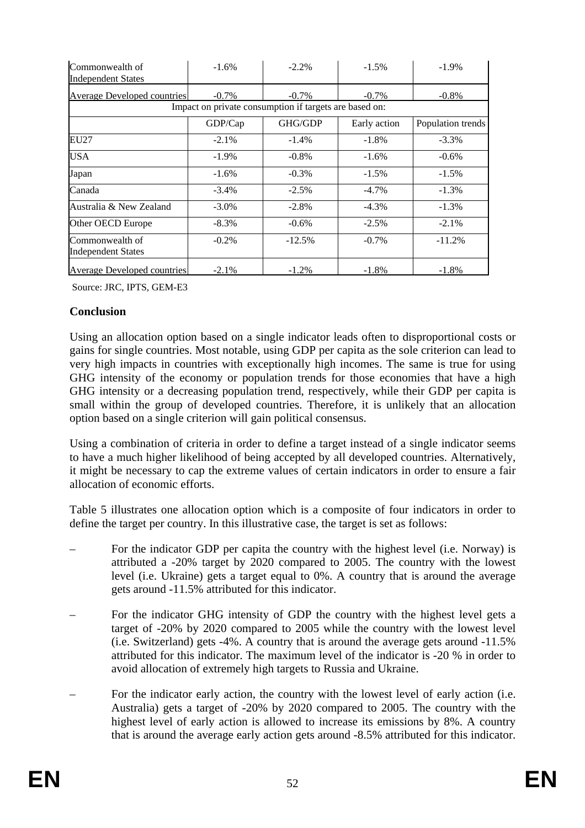| Commonwealth of<br><b>Independent States</b> | $-1.6%$  | $-2.2\%$                                               | $-1.5%$      | $-1.9\%$          |
|----------------------------------------------|----------|--------------------------------------------------------|--------------|-------------------|
| <b>Average Developed countries</b>           | $-0.7\%$ | $-0.7\%$                                               | $-0.7\%$     | $-0.8\%$          |
|                                              |          | Impact on private consumption if targets are based on: |              |                   |
|                                              | GDP/Cap  | GHG/GDP                                                | Early action | Population trends |
| EU27                                         | $-2.1\%$ | $-1.4\%$                                               | $-1.8\%$     | $-3.3\%$          |
| <b>USA</b>                                   | $-1.9\%$ | $-0.8\%$                                               | $-1.6\%$     | $-0.6\%$          |
| Japan                                        | $-1.6%$  | $-0.3\%$                                               | $-1.5\%$     | $-1.5\%$          |
| Canada                                       | $-3.4\%$ | $-2.5%$                                                | $-4.7\%$     | $-1.3\%$          |
| Australia & New Zealand                      | $-3.0\%$ | $-2.8\%$                                               | $-4.3\%$     | $-1.3\%$          |
| Other OECD Europe                            | $-8.3\%$ | $-0.6\%$                                               | $-2.5%$      | $-2.1\%$          |
| Commonwealth of<br><b>Independent States</b> | $-0.2\%$ | $-12.5%$                                               | $-0.7\%$     | $-11.2%$          |
| <b>Average Developed countries</b>           | $-2.1\%$ | $-1.2\%$                                               | $-1.8%$      | $-1.8%$           |

Source: JRC, IPTS, GEM-E3

## **Conclusion**

Using an allocation option based on a single indicator leads often to disproportional costs or gains for single countries. Most notable, using GDP per capita as the sole criterion can lead to very high impacts in countries with exceptionally high incomes. The same is true for using GHG intensity of the economy or population trends for those economies that have a high GHG intensity or a decreasing population trend, respectively, while their GDP per capita is small within the group of developed countries. Therefore, it is unlikely that an allocation option based on a single criterion will gain political consensus.

Using a combination of criteria in order to define a target instead of a single indicator seems to have a much higher likelihood of being accepted by all developed countries. Alternatively, it might be necessary to cap the extreme values of certain indicators in order to ensure a fair allocation of economic efforts.

[Table 5](#page-52-0) illustrates one allocation option which is a composite of four indicators in order to define the target per country. In this illustrative case, the target is set as follows:

- For the indicator GDP per capita the country with the highest level (i.e. Norway) is attributed a -20% target by 2020 compared to 2005. The country with the lowest level (i.e. Ukraine) gets a target equal to 0%. A country that is around the average gets around -11.5% attributed for this indicator.
- For the indicator GHG intensity of GDP the country with the highest level gets a target of -20% by 2020 compared to 2005 while the country with the lowest level (i.e. Switzerland) gets -4%. A country that is around the average gets around -11.5% attributed for this indicator. The maximum level of the indicator is -20 % in order to avoid allocation of extremely high targets to Russia and Ukraine.
- For the indicator early action, the country with the lowest level of early action (i.e. Australia) gets a target of -20% by 2020 compared to 2005. The country with the highest level of early action is allowed to increase its emissions by 8%. A country that is around the average early action gets around -8.5% attributed for this indicator.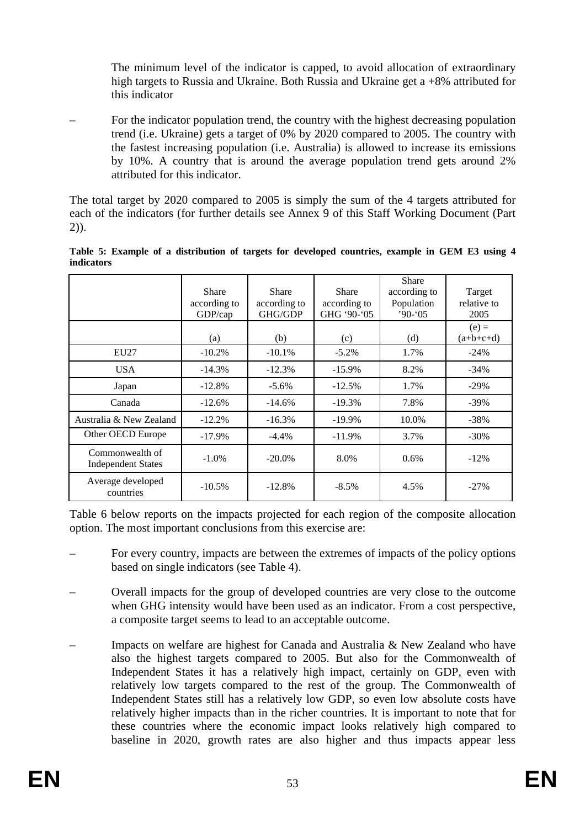The minimum level of the indicator is capped, to avoid allocation of extraordinary high targets to Russia and Ukraine. Both Russia and Ukraine get a +8% attributed for this indicator

– For the indicator population trend, the country with the highest decreasing population trend (i.e. Ukraine) gets a target of 0% by 2020 compared to 2005. The country with the fastest increasing population (i.e. Australia) is allowed to increase its emissions by 10%. A country that is around the average population trend gets around 2% attributed for this indicator.

The total target by 2020 compared to 2005 is simply the sum of the 4 targets attributed for each of the indicators (for further details see Annex 9 of this Staff Working Document (Part 2)).

|                                              | Share<br>according to<br>GDP/cap | Share<br>according to<br>GHG/GDP | Share<br>according to<br>GHG '90-'05 | Share<br>according to<br>Population<br>$90 - 05$ | Target<br>relative to<br>2005 |
|----------------------------------------------|----------------------------------|----------------------------------|--------------------------------------|--------------------------------------------------|-------------------------------|
|                                              | (a)                              | (b)                              | (c)                                  | (d)                                              | $(e) =$<br>$(a+b+c+d)$        |
| EU27                                         | $-10.2\%$                        | $-10.1%$                         | $-5.2\%$                             | 1.7%                                             | $-24\%$                       |
| <b>USA</b>                                   | $-14.3%$                         | $-12.3%$                         | $-15.9\%$                            | 8.2%                                             | $-34\%$                       |
| Japan                                        | $-12.8%$                         | $-5.6\%$                         | $-12.5%$                             | 1.7%                                             | $-29\%$                       |
| Canada                                       | $-12.6%$                         | $-14.6%$                         | $-19.3%$                             | 7.8%                                             | $-39\%$                       |
| Australia & New Zealand                      | $-12.2\%$                        | $-16.3\%$                        | $-19.9\%$                            | 10.0%                                            | $-38%$                        |
| Other OECD Europe                            | $-17.9\%$                        | $-4.4\%$                         | $-11.9\%$                            | 3.7%                                             | $-30\%$                       |
| Commonwealth of<br><b>Independent States</b> | $-1.0\%$                         | $-20.0\%$                        | 8.0%                                 | 0.6%                                             | $-12\%$                       |
| Average developed<br>countries               | $-10.5\%$                        | $-12.8%$                         | $-8.5\%$                             | 4.5%                                             | $-27\%$                       |

<span id="page-52-0"></span>**Table 5: Example of a distribution of targets for developed countries, example in GEM E3 using 4 indicators** 

[Table 6](#page-53-1) below reports on the impacts projected for each region of the composite allocation option. The most important conclusions from this exercise are:

- For every country, impacts are between the extremes of impacts of the policy options based on single indicators (se[e Table 4\)](#page-50-0).
- Overall impacts for the group of developed countries are very close to the outcome when GHG intensity would have been used as an indicator. From a cost perspective, a composite target seems to lead to an acceptable outcome.
- Impacts on welfare are highest for Canada and Australia  $\&$  New Zealand who have also the highest targets compared to 2005. But also for the Commonwealth of Independent States it has a relatively high impact, certainly on GDP, even with relatively low targets compared to the rest of the group. The Commonwealth of Independent States still has a relatively low GDP, so even low absolute costs have relatively higher impacts than in the richer countries. It is important to note that for these countries where the economic impact looks relatively high compared to baseline in 2020, growth rates are also higher and thus impacts appear less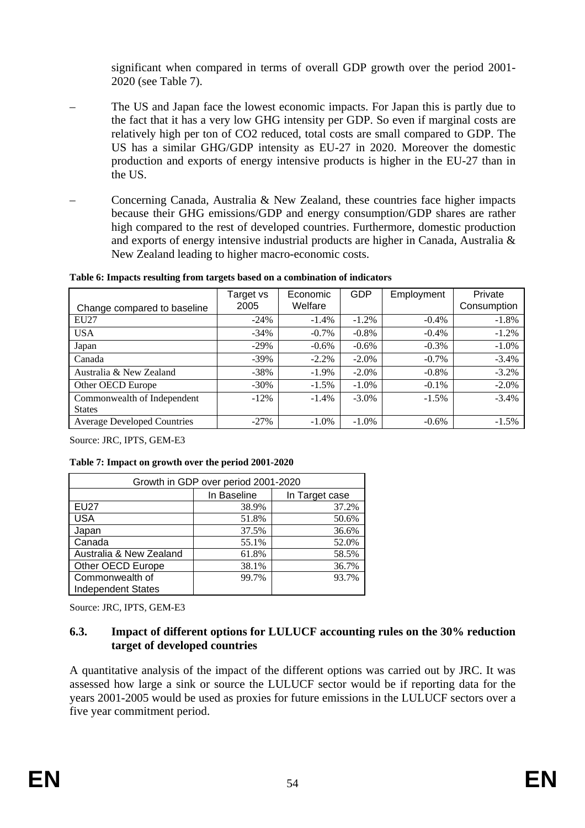significant when compared in terms of overall GDP growth over the period 2001- 2020 (see [Table 7\)](#page-53-2).

- The US and Japan face the lowest economic impacts. For Japan this is partly due to the fact that it has a very low GHG intensity per GDP. So even if marginal costs are relatively high per ton of CO2 reduced, total costs are small compared to GDP. The US has a similar GHG/GDP intensity as EU-27 in 2020. Moreover the domestic production and exports of energy intensive products is higher in the EU-27 than in the US.
- Concerning Canada, Australia & New Zealand, these countries face higher impacts because their GHG emissions/GDP and energy consumption/GDP shares are rather high compared to the rest of developed countries. Furthermore, domestic production and exports of energy intensive industrial products are higher in Canada, Australia & New Zealand leading to higher macro-economic costs.

<span id="page-53-1"></span>**Table 6: Impacts resulting from targets based on a combination of indicators** 

| Change compared to baseline        | Target vs<br>2005 | Economic<br>Welfare | <b>GDP</b> | Employment | Private<br>Consumption |
|------------------------------------|-------------------|---------------------|------------|------------|------------------------|
| EU27                               | $-24%$            | $-1.4\%$            | $-1.2\%$   | $-0.4%$    | $-1.8\%$               |
| <b>USA</b>                         | $-34\%$           | $-0.7\%$            | $-0.8\%$   | $-0.4%$    | $-1.2%$                |
| Japan                              | $-29\%$           | $-0.6\%$            | $-0.6\%$   | $-0.3\%$   | $-1.0\%$               |
| Canada                             | $-39\%$           | $-2.2%$             | $-2.0\%$   | $-0.7\%$   | $-3.4%$                |
| Australia & New Zealand            | $-38%$            | $-1.9\%$            | $-2.0\%$   | $-0.8\%$   | $-3.2%$                |
| Other OECD Europe                  | $-30\%$           | $-1.5%$             | $-1.0\%$   | $-0.1\%$   | $-2.0%$                |
| Commonwealth of Independent        | $-12\%$           | $-1.4\%$            | $-3.0\%$   | $-1.5\%$   | $-3.4%$                |
| <b>States</b>                      |                   |                     |            |            |                        |
| <b>Average Developed Countries</b> | $-27\%$           | $-1.0\%$            | $-1.0\%$   | $-0.6\%$   | $-1.5\%$               |

Source: JRC, IPTS, GEM-E3

<span id="page-53-2"></span>

|  |  | Table 7: Impact on growth over the period 2001-2020 |
|--|--|-----------------------------------------------------|
|  |  |                                                     |

| Growth in GDP over period 2001-2020 |             |                |  |
|-------------------------------------|-------------|----------------|--|
|                                     | In Baseline | In Target case |  |
| <b>EU27</b>                         | 38.9%       | 37.2%          |  |
| <b>USA</b>                          | 51.8%       | 50.6%          |  |
| Japan                               | 37.5%       | 36.6%          |  |
| Canada                              | 55.1%       | 52.0%          |  |
| Australia & New Zealand             | 61.8%       | 58.5%          |  |
| Other OECD Europe                   | 38.1%       | 36.7%          |  |
| Commonwealth of                     | 99.7%       | 93.7%          |  |
| <b>Independent States</b>           |             |                |  |

<span id="page-53-0"></span>Source: JRC, IPTS, GEM-E3

# **6.3. Impact of different options for LULUCF accounting rules on the 30% reduction target of developed countries**

A quantitative analysis of the impact of the different options was carried out by JRC. It was assessed how large a sink or source the LULUCF sector would be if reporting data for the years 2001-2005 would be used as proxies for future emissions in the LULUCF sectors over a five year commitment period.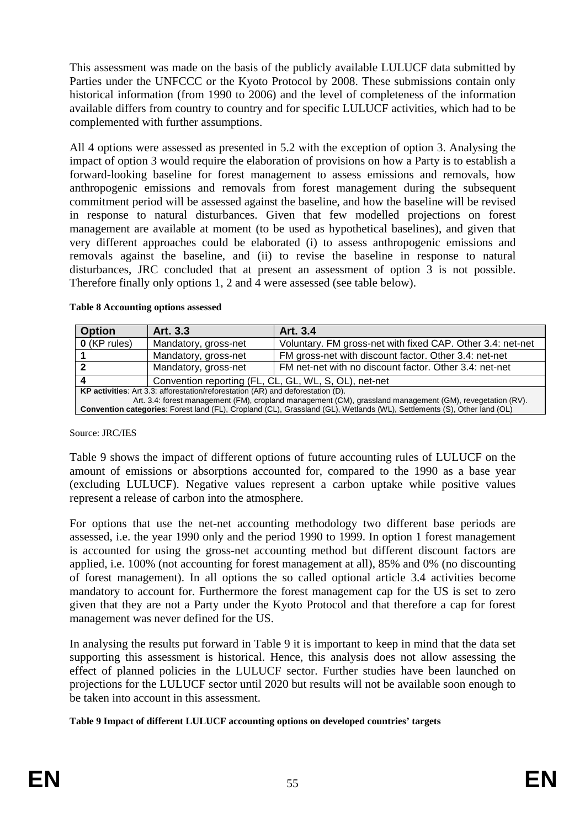This assessment was made on the basis of the publicly available LULUCF data submitted by Parties under the UNFCCC or the Kyoto Protocol by 2008. These submissions contain only historical information (from 1990 to 2006) and the level of completeness of the information available differs from country to country and for specific LULUCF activities, which had to be complemented with further assumptions.

All 4 options were assessed as presented i[n 5.2](#page-37-0) with the exception of option 3. Analysing the impact of option 3 would require the elaboration of provisions on how a Party is to establish a forward-looking baseline for forest management to assess emissions and removals, how anthropogenic emissions and removals from forest management during the subsequent commitment period will be assessed against the baseline, and how the baseline will be revised in response to natural disturbances. Given that few modelled projections on forest management are available at moment (to be used as hypothetical baselines), and given that very different approaches could be elaborated (i) to assess anthropogenic emissions and removals against the baseline, and (ii) to revise the baseline in response to natural disturbances, JRC concluded that at present an assessment of option 3 is not possible. Therefore finally only options 1, 2 and 4 were assessed (see table below).

| <b>Option</b>                                                                                             | Art. 3.3                                                                        | Art. 3.4                                                                                                                |  |  |  |
|-----------------------------------------------------------------------------------------------------------|---------------------------------------------------------------------------------|-------------------------------------------------------------------------------------------------------------------------|--|--|--|
| $O$ (KP rules)                                                                                            | Mandatory, gross-net                                                            | Voluntary. FM gross-net with fixed CAP. Other 3.4: net-net                                                              |  |  |  |
|                                                                                                           | Mandatory, gross-net                                                            | FM gross-net with discount factor. Other 3.4: net-net                                                                   |  |  |  |
|                                                                                                           | Mandatory, gross-net                                                            | FM net-net with no discount factor. Other 3.4: net-net                                                                  |  |  |  |
|                                                                                                           | Convention reporting (FL, CL, GL, WL, S, OL), net-net                           |                                                                                                                         |  |  |  |
|                                                                                                           | KP activities: Art 3.3: afforestation/reforestation (AR) and deforestation (D). |                                                                                                                         |  |  |  |
| Art. 3.4: forest management (FM), cropland management (CM), grassland management (GM), revegetation (RV). |                                                                                 |                                                                                                                         |  |  |  |
|                                                                                                           |                                                                                 | Convention categories: Forest land (FL), Cropland (CL), Grassland (GL), Wetlands (WL), Settlements (S), Other land (OL) |  |  |  |

#### **Table 8 Accounting options assessed**

Source: JRC/IES

[Table 9](#page-54-0) shows the impact of different options of future accounting rules of LULUCF on the amount of emissions or absorptions accounted for, compared to the 1990 as a base year (excluding LULUCF). Negative values represent a carbon uptake while positive values represent a release of carbon into the atmosphere.

For options that use the net-net accounting methodology two different base periods are assessed, i.e. the year 1990 only and the period 1990 to 1999. In option 1 forest management is accounted for using the gross-net accounting method but different discount factors are applied, i.e. 100% (not accounting for forest management at all), 85% and 0% (no discounting of forest management). In all options the so called optional article 3.4 activities become mandatory to account for. Furthermore the forest management cap for the US is set to zero given that they are not a Party under the Kyoto Protocol and that therefore a cap for forest management was never defined for the US.

In analysing the results put forward i[n Table 9](#page-54-0) it is important to keep in mind that the data set supporting this assessment is historical. Hence, this analysis does not allow assessing the effect of planned policies in the LULUCF sector. Further studies have been launched on projections for the LULUCF sector until 2020 but results will not be available soon enough to be taken into account in this assessment.

<span id="page-54-0"></span>**Table 9 Impact of different LULUCF accounting options on developed countries' targets**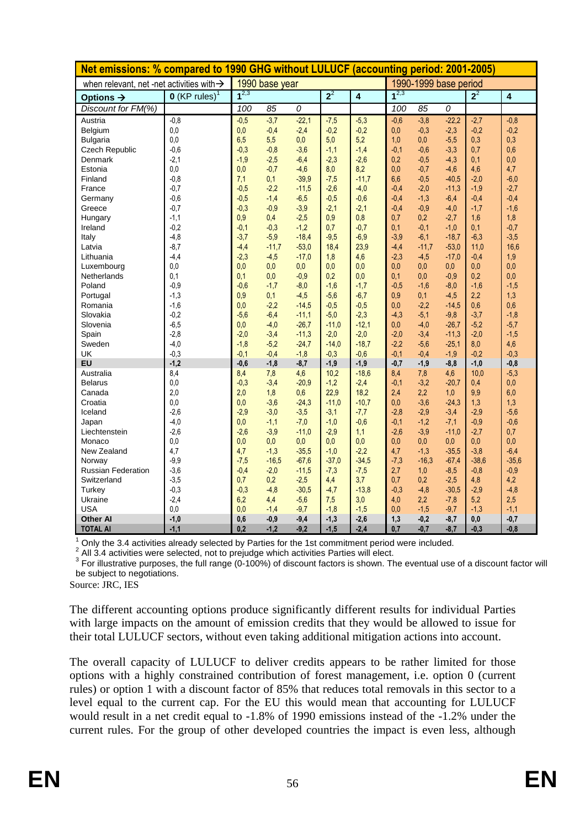| Net emissions: % compared to 1990 GHG without LULUCF (accounting period: 2001-2005) |                             |                |         |         |         |                         |           |         |         |         |                         |
|-------------------------------------------------------------------------------------|-----------------------------|----------------|---------|---------|---------|-------------------------|-----------|---------|---------|---------|-------------------------|
| when relevant, net -net activities with $\rightarrow$                               |                             | 1990 base year |         |         |         | 1990-1999 base period   |           |         |         |         |                         |
| Options $\rightarrow$                                                               | $O$ (KP rules) <sup>1</sup> | $1^{2,3}$      |         |         | $2^2$   | $\overline{\mathbf{4}}$ | $1^{2,3}$ |         |         | $2^2$   | $\overline{\mathbf{4}}$ |
| Discount for FM(%)                                                                  |                             | 100            | 85      | 0       |         |                         | 100       | 85      | 0       |         |                         |
| Austria                                                                             | $-0.8$                      | $-0,5$         | $-3,7$  | $-22,1$ | $-7,5$  | $-5,3$                  | $-0.6$    | $-3,8$  | $-22.2$ | $-2,7$  | $-0,8$                  |
| Belgium                                                                             | 0,0                         | 0,0            | $-0,4$  | $-2,4$  | $-0.2$  | $-0.2$                  | 0,0       | $-0,3$  | $-2,3$  | $-0,2$  | $-0,2$                  |
| <b>Bulgaria</b>                                                                     | 0.0                         | 6,5            | 5,5     | 0,0     | 5,0     | 5,2                     | 1,0       | 0,0     | $-5,5$  | 0,3     | 0,3                     |
| <b>Czech Republic</b>                                                               | $-0,6$                      | $-0,3$         | $-0,8$  | $-3,6$  | $-1,1$  | $-1,4$                  | $-0,1$    | $-0,6$  | $-3,3$  | 0,7     | 0,6                     |
| Denmark                                                                             | $-2,1$                      | $-1,9$         | $-2,5$  | $-6,4$  | $-2,3$  | $-2,6$                  | 0,2       | $-0,5$  | $-4,3$  | 0,1     | 0,0                     |
| Estonia                                                                             | 0,0                         | 0,0            | $-0,7$  | $-4,6$  | 8,0     | 8,2                     | 0,0       | $-0,7$  | $-4,6$  | 4,6     | 4,7                     |
| Finland                                                                             | $-0,8$                      | 7,1            | 0,1     | $-39.9$ | $-7,5$  | $-11,7$                 | 6,6       | $-0,5$  | $-40,5$ | $-2,0$  | $-6,0$                  |
| France                                                                              | $-0,7$                      | $-0,5$         | $-2,2$  | $-11,5$ | $-2,6$  | $-4,0$                  | $-0.4$    | $-2,0$  | $-11,3$ | $-1,9$  | $-2,7$                  |
| Germany                                                                             | $-0,6$                      | $-0,5$         | $-1,4$  | $-6,5$  | $-0,5$  | $-0,6$                  | $-0,4$    | $-1,3$  | $-6,4$  | $-0,4$  | $-0,4$                  |
| Greece                                                                              | $-0,7$                      | $-0,3$         | $-0.9$  | $-3,9$  | $-2,1$  | $-2,1$                  | $-0,4$    | $-0,9$  | $-4,0$  | $-1,7$  | $-1,6$                  |
| Hungary                                                                             | $-1,1$                      | 0,9            | 0.4     | $-2,5$  | 0,9     | 0,8                     | 0,7       | 0,2     | $-2,7$  | 1,6     | 1,8                     |
| Ireland                                                                             | $-0,2$                      | $-0,1$         | $-0,3$  | $-1,2$  | 0,7     | $-0,7$                  | 0.1       | $-0,1$  | $-1,0$  | 0,1     | $-0,7$                  |
| Italy                                                                               | $-4,8$                      | $-3,7$         | $-5,9$  | $-18,4$ | $-9,5$  | $-6,9$                  | $-3,9$    | $-6,1$  | $-18,7$ | $-6,3$  | $-3,5$                  |
| Latvia                                                                              | $-8,7$                      | $-4,4$         | $-11,7$ | $-53,0$ | 18,4    | 23,9                    | $-4,4$    | $-11,7$ | $-53,0$ | 11,0    | 16,6                    |
| Lithuania                                                                           | $-4,4$                      | $-2,3$         | $-4,5$  | $-17,0$ | 1,8     | 4,6                     | $-2,3$    | $-4,5$  | $-17,0$ | $-0,4$  | 1,9                     |
| Luxembourg                                                                          | 0,0                         | 0,0            | 0,0     | 0,0     | 0,0     | 0,0                     | 0,0       | 0,0     | 0,0     | 0,0     | 0,0                     |
| Netherlands                                                                         | 0,1                         | 0,1            | 0,0     | $-0,9$  | 0,2     | 0,0                     | 0,1       | 0,0     | $-0.9$  | 0,2     | 0,0                     |
| Poland                                                                              | $-0.9$                      | $-0.6$         | $-1,7$  | $-8,0$  | $-1,6$  | $-1,7$                  | $-0,5$    | $-1,6$  | $-8,0$  | $-1,6$  | $-1,5$                  |
| Portugal                                                                            | $-1,3$                      | 0,9            | 0,1     | $-4,5$  | $-5,6$  | $-6,7$                  | 0,9       | 0,1     | $-4,5$  | 2,2     | 1,3                     |
| Romania                                                                             | $-1,6$                      | 0,0            | $-2,2$  | $-14,5$ | $-0,5$  | $-0,5$                  | 0,0       | $-2,2$  | $-14,5$ | 0,6     | 0,6                     |
| Slovakia                                                                            | $-0,2$                      | $-5,6$         | $-6,4$  | $-11,1$ | $-5,0$  | $-2,3$                  | $-4,3$    | $-5,1$  | $-9,8$  | $-3,7$  | $-1,8$                  |
| Slovenia                                                                            | $-6,5$                      | 0,0            | $-4,0$  | $-26,7$ | $-11.0$ | $-12.1$                 | 0,0       | $-4,0$  | $-26,7$ | $-5,2$  | $-5,7$                  |
| Spain                                                                               | $-2,8$                      | $-2.0$         | $-3,4$  | $-11,3$ | $-2,0$  | $-2,0$                  | $-2,0$    | $-3,4$  | $-11,3$ | $-2,0$  | $-1,5$                  |
| Sweden                                                                              | $-4,0$                      | $-1,8$         | $-5,2$  | $-24,7$ | $-14.0$ | $-18.7$                 | $-2,2$    | $-5,6$  | $-25,1$ | 8,0     | 4,6                     |
| <b>UK</b>                                                                           | $-0,3$                      | $-0,1$         | $-0,4$  | $-1,8$  | $-0.3$  | $-0,6$                  | $-0,1$    | $-0,4$  | $-1,9$  | $-0.2$  | $-0,3$                  |
| EU                                                                                  | $-1,2$                      | $-0,6$         | $-1,8$  | $-8,7$  | $-1,9$  | $-1,9$                  | $-0,7$    | $-1,9$  | $-8,8$  | $-1,0$  | $-0.8$                  |
| Australia                                                                           | 8,4                         | 8,4            | 7,8     | 4,6     | 10,2    | $-18.6$                 | 8,4       | 7,8     | 4,6     | 10,0    | $-5,3$                  |
| <b>Belarus</b>                                                                      | 0,0                         | $-0,3$         | $-3,4$  | $-20.9$ | $-1,2$  | $-2,4$                  | $-0,1$    | $-3,2$  | $-20,7$ | 0,4     | 0,0                     |
| Canada                                                                              | 2.0                         | 2,0            | 1,8     | 0,6     | 22,9    | 18,2                    | 2,4       | 2,2     | 1,0     | 9,9     | 6,0                     |
| Croatia                                                                             | 0,0                         | 0,0            | $-3,6$  | $-24,3$ | $-11,0$ | $-10,7$                 | 0,0       | $-3,6$  | $-24.3$ | 1,3     | 1,3                     |
| Iceland                                                                             | $-2,6$                      | $-2,9$         | $-3,0$  | $-3,5$  | $-3,1$  | $-7,7$                  | $-2,8$    | $-2,9$  | $-3,4$  | $-2.9$  | $-5,6$                  |
| Japan                                                                               | $-4,0$                      | 0,0            | $-1,1$  | $-7,0$  | $-1,0$  | $-0,6$                  | $-0,1$    | $-1,2$  | $-7,1$  | $-0,9$  | $-0,6$                  |
| Liechtenstein                                                                       | $-2,6$                      | $-2,6$         | $-3,9$  | $-11,0$ | $-2,9$  | 1,1                     | $-2,6$    | $-3,9$  | $-11,0$ | $-2,7$  | 0,7                     |
| Monaco                                                                              | 0,0                         | 0.0            | 0,0     | 0,0     | 0,0     | 0,0                     | 0,0       | $0,0$   | 0,0     | 0,0     | 0,0                     |
| New Zealand                                                                         | 4,7                         | 4,7            | $-1,3$  | $-35,5$ | $-1.0$  | $-2,2$                  | 4,7       | $-1,3$  | $-35.5$ | $-3,8$  | $-6,4$                  |
| Norway                                                                              | $-9,9$                      | $-7,5$         | $-16,5$ | $-67,6$ | $-37,0$ | $-34.5$                 | $-7,3$    | $-16,3$ | $-67,4$ | $-38,6$ | $-35,6$                 |
| <b>Russian Federation</b>                                                           | $-3,6$                      | $-0.4$         | $-2,0$  | $-11,5$ | $-7,3$  | $-7,5$                  | 2,7       | 1,0     | $-8,5$  | $-0,8$  | $-0,9$                  |
| Switzerland                                                                         | $-3,5$                      | 0,7            | 0,2     | $-2,5$  | 4,4     | 3,7                     | 0,7       | 0,2     | $-2,5$  | 4,8     | 4,2                     |
| Turkey                                                                              | $-0,3$                      | $-0,3$         | $-4,8$  | $-30,5$ | $-4,7$  | $-13,8$                 | $-0,3$    | $-4,8$  | $-30,5$ | $-2,9$  | $-4,8$                  |
| Ukraine                                                                             | $-2,4$                      | 6,2            | 4,4     | $-5,6$  | 7,5     | 3,0                     | 4,0       | 2,2     | $-7,8$  | 5,2     | 2,5                     |
| <b>USA</b>                                                                          | 0,0                         | 0,0            | $-1,4$  | $-9,7$  | $-1,8$  | $-1,5$                  | 0,0       | $-1,5$  | $-9,7$  | $-1,3$  | $-1,1$                  |
| <b>Other Al</b>                                                                     | $-1,0$                      | 0,6            | $-0,9$  | $-9,4$  | $-1,3$  | $-2,6$                  | 1,3       | $-0,2$  | $-8,7$  | 0,0     | $-0,7$                  |
| <b>TOTAL AI</b>                                                                     | $-1,1$                      | 0,2            | $-1,2$  | $-9,2$  | $-1,5$  | $-2,4$                  | 0,7       | $-0,7$  | $-8,7$  | $-0,3$  | $-0,8$                  |

 $^1$  Only the 3.4 activities already selected by Parties for the 1st commitment period were included.<br><sup>2</sup> All 3.4 activities were selected, not to prejudge which activities Parties will elect.

 $3$  For illustrative purposes, the full range (0-100%) of discount factors is shown. The eventual use of a discount factor will be subject to negotiations.

Source: JRC, IES

The different accounting options produce significantly different results for individual Parties with large impacts on the amount of emission credits that they would be allowed to issue for their total LULUCF sectors, without even taking additional mitigation actions into account.

The overall capacity of LULUCF to deliver credits appears to be rather limited for those options with a highly constrained contribution of forest management, i.e. option 0 (current rules) or option 1 with a discount factor of 85% that reduces total removals in this sector to a level equal to the current cap. For the EU this would mean that accounting for LULUCF would result in a net credit equal to -1.8% of 1990 emissions instead of the -1.2% under the current rules. For the group of other developed countries the impact is even less, although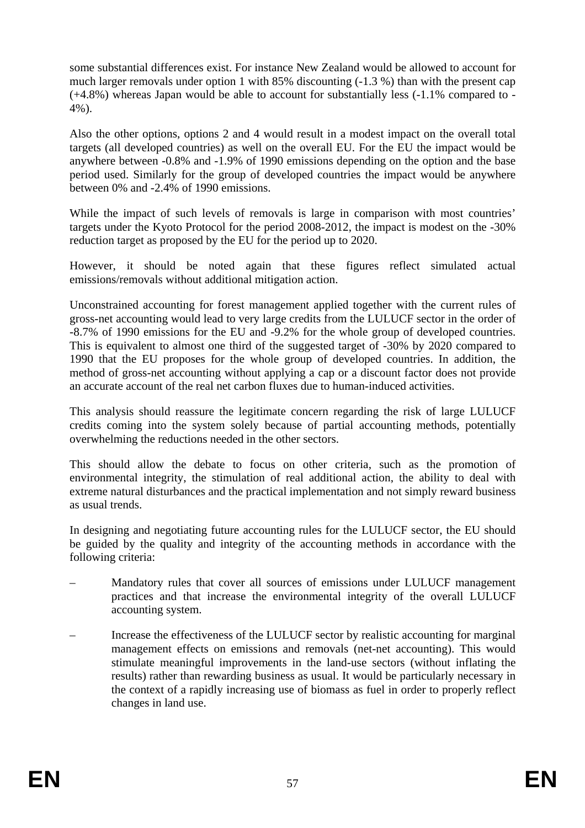some substantial differences exist. For instance New Zealand would be allowed to account for much larger removals under option 1 with 85% discounting (-1.3 %) than with the present cap (+4.8%) whereas Japan would be able to account for substantially less (-1.1% compared to - 4%).

Also the other options, options 2 and 4 would result in a modest impact on the overall total targets (all developed countries) as well on the overall EU. For the EU the impact would be anywhere between -0.8% and -1.9% of 1990 emissions depending on the option and the base period used. Similarly for the group of developed countries the impact would be anywhere between 0% and -2.4% of 1990 emissions.

While the impact of such levels of removals is large in comparison with most countries' targets under the Kyoto Protocol for the period 2008-2012, the impact is modest on the -30% reduction target as proposed by the EU for the period up to 2020.

However, it should be noted again that these figures reflect simulated actual emissions/removals without additional mitigation action.

Unconstrained accounting for forest management applied together with the current rules of gross-net accounting would lead to very large credits from the LULUCF sector in the order of -8.7% of 1990 emissions for the EU and -9.2% for the whole group of developed countries. This is equivalent to almost one third of the suggested target of -30% by 2020 compared to 1990 that the EU proposes for the whole group of developed countries. In addition, the method of gross-net accounting without applying a cap or a discount factor does not provide an accurate account of the real net carbon fluxes due to human-induced activities.

This analysis should reassure the legitimate concern regarding the risk of large LULUCF credits coming into the system solely because of partial accounting methods, potentially overwhelming the reductions needed in the other sectors.

This should allow the debate to focus on other criteria, such as the promotion of environmental integrity, the stimulation of real additional action, the ability to deal with extreme natural disturbances and the practical implementation and not simply reward business as usual trends.

In designing and negotiating future accounting rules for the LULUCF sector, the EU should be guided by the quality and integrity of the accounting methods in accordance with the following criteria:

- Mandatory rules that cover all sources of emissions under LULUCF management practices and that increase the environmental integrity of the overall LULUCF accounting system.
- Increase the effectiveness of the LULUCF sector by realistic accounting for marginal management effects on emissions and removals (net-net accounting). This would stimulate meaningful improvements in the land-use sectors (without inflating the results) rather than rewarding business as usual. It would be particularly necessary in the context of a rapidly increasing use of biomass as fuel in order to properly reflect changes in land use.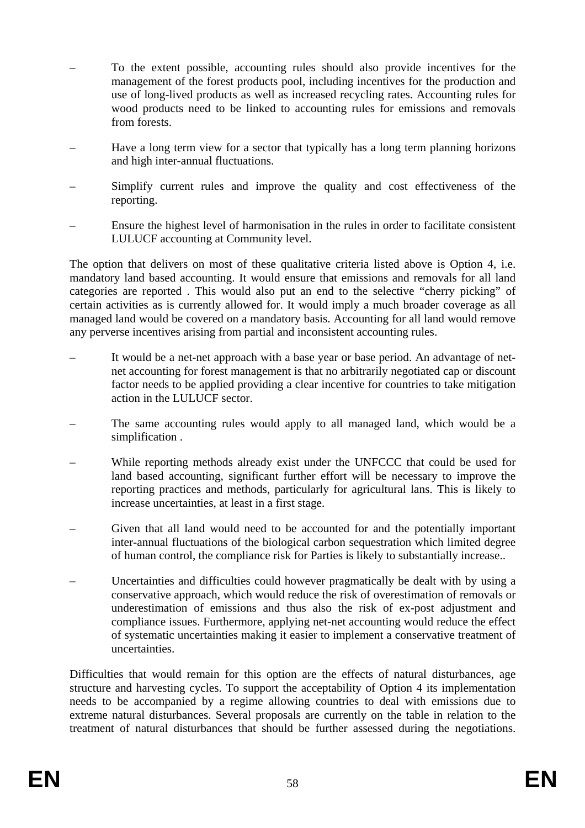- To the extent possible, accounting rules should also provide incentives for the management of the forest products pool, including incentives for the production and use of long-lived products as well as increased recycling rates. Accounting rules for wood products need to be linked to accounting rules for emissions and removals from forests.
- Have a long term view for a sector that typically has a long term planning horizons and high inter-annual fluctuations.
- Simplify current rules and improve the quality and cost effectiveness of the reporting.
- Ensure the highest level of harmonisation in the rules in order to facilitate consistent LULUCF accounting at Community level.

The option that delivers on most of these qualitative criteria listed above is Option 4, i.e. mandatory land based accounting. It would ensure that emissions and removals for all land categories are reported . This would also put an end to the selective "cherry picking" of certain activities as is currently allowed for. It would imply a much broader coverage as all managed land would be covered on a mandatory basis. Accounting for all land would remove any perverse incentives arising from partial and inconsistent accounting rules.

- It would be a net-net approach with a base year or base period. An advantage of netnet accounting for forest management is that no arbitrarily negotiated cap or discount factor needs to be applied providing a clear incentive for countries to take mitigation action in the LULUCF sector.
- The same accounting rules would apply to all managed land, which would be a simplification .
- While reporting methods already exist under the UNFCCC that could be used for land based accounting, significant further effort will be necessary to improve the reporting practices and methods, particularly for agricultural lans. This is likely to increase uncertainties, at least in a first stage.
- Given that all land would need to be accounted for and the potentially important inter-annual fluctuations of the biological carbon sequestration which limited degree of human control, the compliance risk for Parties is likely to substantially increase..
- Uncertainties and difficulties could however pragmatically be dealt with by using a conservative approach, which would reduce the risk of overestimation of removals or underestimation of emissions and thus also the risk of ex-post adjustment and compliance issues. Furthermore, applying net-net accounting would reduce the effect of systematic uncertainties making it easier to implement a conservative treatment of uncertainties.

Difficulties that would remain for this option are the effects of natural disturbances, age structure and harvesting cycles. To support the acceptability of Option 4 its implementation needs to be accompanied by a regime allowing countries to deal with emissions due to extreme natural disturbances. Several proposals are currently on the table in relation to the treatment of natural disturbances that should be further assessed during the negotiations.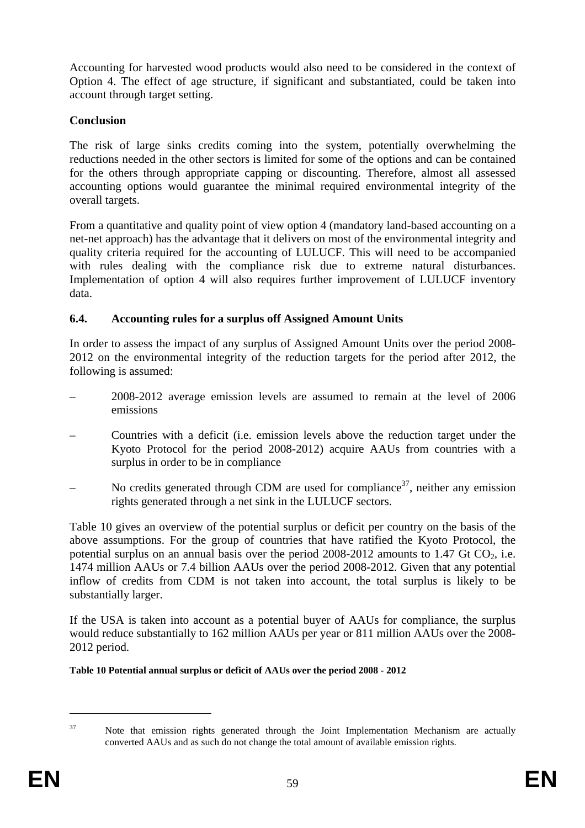Accounting for harvested wood products would also need to be considered in the context of Option 4. The effect of age structure, if significant and substantiated, could be taken into account through target setting.

# **Conclusion**

The risk of large sinks credits coming into the system, potentially overwhelming the reductions needed in the other sectors is limited for some of the options and can be contained for the others through appropriate capping or discounting. Therefore, almost all assessed accounting options would guarantee the minimal required environmental integrity of the overall targets.

From a quantitative and quality point of view option 4 (mandatory land-based accounting on a net-net approach) has the advantage that it delivers on most of the environmental integrity and quality criteria required for the accounting of LULUCF. This will need to be accompanied with rules dealing with the compliance risk due to extreme natural disturbances. Implementation of option 4 will also requires further improvement of LULUCF inventory data.

# <span id="page-58-0"></span>**6.4. Accounting rules for a surplus off Assigned Amount Units**

In order to assess the impact of any surplus of Assigned Amount Units over the period 2008- 2012 on the environmental integrity of the reduction targets for the period after 2012, the following is assumed:

- 2008-2012 average emission levels are assumed to remain at the level of 2006 emissions
- Countries with a deficit (i.e. emission levels above the reduction target under the Kyoto Protocol for the period 2008-2012) acquire AAUs from countries with a surplus in order to be in compliance
- No credits generated through CDM are used for compliance<sup>37</sup>, neither any emission rights generated through a net sink in the LULUCF sectors.

[Table 10](#page-58-1) gives an overview of the potential surplus or deficit per country on the basis of the above assumptions. For the group of countries that have ratified the Kyoto Protocol, the potential surplus on an annual basis over the period  $2008-2012$  amounts to 1.47 Gt CO<sub>2</sub>, i.e. 1474 million AAUs or 7.4 billion AAUs over the period 2008-2012. Given that any potential inflow of credits from CDM is not taken into account, the total surplus is likely to be substantially larger.

If the USA is taken into account as a potential buyer of AAUs for compliance, the surplus would reduce substantially to 162 million AAUs per year or 811 million AAUs over the 2008- 2012 period.

<span id="page-58-1"></span>**Table 10 Potential annual surplus or deficit of AAUs over the period 2008 - 2012** 

<sup>1</sup> 

<sup>&</sup>lt;sup>37</sup> Note that emission rights generated through the Joint Implementation Mechanism are actually converted AAUs and as such do not change the total amount of available emission rights.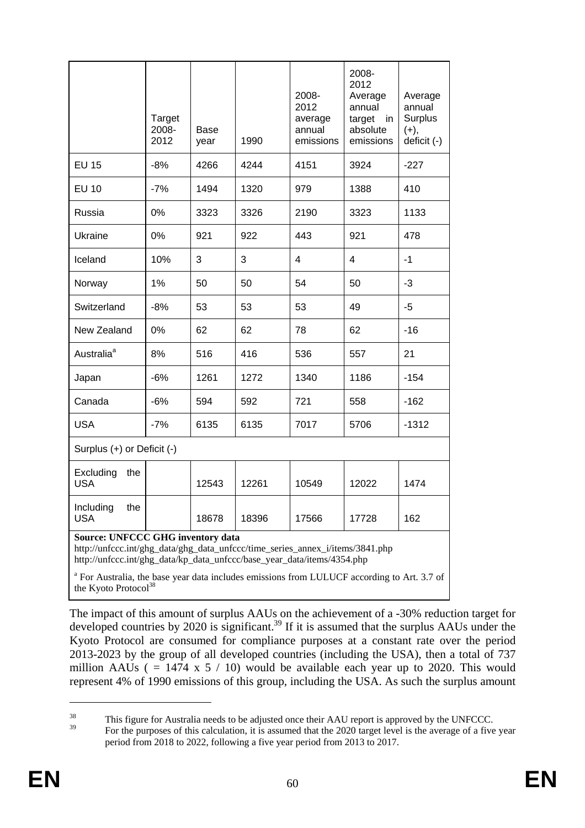|                                                                                                                                                                                                      | Target<br>2008-<br>2012 | <b>Base</b><br>year | 1990  | 2008-<br>2012<br>average<br>annual<br>emissions | 2008-<br>2012<br>Average<br>annual<br>target<br>in<br>absolute<br>emissions | Average<br>annual<br><b>Surplus</b><br>$(+),$<br>deficit (-) |
|------------------------------------------------------------------------------------------------------------------------------------------------------------------------------------------------------|-------------------------|---------------------|-------|-------------------------------------------------|-----------------------------------------------------------------------------|--------------------------------------------------------------|
| <b>EU 15</b>                                                                                                                                                                                         | $-8%$                   | 4266                | 4244  | 4151                                            | 3924                                                                        | $-227$                                                       |
| <b>EU 10</b>                                                                                                                                                                                         | $-7%$                   | 1494                | 1320  | 979                                             | 1388                                                                        | 410                                                          |
| Russia                                                                                                                                                                                               | 0%                      | 3323                | 3326  | 2190                                            | 3323                                                                        | 1133                                                         |
| Ukraine                                                                                                                                                                                              | 0%                      | 921                 | 922   | 443                                             | 921                                                                         | 478                                                          |
| Iceland                                                                                                                                                                                              | 10%                     | 3                   | 3     | 4                                               | 4                                                                           | $-1$                                                         |
| Norway                                                                                                                                                                                               | 1%                      | 50                  | 50    | 54                                              | 50                                                                          | $-3$                                                         |
| Switzerland                                                                                                                                                                                          | $-8%$                   | 53                  | 53    | 53                                              | 49                                                                          | -5                                                           |
| New Zealand                                                                                                                                                                                          | 0%                      | 62                  | 62    | 78                                              | 62                                                                          | $-16$                                                        |
| Australia <sup>a</sup>                                                                                                                                                                               | 8%                      | 516                 | 416   | 536                                             | 557                                                                         | 21                                                           |
| Japan                                                                                                                                                                                                | $-6%$                   | 1261                | 1272  | 1340                                            | 1186                                                                        | $-154$                                                       |
| Canada                                                                                                                                                                                               | $-6%$                   | 594                 | 592   | 721                                             | 558                                                                         | $-162$                                                       |
| <b>USA</b>                                                                                                                                                                                           | $-7%$                   | 6135                | 6135  | 7017                                            | 5706                                                                        | $-1312$                                                      |
| Surplus (+) or Deficit (-)                                                                                                                                                                           |                         |                     |       |                                                 |                                                                             |                                                              |
| Excluding<br>the<br><b>USA</b>                                                                                                                                                                       |                         | 12543               | 12261 | 10549                                           | 12022                                                                       | 1474                                                         |
| Including<br>the<br><b>USA</b>                                                                                                                                                                       |                         | 18678               | 18396 | 17566                                           | 17728                                                                       | 162                                                          |
| <b>Source: UNFCCC GHG inventory data</b><br>http://unfccc.int/ghg_data/ghg_data_unfccc/time_series_annex_i/items/3841.php<br>http://unfccc.int/ghg_data/kp_data_unfccc/base_year_data/items/4354.php |                         |                     |       |                                                 |                                                                             |                                                              |

<sup>a</sup> For Australia, the base year data includes emissions from LULUCF according to Art. 3.7 of the Kyoto Protocol<sup>38</sup>

The impact of this amount of surplus AAUs on the achievement of a -30% reduction target for developed countries by 2020 is significant.<sup>39</sup> If it is assumed that the surplus AAUs under the Kyoto Protocol are consumed for compliance purposes at a constant rate over the period 2013-2023 by the group of all developed countries (including the USA), then a total of 737 million AAUs ( $= 1474 \times 5 / 10$ ) would be available each year up to 2020. This would represent 4% of 1990 emissions of this group, including the USA. As such the surplus amount

<u>.</u>

<sup>&</sup>lt;sup>38</sup><br>This figure for Australia needs to be adjusted once their AAU report is approved by the UNFCCC.

<sup>39</sup> For the purposes of this calculation, it is assumed that the 2020 target level is the average of a five year period from 2018 to 2022, following a five year period from 2013 to 2017.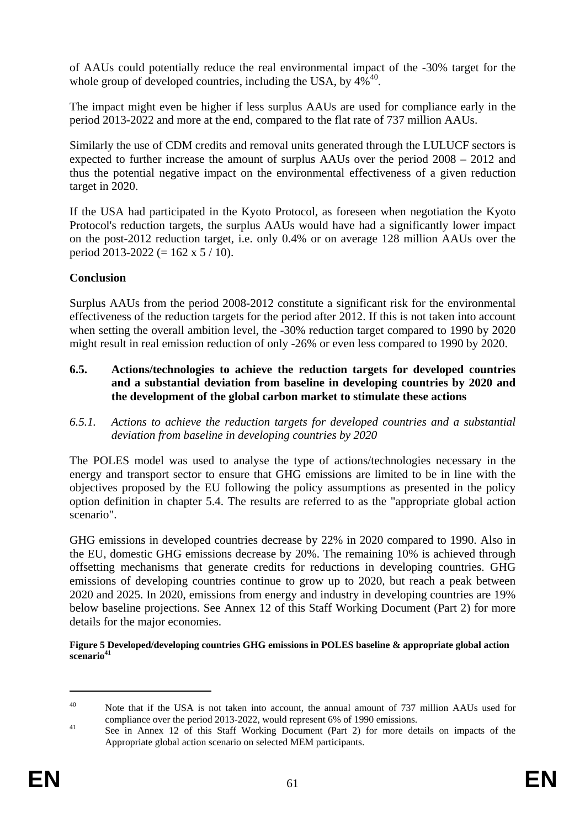of AAUs could potentially reduce the real environmental impact of the -30% target for the whole group of developed countries, including the USA, by  $4\%^{40}$ .

The impact might even be higher if less surplus AAUs are used for compliance early in the period 2013-2022 and more at the end, compared to the flat rate of 737 million AAUs.

Similarly the use of CDM credits and removal units generated through the LULUCF sectors is expected to further increase the amount of surplus AAUs over the period 2008 – 2012 and thus the potential negative impact on the environmental effectiveness of a given reduction target in 2020.

If the USA had participated in the Kyoto Protocol, as foreseen when negotiation the Kyoto Protocol's reduction targets, the surplus AAUs would have had a significantly lower impact on the post-2012 reduction target, i.e. only 0.4% or on average 128 million AAUs over the period 2013-2022 (= 162 x 5 / 10).

## **Conclusion**

Surplus AAUs from the period 2008-2012 constitute a significant risk for the environmental effectiveness of the reduction targets for the period after 2012. If this is not taken into account when setting the overall ambition level, the -30% reduction target compared to 1990 by 2020 might result in real emission reduction of only -26% or even less compared to 1990 by 2020.

- **6.5. Actions/technologies to achieve the reduction targets for developed countries and a substantial deviation from baseline in developing countries by 2020 and the development of the global carbon market to stimulate these actions**
- <span id="page-60-0"></span>*6.5.1. Actions to achieve the reduction targets for developed countries and a substantial deviation from baseline in developing countries by 2020*

The POLES model was used to analyse the type of actions/technologies necessary in the energy and transport sector to ensure that GHG emissions are limited to be in line with the objectives proposed by the EU following the policy assumptions as presented in the policy option definition in chapter [5.4.](#page-39-0) The results are referred to as the "appropriate global action scenario".

GHG emissions in developed countries decrease by 22% in 2020 compared to 1990. Also in the EU, domestic GHG emissions decrease by 20%. The remaining 10% is achieved through offsetting mechanisms that generate credits for reductions in developing countries. GHG emissions of developing countries continue to grow up to 2020, but reach a peak between 2020 and 2025. In 2020, emissions from energy and industry in developing countries are 19% below baseline projections. See Annex 12 of this Staff Working Document (Part 2) for more details for the major economies.

#### **Figure 5 Developed/developing countries GHG emissions in POLES baseline & appropriate global action**  scenario<sup>41</sup>

1

<sup>&</sup>lt;sup>40</sup> Note that if the USA is not taken into account, the annual amount of 737 million AAUs used for compliance over the period 2013-2022, would represent 6% of 1990 emissions.

<sup>&</sup>lt;sup>41</sup> See in Annex 12 of this Staff Working Document (Part 2) for more details on impacts of the Appropriate global action scenario on selected MEM participants.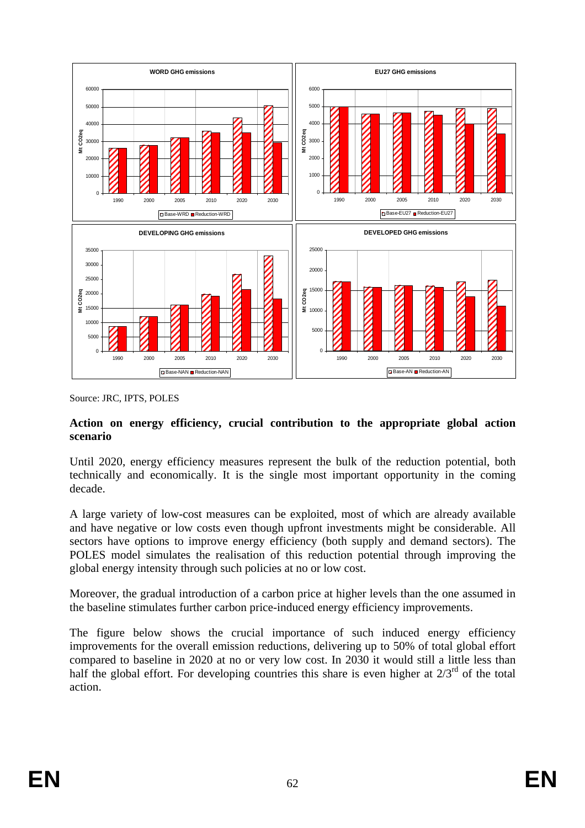

Source: JRC, IPTS, POLES

### **Action on energy efficiency, crucial contribution to the appropriate global action scenario**

Until 2020, energy efficiency measures represent the bulk of the reduction potential, both technically and economically. It is the single most important opportunity in the coming decade.

A large variety of low-cost measures can be exploited, most of which are already available and have negative or low costs even though upfront investments might be considerable. All sectors have options to improve energy efficiency (both supply and demand sectors). The POLES model simulates the realisation of this reduction potential through improving the global energy intensity through such policies at no or low cost.

Moreover, the gradual introduction of a carbon price at higher levels than the one assumed in the baseline stimulates further carbon price-induced energy efficiency improvements.

The figure below shows the crucial importance of such induced energy efficiency improvements for the overall emission reductions, delivering up to 50% of total global effort compared to baseline in 2020 at no or very low cost. In 2030 it would still a little less than half the global effort. For developing countries this share is even higher at  $2/3^{rd}$  of the total action.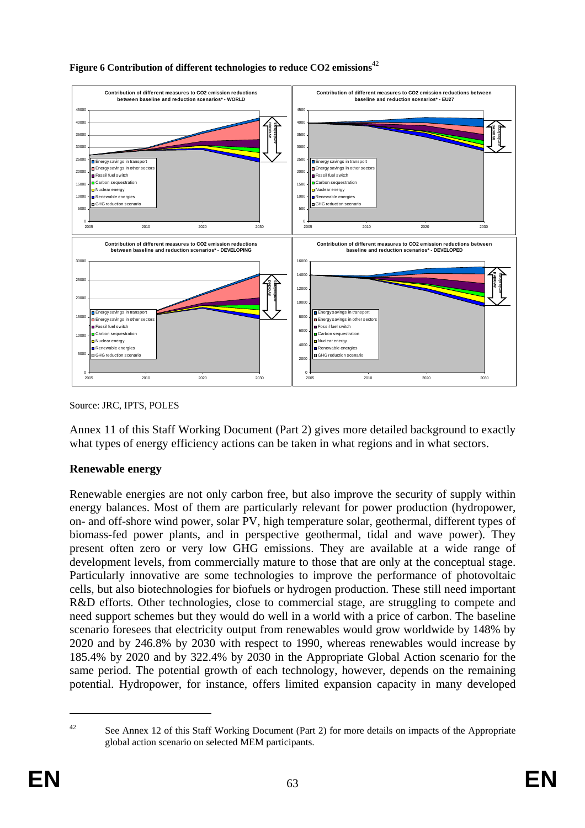

### **Figure 6 Contribution of different technologies to reduce CO2 emissions**<sup>42</sup>

Source: JRC, IPTS, POLES

Annex 11 of this Staff Working Document (Part 2) gives more detailed background to exactly what types of energy efficiency actions can be taken in what regions and in what sectors.

### **Renewable energy**

Renewable energies are not only carbon free, but also improve the security of supply within energy balances. Most of them are particularly relevant for power production (hydropower, on- and off-shore wind power, solar PV, high temperature solar, geothermal, different types of biomass-fed power plants, and in perspective geothermal, tidal and wave power). They present often zero or very low GHG emissions. They are available at a wide range of development levels, from commercially mature to those that are only at the conceptual stage. Particularly innovative are some technologies to improve the performance of photovoltaic cells, but also biotechnologies for biofuels or hydrogen production. These still need important R&D efforts. Other technologies, close to commercial stage, are struggling to compete and need support schemes but they would do well in a world with a price of carbon. The baseline scenario foresees that electricity output from renewables would grow worldwide by 148% by 2020 and by 246.8% by 2030 with respect to 1990, whereas renewables would increase by 185.4% by 2020 and by 322.4% by 2030 in the Appropriate Global Action scenario for the same period. The potential growth of each technology, however, depends on the remaining potential. Hydropower, for instance, offers limited expansion capacity in many developed

1

<sup>&</sup>lt;sup>42</sup> See Annex 12 of this Staff Working Document (Part 2) for more details on impacts of the Appropriate global action scenario on selected MEM participants.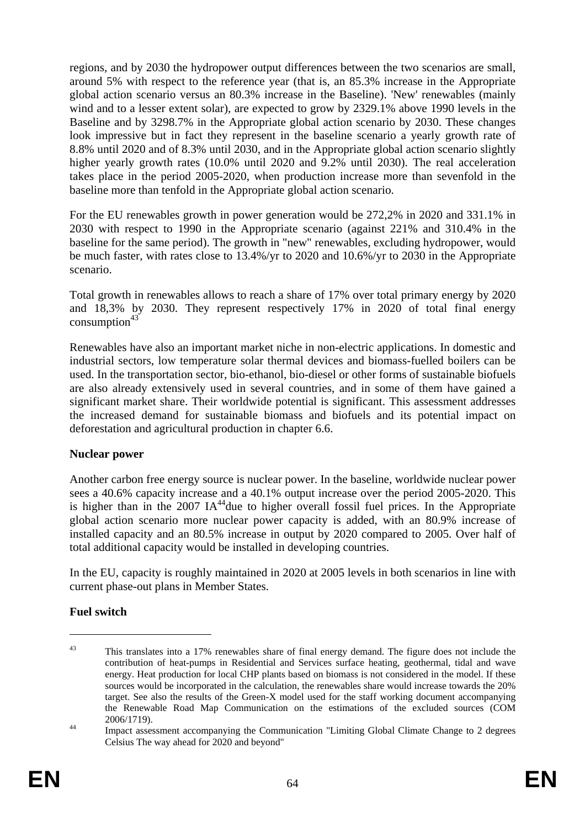regions, and by 2030 the hydropower output differences between the two scenarios are small, around 5% with respect to the reference year (that is, an 85.3% increase in the Appropriate global action scenario versus an 80.3% increase in the Baseline). 'New' renewables (mainly wind and to a lesser extent solar), are expected to grow by 2329.1% above 1990 levels in the Baseline and by 3298.7% in the Appropriate global action scenario by 2030. These changes look impressive but in fact they represent in the baseline scenario a yearly growth rate of 8.8% until 2020 and of 8.3% until 2030, and in the Appropriate global action scenario slightly higher yearly growth rates (10.0% until 2020 and 9.2% until 2030). The real acceleration takes place in the period 2005-2020, when production increase more than sevenfold in the baseline more than tenfold in the Appropriate global action scenario.

For the EU renewables growth in power generation would be 272,2% in 2020 and 331.1% in 2030 with respect to 1990 in the Appropriate scenario (against 221% and 310.4% in the baseline for the same period). The growth in "new" renewables, excluding hydropower, would be much faster, with rates close to 13.4%/yr to 2020 and 10.6%/yr to 2030 in the Appropriate scenario.

Total growth in renewables allows to reach a share of 17% over total primary energy by 2020 and 18,3% by 2030. They represent respectively 17% in 2020 of total final energy consumption $43$ 

Renewables have also an important market niche in non-electric applications. In domestic and industrial sectors, low temperature solar thermal devices and biomass-fuelled boilers can be used. In the transportation sector, bio-ethanol, bio-diesel or other forms of sustainable biofuels are also already extensively used in several countries, and in some of them have gained a significant market share. Their worldwide potential is significant. This assessment addresses the increased demand for sustainable biomass and biofuels and its potential impact on deforestation and agricultural production in chapte[r 6.6.](#page-78-0)

# **Nuclear power**

Another carbon free energy source is nuclear power. In the baseline, worldwide nuclear power sees a 40.6% capacity increase and a 40.1% output increase over the period 2005-2020. This is higher than in the 2007 IA<sup>44</sup>due to higher overall fossil fuel prices. In the Appropriate global action scenario more nuclear power capacity is added, with an 80.9% increase of installed capacity and an 80.5% increase in output by 2020 compared to 2005. Over half of total additional capacity would be installed in developing countries.

In the EU, capacity is roughly maintained in 2020 at 2005 levels in both scenarios in line with current phase-out plans in Member States.

# **Fuel switch**

<u>.</u>

<sup>&</sup>lt;sup>43</sup> This translates into a 17% renewables share of final energy demand. The figure does not include the contribution of heat-pumps in Residential and Services surface heating, geothermal, tidal and wave energy. Heat production for local CHP plants based on biomass is not considered in the model. If these sources would be incorporated in the calculation, the renewables share would increase towards the 20% target. See also the results of the Green-X model used for the staff working document accompanying the Renewable Road Map Communication on the estimations of the excluded sources (COM 2006/1719).<br>Impact assessment accompanying the Communication "Limiting Global Climate Change to 2 degrees

Celsius The way ahead for 2020 and beyond"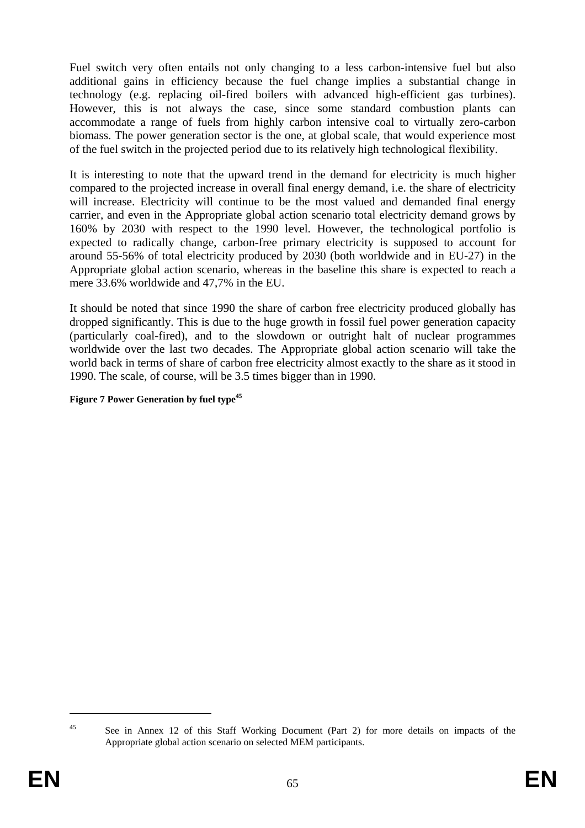Fuel switch very often entails not only changing to a less carbon-intensive fuel but also additional gains in efficiency because the fuel change implies a substantial change in technology (e.g. replacing oil-fired boilers with advanced high-efficient gas turbines). However, this is not always the case, since some standard combustion plants can accommodate a range of fuels from highly carbon intensive coal to virtually zero-carbon biomass. The power generation sector is the one, at global scale, that would experience most of the fuel switch in the projected period due to its relatively high technological flexibility.

It is interesting to note that the upward trend in the demand for electricity is much higher compared to the projected increase in overall final energy demand, i.e. the share of electricity will increase. Electricity will continue to be the most valued and demanded final energy carrier, and even in the Appropriate global action scenario total electricity demand grows by 160% by 2030 with respect to the 1990 level. However, the technological portfolio is expected to radically change, carbon-free primary electricity is supposed to account for around 55-56% of total electricity produced by 2030 (both worldwide and in EU-27) in the Appropriate global action scenario, whereas in the baseline this share is expected to reach a mere 33.6% worldwide and 47,7% in the EU.

It should be noted that since 1990 the share of carbon free electricity produced globally has dropped significantly. This is due to the huge growth in fossil fuel power generation capacity (particularly coal-fired), and to the slowdown or outright halt of nuclear programmes worldwide over the last two decades. The Appropriate global action scenario will take the world back in terms of share of carbon free electricity almost exactly to the share as it stood in 1990. The scale, of course, will be 3.5 times bigger than in 1990.

### **Figure 7 Power Generation by fuel type<sup>45</sup>**

1

<sup>&</sup>lt;sup>45</sup> See in Annex 12 of this Staff Working Document (Part 2) for more details on impacts of the Appropriate global action scenario on selected MEM participants.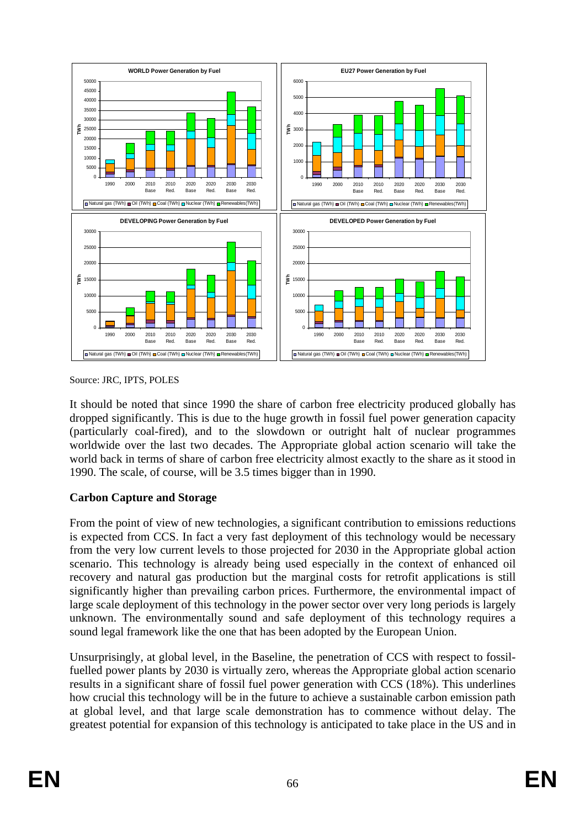

Source: JRC, IPTS, POLES

It should be noted that since 1990 the share of carbon free electricity produced globally has dropped significantly. This is due to the huge growth in fossil fuel power generation capacity (particularly coal-fired), and to the slowdown or outright halt of nuclear programmes worldwide over the last two decades. The Appropriate global action scenario will take the world back in terms of share of carbon free electricity almost exactly to the share as it stood in 1990. The scale, of course, will be 3.5 times bigger than in 1990.

# **Carbon Capture and Storage**

From the point of view of new technologies, a significant contribution to emissions reductions is expected from CCS. In fact a very fast deployment of this technology would be necessary from the very low current levels to those projected for 2030 in the Appropriate global action scenario. This technology is already being used especially in the context of enhanced oil recovery and natural gas production but the marginal costs for retrofit applications is still significantly higher than prevailing carbon prices. Furthermore, the environmental impact of large scale deployment of this technology in the power sector over very long periods is largely unknown. The environmentally sound and safe deployment of this technology requires a sound legal framework like the one that has been adopted by the European Union.

Unsurprisingly, at global level, in the Baseline, the penetration of CCS with respect to fossilfuelled power plants by 2030 is virtually zero, whereas the Appropriate global action scenario results in a significant share of fossil fuel power generation with CCS (18%). This underlines how crucial this technology will be in the future to achieve a sustainable carbon emission path at global level, and that large scale demonstration has to commence without delay. The greatest potential for expansion of this technology is anticipated to take place in the US and in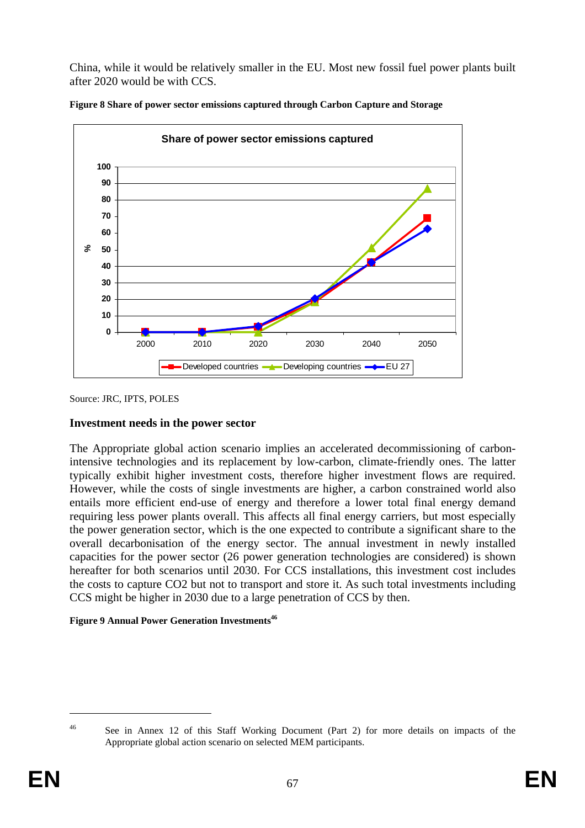China, while it would be relatively smaller in the EU. Most new fossil fuel power plants built after 2020 would be with CCS.





Source: JRC, IPTS, POLES

#### **Investment needs in the power sector**

The Appropriate global action scenario implies an accelerated decommissioning of carbonintensive technologies and its replacement by low-carbon, climate-friendly ones. The latter typically exhibit higher investment costs, therefore higher investment flows are required. However, while the costs of single investments are higher, a carbon constrained world also entails more efficient end-use of energy and therefore a lower total final energy demand requiring less power plants overall. This affects all final energy carriers, but most especially the power generation sector, which is the one expected to contribute a significant share to the overall decarbonisation of the energy sector. The annual investment in newly installed capacities for the power sector (26 power generation technologies are considered) is shown hereafter for both scenarios until 2030. For CCS installations, this investment cost includes the costs to capture CO2 but not to transport and store it. As such total investments including CCS might be higher in 2030 due to a large penetration of CCS by then.

#### **Figure 9 Annual Power Generation Investments<sup>46</sup>**

<sup>1</sup> 

<sup>&</sup>lt;sup>46</sup> See in Annex 12 of this Staff Working Document (Part 2) for more details on impacts of the Appropriate global action scenario on selected MEM participants.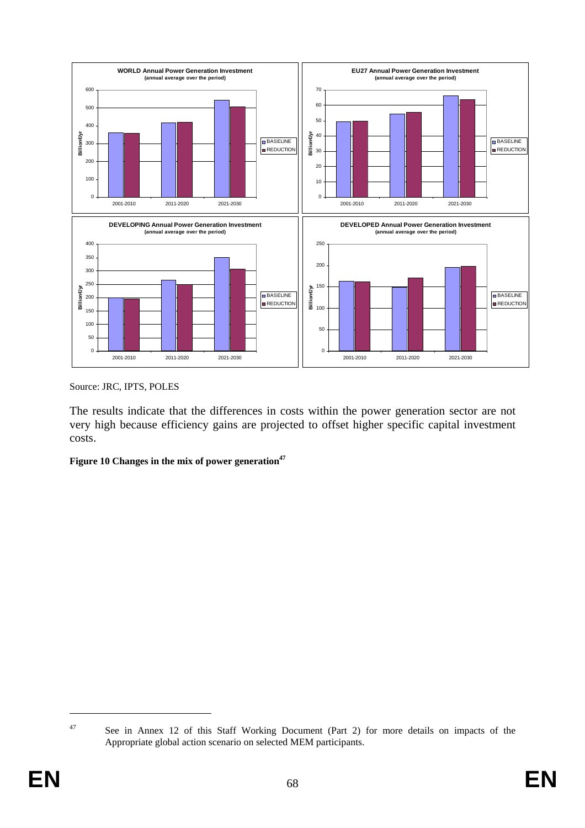

Source: JRC, IPTS, POLES

The results indicate that the differences in costs within the power generation sector are not very high because efficiency gains are projected to offset higher specific capital investment costs.

Figure 10 Changes in the mix of power generation<sup>47</sup>

1

<sup>&</sup>lt;sup>47</sup> See in Annex 12 of this Staff Working Document (Part 2) for more details on impacts of the Appropriate global action scenario on selected MEM participants.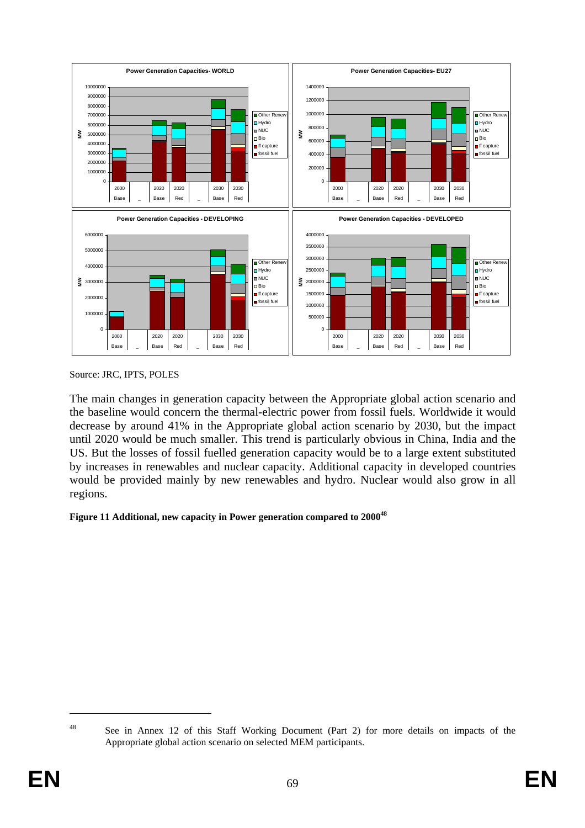

Source: JRC, IPTS, POLES

The main changes in generation capacity between the Appropriate global action scenario and the baseline would concern the thermal-electric power from fossil fuels. Worldwide it would decrease by around 41% in the Appropriate global action scenario by 2030, but the impact until 2020 would be much smaller. This trend is particularly obvious in China, India and the US. But the losses of fossil fuelled generation capacity would be to a large extent substituted by increases in renewables and nuclear capacity. Additional capacity in developed countries would be provided mainly by new renewables and hydro. Nuclear would also grow in all regions.

### **Figure 11 Additional, new capacity in Power generation compared to 200048**

1

<sup>&</sup>lt;sup>48</sup> See in Annex 12 of this Staff Working Document (Part 2) for more details on impacts of the Appropriate global action scenario on selected MEM participants.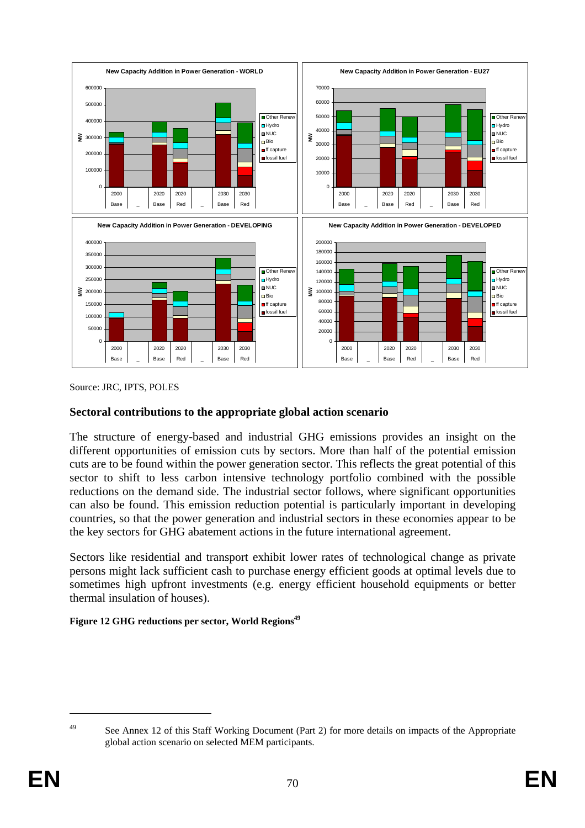

Source: JRC, IPTS, POLES

## **Sectoral contributions to the appropriate global action scenario**

The structure of energy-based and industrial GHG emissions provides an insight on the different opportunities of emission cuts by sectors. More than half of the potential emission cuts are to be found within the power generation sector. This reflects the great potential of this sector to shift to less carbon intensive technology portfolio combined with the possible reductions on the demand side. The industrial sector follows, where significant opportunities can also be found. This emission reduction potential is particularly important in developing countries, so that the power generation and industrial sectors in these economies appear to be the key sectors for GHG abatement actions in the future international agreement.

Sectors like residential and transport exhibit lower rates of technological change as private persons might lack sufficient cash to purchase energy efficient goods at optimal levels due to sometimes high upfront investments (e.g. energy efficient household equipments or better thermal insulation of houses).

#### Figure 12 GHG reductions per sector, World Regions<sup>49</sup>

<sup>1</sup> 

<sup>&</sup>lt;sup>49</sup> See Annex 12 of this Staff Working Document (Part 2) for more details on impacts of the Appropriate global action scenario on selected MEM participants.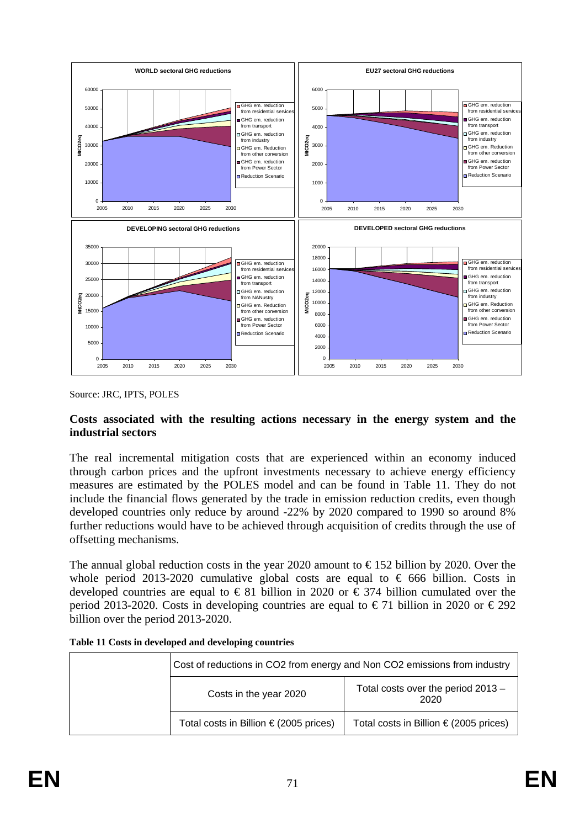

Source: JRC, IPTS, POLES

### **Costs associated with the resulting actions necessary in the energy system and the industrial sectors**

The real incremental mitigation costs that are experienced within an economy induced through carbon prices and the upfront investments necessary to achieve energy efficiency measures are estimated by the POLES model and can be found in [Table 11.](#page-70-0) They do not include the financial flows generated by the trade in emission reduction credits, even though developed countries only reduce by around -22% by 2020 compared to 1990 so around 8% further reductions would have to be achieved through acquisition of credits through the use of offsetting mechanisms.

The annual global reduction costs in the year 2020 amount to  $\epsilon$ 152 billion by 2020. Over the whole period 2013-2020 cumulative global costs are equal to  $\epsilon$  666 billion. Costs in developed countries are equal to  $\epsilon$ 81 billion in 2020 or  $\epsilon$ 374 billion cumulated over the period 2013-2020. Costs in developing countries are equal to  $\epsilon$  71 billion in 2020 or  $\epsilon$ 292 billion over the period 2013-2020.

| Cost of reductions in CO2 from energy and Non CO2 emissions from industry |                                                 |  |  |  |  |
|---------------------------------------------------------------------------|-------------------------------------------------|--|--|--|--|
| Costs in the year 2020                                                    | Total costs over the period 2013 -<br>2020      |  |  |  |  |
| Total costs in Billion $\epsilon$ (2005 prices)                           | Total costs in Billion $\epsilon$ (2005 prices) |  |  |  |  |

<span id="page-70-0"></span>

| Table 11 Costs in developed and developing countries |  |
|------------------------------------------------------|--|
|------------------------------------------------------|--|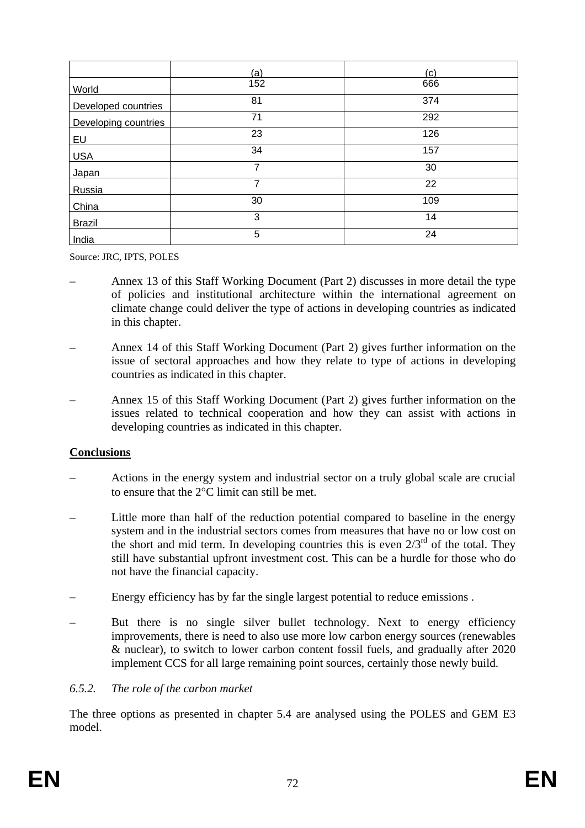|                      | (a)            | (c) |
|----------------------|----------------|-----|
| World                | 152            | 666 |
| Developed countries  | 81             | 374 |
| Developing countries | 71             | 292 |
| EU                   | 23             | 126 |
| <b>USA</b>           | 34             | 157 |
| Japan                | $\overline{7}$ | 30  |
| Russia               | 7              | 22  |
| China                | 30             | 109 |
| <b>Brazil</b>        | 3              | 14  |
| India                | 5              | 24  |

Source: JRC, IPTS, POLES

- Annex 13 of this Staff Working Document (Part 2) discusses in more detail the type of policies and institutional architecture within the international agreement on climate change could deliver the type of actions in developing countries as indicated in this chapter.
- Annex 14 of this Staff Working Document (Part 2) gives further information on the issue of sectoral approaches and how they relate to type of actions in developing countries as indicated in this chapter.
- Annex 15 of this Staff Working Document (Part 2) gives further information on the issues related to technical cooperation and how they can assist with actions in developing countries as indicated in this chapter.

# **Conclusions**

- Actions in the energy system and industrial sector on a truly global scale are crucial to ensure that the 2°C limit can still be met.
- Little more than half of the reduction potential compared to baseline in the energy system and in the industrial sectors comes from measures that have no or low cost on the short and mid term. In developing countries this is even  $2/3^{rd}$  of the total. They still have substantial upfront investment cost. This can be a hurdle for those who do not have the financial capacity.
- Energy efficiency has by far the single largest potential to reduce emissions .
- But there is no single silver bullet technology. Next to energy efficiency improvements, there is need to also use more low carbon energy sources (renewables & nuclear), to switch to lower carbon content fossil fuels, and gradually after 2020 implement CCS for all large remaining point sources, certainly those newly build.

### <span id="page-71-0"></span>*6.5.2. The role of the carbon market*

The three options as presented in chapter [5.4](#page-39-0) are analysed using the POLES and GEM E3 model.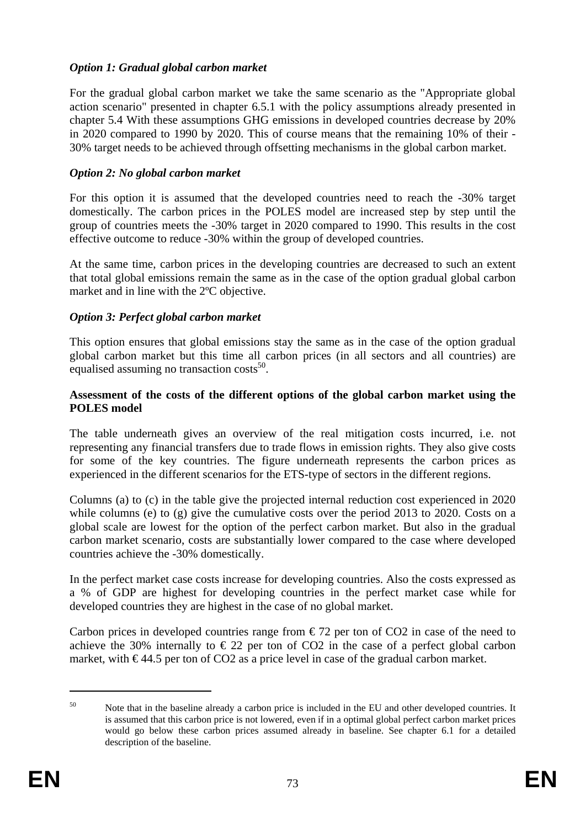### *Option 1: Gradual global carbon market*

For the gradual global carbon market we take the same scenario as the "Appropriate global action scenario" presented in chapter [6.5.1](#page-60-0) with the policy assumptions already presented in chapte[r 5.4](#page-39-0) With these assumptions GHG emissions in developed countries decrease by 20% in 2020 compared to 1990 by 2020. This of course means that the remaining 10% of their - 30% target needs to be achieved through offsetting mechanisms in the global carbon market.

### *Option 2: No global carbon market*

For this option it is assumed that the developed countries need to reach the -30% target domestically. The carbon prices in the POLES model are increased step by step until the group of countries meets the -30% target in 2020 compared to 1990. This results in the cost effective outcome to reduce -30% within the group of developed countries.

At the same time, carbon prices in the developing countries are decreased to such an extent that total global emissions remain the same as in the case of the option gradual global carbon market and in line with the 2ºC objective.

### *Option 3: Perfect global carbon market*

This option ensures that global emissions stay the same as in the case of the option gradual global carbon market but this time all carbon prices (in all sectors and all countries) are equalised assuming no transaction costs<sup>50</sup>.

#### **Assessment of the costs of the different options of the global carbon market using the POLES model**

The table underneath gives an overview of the real mitigation costs incurred, i.e. not representing any financial transfers due to trade flows in emission rights. They also give costs for some of the key countries. The figure underneath represents the carbon prices as experienced in the different scenarios for the ETS-type of sectors in the different regions.

Columns (a) to (c) in the table give the projected internal reduction cost experienced in 2020 while columns (e) to (g) give the cumulative costs over the period 2013 to 2020. Costs on a global scale are lowest for the option of the perfect carbon market. But also in the gradual carbon market scenario, costs are substantially lower compared to the case where developed countries achieve the -30% domestically.

In the perfect market case costs increase for developing countries. Also the costs expressed as a % of GDP are highest for developing countries in the perfect market case while for developed countries they are highest in the case of no global market.

Carbon prices in developed countries range from  $\epsilon$ 72 per ton of CO2 in case of the need to achieve the 30% internally to  $\epsilon$  22 per ton of CO2 in the case of a perfect global carbon market, with  $\epsilon$ 44.5 per ton of CO2 as a price level in case of the gradual carbon market.

<sup>&</sup>lt;sup>50</sup> Note that in the baseline already a carbon price is included in the EU and other developed countries. It is assumed that this carbon price is not lowered, even if in a optimal global perfect carbon market prices would go below these carbon prices assumed already in baseline. See chapter [6.1](#page-44-0) for a detailed description of the baseline.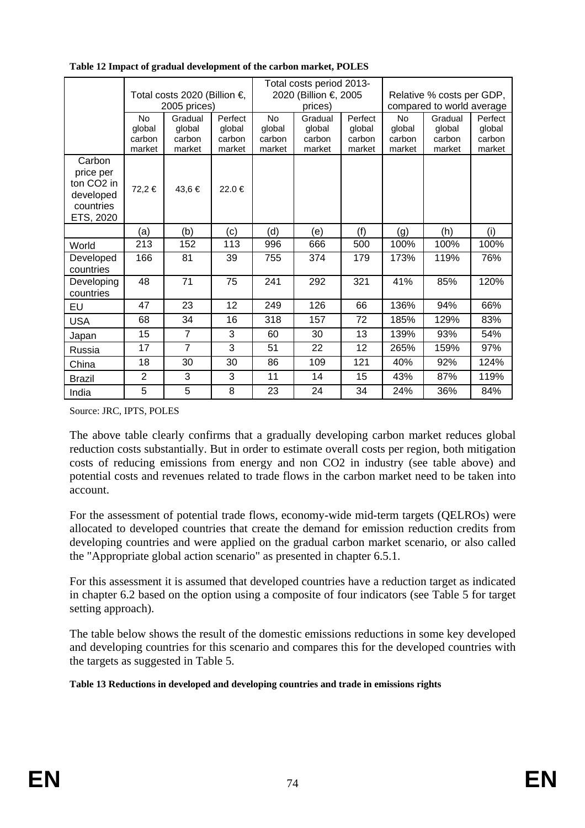|                                                                                      | Total costs 2020 (Billion €,<br>2005 prices) |                                       |                                       | Total costs period 2013-<br>2020 (Billion €, 2005<br>prices) |                                       | Relative % costs per GDP,<br>compared to world average |                                         |                                       |                                       |
|--------------------------------------------------------------------------------------|----------------------------------------------|---------------------------------------|---------------------------------------|--------------------------------------------------------------|---------------------------------------|--------------------------------------------------------|-----------------------------------------|---------------------------------------|---------------------------------------|
|                                                                                      | <b>No</b><br>global<br>carbon<br>market      | Gradual<br>global<br>carbon<br>market | Perfect<br>global<br>carbon<br>market | <b>No</b><br>global<br>carbon<br>market                      | Gradual<br>global<br>carbon<br>market | Perfect<br>global<br>carbon<br>market                  | <b>No</b><br>global<br>carbon<br>market | Gradual<br>global<br>carbon<br>market | Perfect<br>global<br>carbon<br>market |
| Carbon<br>price per<br>ton CO <sub>2</sub> in<br>developed<br>countries<br>ETS, 2020 | 72,2 €                                       | 43,6 €                                | 22.0 €                                |                                                              |                                       |                                                        |                                         |                                       |                                       |
|                                                                                      | (a)                                          | (b)                                   | (c)                                   | (d)                                                          | (e)                                   | (f)                                                    | (g)                                     | (h)                                   | (i)                                   |
| World                                                                                | 213                                          | 152                                   | 113                                   | 996                                                          | 666                                   | 500                                                    | 100%                                    | 100%                                  | 100%                                  |
| Developed<br>countries                                                               | 166                                          | 81                                    | 39                                    | 755                                                          | 374                                   | 179                                                    | 173%                                    | 119%                                  | 76%                                   |
| Developing<br>countries                                                              | 48                                           | 71                                    | 75                                    | 241                                                          | 292                                   | 321                                                    | 41%                                     | 85%                                   | 120%                                  |
| EU                                                                                   | 47                                           | 23                                    | 12                                    | 249                                                          | 126                                   | 66                                                     | 136%                                    | 94%                                   | 66%                                   |
| <b>USA</b>                                                                           | 68                                           | 34                                    | 16                                    | 318                                                          | 157                                   | 72                                                     | 185%                                    | 129%                                  | 83%                                   |
| Japan                                                                                | 15                                           | $\overline{7}$                        | 3                                     | 60                                                           | 30                                    | 13                                                     | 139%                                    | 93%                                   | 54%                                   |
| Russia                                                                               | 17                                           | $\overline{7}$                        | 3                                     | 51                                                           | 22                                    | 12                                                     | 265%                                    | 159%                                  | 97%                                   |
| China                                                                                | 18                                           | 30                                    | 30                                    | 86                                                           | 109                                   | 121                                                    | 40%                                     | 92%                                   | 124%                                  |
| Brazil                                                                               | $\overline{2}$                               | 3                                     | 3                                     | 11                                                           | 14                                    | 15                                                     | 43%                                     | 87%                                   | 119%                                  |
| India                                                                                | 5                                            | 5                                     | 8                                     | 23                                                           | 24                                    | 34                                                     | 24%                                     | 36%                                   | 84%                                   |

<span id="page-73-0"></span>**Table 12 Impact of gradual development of the carbon market, POLES** 

Source: JRC, IPTS, POLES

The above table clearly confirms that a gradually developing carbon market reduces global reduction costs substantially. But in order to estimate overall costs per region, both mitigation costs of reducing emissions from energy and non CO2 in industry (see table above) and potential costs and revenues related to trade flows in the carbon market need to be taken into account.

For the assessment of potential trade flows, economy-wide mid-term targets (QELROs) were allocated to developed countries that create the demand for emission reduction credits from developing countries and were applied on the gradual carbon market scenario, or also called the "Appropriate global action scenario" as presented in chapte[r 6.5.1.](#page-60-0)

For this assessment it is assumed that developed countries have a reduction target as indicated in chapter [6.2](#page-47-0) based on the option using a composite of four indicators (see [Table 5](#page-52-0) for target setting approach).

The table below shows the result of the domestic emissions reductions in some key developed and developing countries for this scenario and compares this for the developed countries with the targets as suggested i[n Table 5.](#page-52-0)

**Table 13 Reductions in developed and developing countries and trade in emissions rights**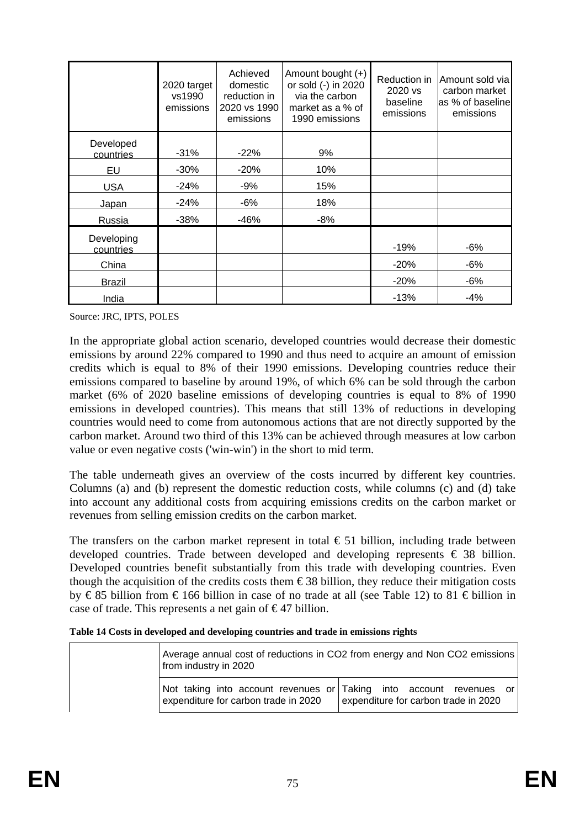|                         | 2020 target<br>vs1990<br>emissions | Achieved<br>domestic<br>reduction in<br>2020 vs 1990<br>emissions | Amount bought $(+)$<br>or sold (-) in 2020<br>via the carbon<br>market as a % of<br>1990 emissions | Reduction in<br>2020 vs<br>baseline<br>emissions | Amount sold via<br>carbon market<br>as % of baseline<br>emissions |
|-------------------------|------------------------------------|-------------------------------------------------------------------|----------------------------------------------------------------------------------------------------|--------------------------------------------------|-------------------------------------------------------------------|
| Developed<br>countries  | $-31%$                             | $-22%$                                                            | 9%                                                                                                 |                                                  |                                                                   |
| EU                      | $-30%$                             | $-20%$                                                            | 10%                                                                                                |                                                  |                                                                   |
| <b>USA</b>              | $-24%$                             | $-9%$                                                             | 15%                                                                                                |                                                  |                                                                   |
| Japan                   | $-24%$                             | $-6%$                                                             | 18%                                                                                                |                                                  |                                                                   |
| Russia                  | $-38%$                             | $-46%$                                                            | $-8%$                                                                                              |                                                  |                                                                   |
| Developing<br>countries |                                    |                                                                   |                                                                                                    | $-19%$                                           | $-6%$                                                             |
| China                   |                                    |                                                                   |                                                                                                    | $-20%$                                           | -6%                                                               |
| Brazil                  |                                    |                                                                   |                                                                                                    | $-20%$                                           | $-6%$                                                             |
| India                   |                                    |                                                                   |                                                                                                    | $-13%$                                           | $-4%$                                                             |

Source: JRC, IPTS, POLES

In the appropriate global action scenario, developed countries would decrease their domestic emissions by around 22% compared to 1990 and thus need to acquire an amount of emission credits which is equal to 8% of their 1990 emissions. Developing countries reduce their emissions compared to baseline by around 19%, of which 6% can be sold through the carbon market (6% of 2020 baseline emissions of developing countries is equal to 8% of 1990 emissions in developed countries). This means that still 13% of reductions in developing countries would need to come from autonomous actions that are not directly supported by the carbon market. Around two third of this 13% can be achieved through measures at low carbon value or even negative costs ('win-win') in the short to mid term.

The table underneath gives an overview of the costs incurred by different key countries. Columns (a) and (b) represent the domestic reduction costs, while columns (c) and (d) take into account any additional costs from acquiring emissions credits on the carbon market or revenues from selling emission credits on the carbon market.

The transfers on the carbon market represent in total  $\epsilon$  51 billion, including trade between developed countries. Trade between developed and developing represents  $\epsilon$  38 billion. Developed countries benefit substantially from this trade with developing countries. Even though the acquisition of the credits costs them  $\epsilon$ 38 billion, they reduce their mitigation costs by € 85 billion from € 166 billion in case of no trade at all (see [Table 12\)](#page-73-0) to 81 € billion in case of trade. This represents a net gain of  $\epsilon$ 47 billion.

| Table 14 Costs in developed and developing countries and trade in emissions rights |  |
|------------------------------------------------------------------------------------|--|
|------------------------------------------------------------------------------------|--|

| from industry in 2020                | Average annual cost of reductions in CO2 from energy and Non CO2 emissions                                  |
|--------------------------------------|-------------------------------------------------------------------------------------------------------------|
| expenditure for carbon trade in 2020 | Not taking into account revenues or Taking into account revenues or<br>expenditure for carbon trade in 2020 |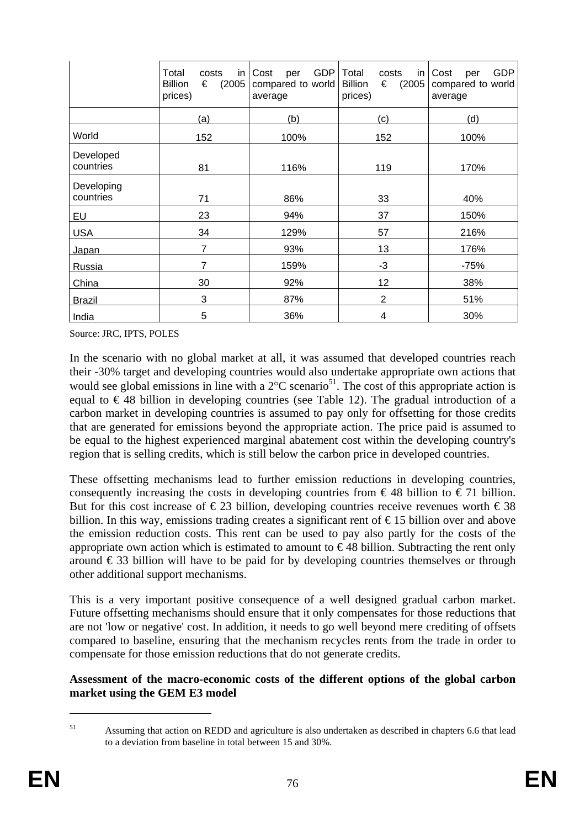|                         | Total<br>in<br>costs<br>(2005)<br><b>Billion</b><br>€<br>prices) | GDP<br>Cost<br>per<br>compared to world<br>average | Total<br>in<br>costs<br>(2005)<br><b>Billion</b><br>€<br>prices) | <b>GDP</b><br>Cost<br>per<br>compared to world<br>average |
|-------------------------|------------------------------------------------------------------|----------------------------------------------------|------------------------------------------------------------------|-----------------------------------------------------------|
|                         | (a)                                                              | (b)                                                | (c)                                                              | (d)                                                       |
| World                   | 152                                                              | 100%                                               | 152                                                              | 100%                                                      |
| Developed<br>countries  | 81                                                               | 116%                                               | 119                                                              | 170%                                                      |
| Developing<br>countries | 71                                                               | 86%                                                | 33                                                               | 40%                                                       |
| EU                      | 23                                                               | 94%                                                | 37                                                               | 150%                                                      |
| <b>USA</b>              | 34                                                               | 129%                                               | 57                                                               | 216%                                                      |
| Japan                   | 7                                                                | 93%                                                | 13                                                               | 176%                                                      |
| Russia                  | 7                                                                | 159%                                               | $-3$                                                             | $-75%$                                                    |
| China                   | 30                                                               | 92%                                                | 12                                                               | 38%                                                       |
| <b>Brazil</b>           | 3                                                                | 87%                                                | $\overline{2}$                                                   | 51%                                                       |
| India                   | 5                                                                | 36%                                                | 4                                                                | 30%                                                       |

Source: JRC, IPTS, POLES

In the scenario with no global market at all, it was assumed that developed countries reach their -30% target and developing countries would also undertake appropriate own actions that would see global emissions in line with a  $2^{\circ}$ C scenario<sup>51</sup>. The cost of this appropriate action is equal to  $\in$  48 billion in developing countries (see [Table 12\)](#page-73-0). The gradual introduction of a carbon market in developing countries is assumed to pay only for offsetting for those credits that are generated for emissions beyond the appropriate action. The price paid is assumed to be equal to the highest experienced marginal abatement cost within the developing country's region that is selling credits, which is still below the carbon price in developed countries.

These offsetting mechanisms lead to further emission reductions in developing countries, consequently increasing the costs in developing countries from  $\epsilon$ 48 billion to  $\epsilon$ 71 billion. But for this cost increase of  $\in$  23 billion, developing countries receive revenues worth  $\in$  38 billion. In this way, emissions trading creates a significant rent of € 15 billion over and above the emission reduction costs. This rent can be used to pay also partly for the costs of the appropriate own action which is estimated to amount to  $\epsilon$ 48 billion. Subtracting the rent only around  $\epsilon$  33 billion will have to be paid for by developing countries themselves or through other additional support mechanisms.

This is a very important positive consequence of a well designed gradual carbon market. Future offsetting mechanisms should ensure that it only compensates for those reductions that are not 'low or negative' cost. In addition, it needs to go well beyond mere crediting of offsets compared to baseline, ensuring that the mechanism recycles rents from the trade in order to compensate for those emission reductions that do not generate credits.

**Assessment of the macro-economic costs of the different options of the global carbon market using the GEM E3 model** 

<sup>51</sup> Assuming that action on REDD and agriculture is also undertaken as described in chapter[s 6.6 t](#page-78-0)hat lead to a deviation from baseline in total between 15 and 30%.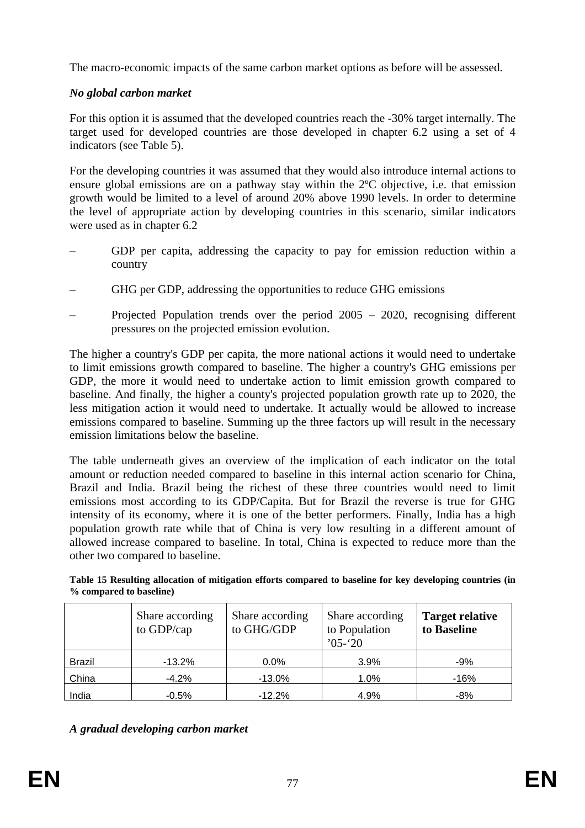The macro-economic impacts of the same carbon market options as before will be assessed.

# *No global carbon market*

For this option it is assumed that the developed countries reach the -30% target internally. The target used for developed countries are those developed in chapter [6.2](#page-47-0) using a set of 4 indicators (see [Table 5\)](#page-52-0).

For the developing countries it was assumed that they would also introduce internal actions to ensure global emissions are on a pathway stay within the 2ºC objective, i.e. that emission growth would be limited to a level of around 20% above 1990 levels. In order to determine the level of appropriate action by developing countries in this scenario, similar indicators were used as in chapte[r 6.2](#page-47-0) 

- GDP per capita, addressing the capacity to pay for emission reduction within a country
- GHG per GDP, addressing the opportunities to reduce GHG emissions
- Projected Population trends over the period 2005 2020, recognising different pressures on the projected emission evolution.

The higher a country's GDP per capita, the more national actions it would need to undertake to limit emissions growth compared to baseline. The higher a country's GHG emissions per GDP, the more it would need to undertake action to limit emission growth compared to baseline. And finally, the higher a county's projected population growth rate up to 2020, the less mitigation action it would need to undertake. It actually would be allowed to increase emissions compared to baseline. Summing up the three factors up will result in the necessary emission limitations below the baseline.

The table underneath gives an overview of the implication of each indicator on the total amount or reduction needed compared to baseline in this internal action scenario for China, Brazil and India. Brazil being the richest of these three countries would need to limit emissions most according to its GDP/Capita. But for Brazil the reverse is true for GHG intensity of its economy, where it is one of the better performers. Finally, India has a high population growth rate while that of China is very low resulting in a different amount of allowed increase compared to baseline. In total, China is expected to reduce more than the other two compared to baseline.

| Table 15 Resulting allocation of mitigation efforts compared to baseline for key developing countries (in |  |  |  |  |
|-----------------------------------------------------------------------------------------------------------|--|--|--|--|
| % compared to baseline)                                                                                   |  |  |  |  |

|               | Share according<br>to GDP/cap | Share according<br>to GHG/GDP | Share according<br>to Population<br>$05 - 20$ | <b>Target relative</b><br>to Baseline |
|---------------|-------------------------------|-------------------------------|-----------------------------------------------|---------------------------------------|
| <b>Brazil</b> | $-13.2%$                      | $0.0\%$                       | 3.9%                                          | -9%                                   |
| China         | $-4.2%$                       | $-13.0%$                      | 1.0%                                          | $-16%$                                |
| India         | $-0.5%$                       | $-12.2%$                      | 4.9%                                          | -8%                                   |

*A gradual developing carbon market*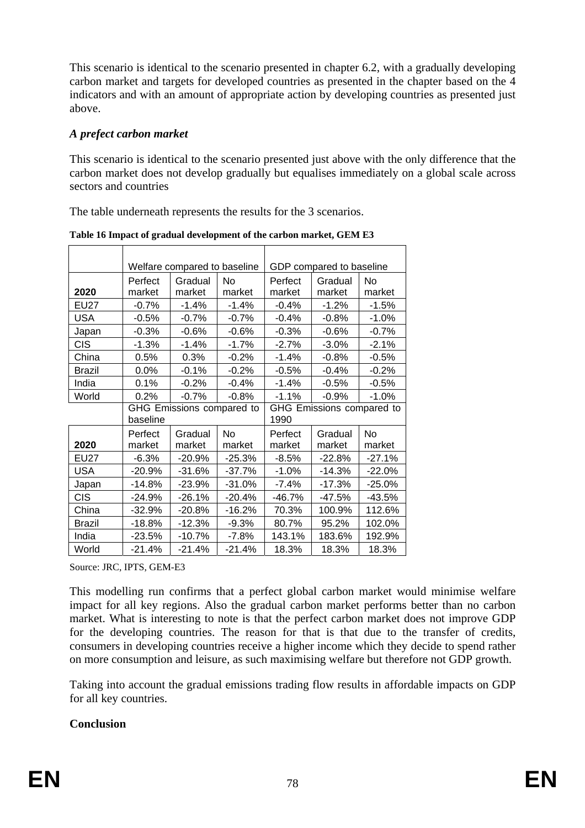This scenario is identical to the scenario presented in chapte[r 6.2,](#page-47-0) with a gradually developing carbon market and targets for developed countries as presented in the chapter based on the 4 indicators and with an amount of appropriate action by developing countries as presented just above.

### *A prefect carbon market*

This scenario is identical to the scenario presented just above with the only difference that the carbon market does not develop gradually but equalises immediately on a global scale across sectors and countries

The table underneath represents the results for the 3 scenarios.

|               |                   | Welfare compared to baseline |                     | GDP compared to baseline |                                   |                     |  |
|---------------|-------------------|------------------------------|---------------------|--------------------------|-----------------------------------|---------------------|--|
|               | Perfect           | Gradual                      | No                  | Perfect                  | Gradual                           | No                  |  |
| 2020          | market            | market                       | market              | market                   | market                            | market              |  |
| <b>EU27</b>   | $-0.7%$           | $-1.4%$                      | $-1.4%$             | $-0.4%$                  | $-1.2%$                           | $-1.5%$             |  |
| <b>USA</b>    | $-0.5%$           | $-0.7%$                      | $-0.7%$             | $-0.4%$                  | $-0.8%$                           | $-1.0%$             |  |
| Japan         | $-0.3%$           | $-0.6%$                      | $-0.6%$             | $-0.3%$                  | $-0.6%$                           | $-0.7%$             |  |
| <b>CIS</b>    | $-1.3%$           | $-1.4%$                      | $-1.7%$             | $-2.7%$                  | $-3.0%$                           | $-2.1%$             |  |
| China         | 0.5%              | 0.3%                         | $-0.2%$             | $-1.4%$                  | $-0.8%$                           | $-0.5%$             |  |
| <b>Brazil</b> | $0.0\%$           | $-0.1%$                      | $-0.2%$             | $-0.5%$                  | $-0.4%$                           | $-0.2%$             |  |
| India         | 0.1%              | $-0.2%$                      | $-0.4%$             | $-1.4%$                  | $-0.5%$                           | $-0.5%$             |  |
| World         | 0.2%              | $-0.7%$                      | $-0.8%$             | $-1.1%$                  | $-0.9%$                           | $-1.0%$             |  |
|               | baseline          | GHG Emissions compared to    |                     |                          | GHG Emissions compared to<br>1990 |                     |  |
| 2020          | Perfect<br>market | Gradual<br>market            | <b>No</b><br>market | Perfect<br>market        | Gradual<br>market                 | <b>No</b><br>market |  |
| <b>EU27</b>   | $-6.3%$           | $-20.9%$                     | $-25.3%$            | $-8.5%$                  | $-22.8%$                          | $-27.1%$            |  |
| <b>USA</b>    | $-20.9%$          | $-31.6%$                     | $-37.7%$            | $-1.0%$                  | $-14.3%$                          | $-22.0%$            |  |
| Japan         | $-14.8%$          | $-23.9%$                     | $-31.0%$            | $-7.4%$                  | $-17.3%$                          | $-25.0%$            |  |
| <b>CIS</b>    | $-24.9%$          | $-26.1%$                     | $-20.4%$            | $-46.7%$                 | $-47.5%$                          | $-43.5%$            |  |
| China         | $-32.9%$          | -20.8%                       | $-16.2%$            | 70.3%                    | 100.9%                            | 112.6%              |  |
| Brazil        | -18.8%            | -12.3%                       | $-9.3%$             | 80.7%                    | 95.2%                             | 102.0%              |  |
| India         | $-23.5%$          | $-10.7%$                     | $-7.8%$             | 143.1%                   | 183.6%                            | 192.9%              |  |
| World         | $-21.4%$          | $-21.4%$                     | $-21.4%$            | 18.3%                    | 18.3%                             | 18.3%               |  |

**Table 16 Impact of gradual development of the carbon market, GEM E3** 

Source: JRC, IPTS, GEM-E3

This modelling run confirms that a perfect global carbon market would minimise welfare impact for all key regions. Also the gradual carbon market performs better than no carbon market. What is interesting to note is that the perfect carbon market does not improve GDP for the developing countries. The reason for that is that due to the transfer of credits, consumers in developing countries receive a higher income which they decide to spend rather on more consumption and leisure, as such maximising welfare but therefore not GDP growth.

Taking into account the gradual emissions trading flow results in affordable impacts on GDP for all key countries.

### **Conclusion**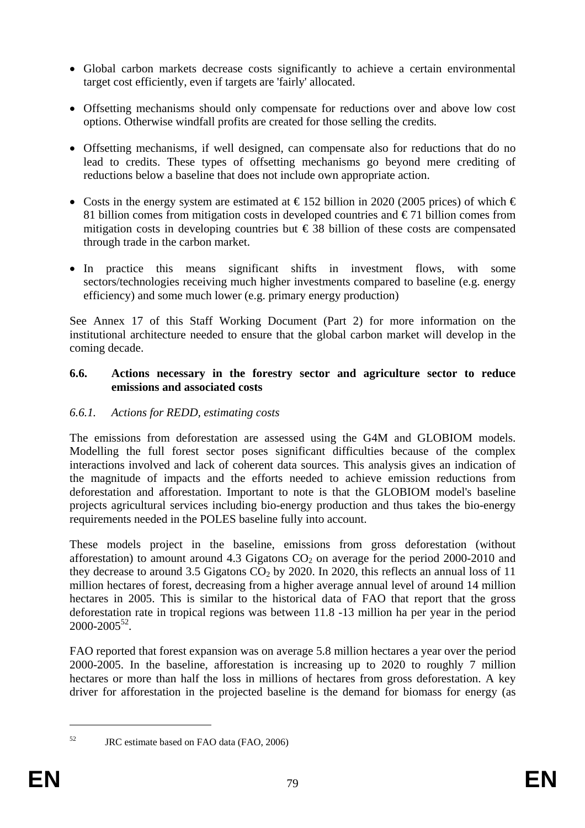- Global carbon markets decrease costs significantly to achieve a certain environmental target cost efficiently, even if targets are 'fairly' allocated.
- Offsetting mechanisms should only compensate for reductions over and above low cost options. Otherwise windfall profits are created for those selling the credits.
- Offsetting mechanisms, if well designed, can compensate also for reductions that do no lead to credits. These types of offsetting mechanisms go beyond mere crediting of reductions below a baseline that does not include own appropriate action.
- Costs in the energy system are estimated at  $\epsilon$ 152 billion in 2020 (2005 prices) of which  $\epsilon$ 81 billion comes from mitigation costs in developed countries and  $\epsilon$  71 billion comes from mitigation costs in developing countries but  $\epsilon$  38 billion of these costs are compensated through trade in the carbon market.
- In practice this means significant shifts in investment flows, with some sectors/technologies receiving much higher investments compared to baseline (e.g. energy efficiency) and some much lower (e.g. primary energy production)

See Annex 17 of this Staff Working Document (Part 2) for more information on the institutional architecture needed to ensure that the global carbon market will develop in the coming decade.

#### <span id="page-78-0"></span>**6.6. Actions necessary in the forestry sector and agriculture sector to reduce emissions and associated costs**

## *6.6.1. Actions for REDD, estimating costs*

The emissions from deforestation are assessed using the G4M and GLOBIOM models. Modelling the full forest sector poses significant difficulties because of the complex interactions involved and lack of coherent data sources. This analysis gives an indication of the magnitude of impacts and the efforts needed to achieve emission reductions from deforestation and afforestation. Important to note is that the GLOBIOM model's baseline projects agricultural services including bio-energy production and thus takes the bio-energy requirements needed in the POLES baseline fully into account.

These models project in the baseline, emissions from gross deforestation (without afforestation) to amount around 4.3 Gigatons  $CO<sub>2</sub>$  on average for the period 2000-2010 and they decrease to around 3.5 Gigatons  $CO<sub>2</sub>$  by 2020. In 2020, this reflects an annual loss of 11 million hectares of forest, decreasing from a higher average annual level of around 14 million hectares in 2005. This is similar to the historical data of FAO that report that the gross deforestation rate in tropical regions was between 11.8 -13 million ha per year in the period  $2000 - 2005^{52}$ .

FAO reported that forest expansion was on average 5.8 million hectares a year over the period 2000-2005. In the baseline, afforestation is increasing up to 2020 to roughly 7 million hectares or more than half the loss in millions of hectares from gross deforestation. A key driver for afforestation in the projected baseline is the demand for biomass for energy (as

<sup>52</sup> JRC estimate based on FAO data (FAO, 2006)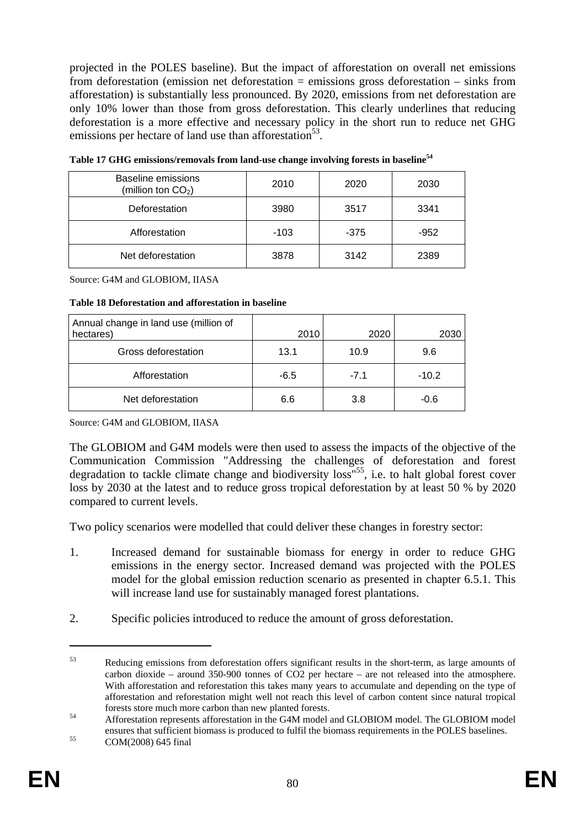projected in the POLES baseline). But the impact of afforestation on overall net emissions from deforestation (emission net deforestation = emissions gross deforestation – sinks from afforestation) is substantially less pronounced. By 2020, emissions from net deforestation are only 10% lower than those from gross deforestation. This clearly underlines that reducing deforestation is a more effective and necessary policy in the short run to reduce net GHG emissions per hectare of land use than afforestation<sup>53</sup>.

| Baseline emissions<br>(million ton $CO2$ ) | 2010   | 2020   | 2030   |
|--------------------------------------------|--------|--------|--------|
| Deforestation                              | 3980   | 3517   | 3341   |
| Afforestation                              | $-103$ | $-375$ | $-952$ |
| Net deforestation                          | 3878   | 3142   | 2389   |

<span id="page-79-0"></span>**Table 17 GHG emissions/removals from land-use change involving forests in baseline54**

Source: G4M and GLOBIOM, IIASA

| Annual change in land use (million of<br>hectares) | 2010   | 2020   | 2030    |
|----------------------------------------------------|--------|--------|---------|
| Gross deforestation                                | 13.1   | 10.9   | 9.6     |
| Afforestation                                      | $-6.5$ | $-7.1$ | $-10.2$ |
| Net deforestation                                  | 6.6    | 3.8    | $-0.6$  |

Source: G4M and GLOBIOM, IIASA

The GLOBIOM and G4M models were then used to assess the impacts of the objective of the Communication Commission "Addressing the challenges of deforestation and forest degradation to tackle climate change and biodiversity loss"<sup>55</sup>, i.e. to halt global forest cover loss by 2030 at the latest and to reduce gross tropical deforestation by at least 50 % by 2020 compared to current levels.

Two policy scenarios were modelled that could deliver these changes in forestry sector:

- 1. Increased demand for sustainable biomass for energy in order to reduce GHG emissions in the energy sector. Increased demand was projected with the POLES model for the global emission reduction scenario as presented in chapter [6.5.1.](#page-60-0) This will increase land use for sustainably managed forest plantations.
- 2. Specific policies introduced to reduce the amount of gross deforestation.

<sup>53</sup> Reducing emissions from deforestation offers significant results in the short-term, as large amounts of carbon dioxide – around 350-900 tonnes of CO2 per hectare – are not released into the atmosphere. With afforestation and reforestation this takes many years to accumulate and depending on the type of afforestation and reforestation might well not reach this level of carbon content since natural tropical forests store much more carbon than new planted forests. 54 Afforestation represents afforestation in the G4M model and GLOBIOM model. The GLOBIOM model

ensures that sufficient biomass is produced to fulfil the biomass requirements in the POLES baselines.<br>COM(2008) 645 final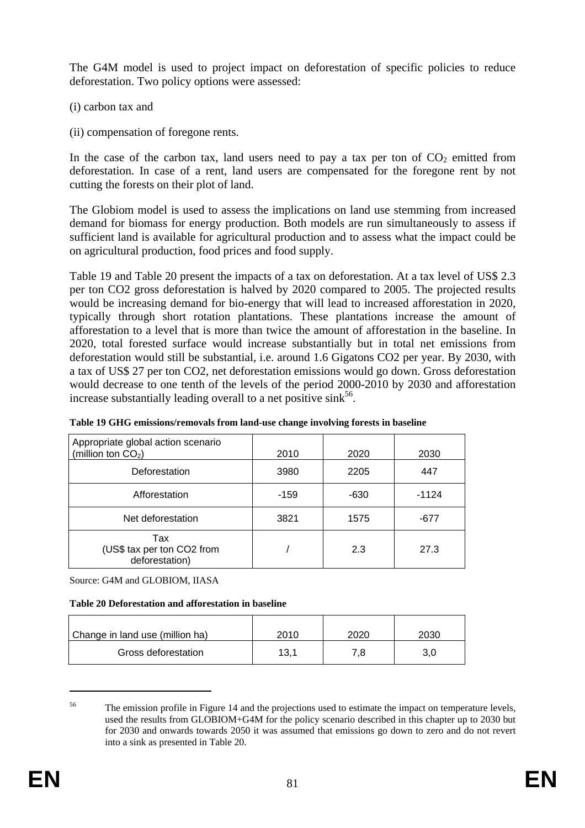The G4M model is used to project impact on deforestation of specific policies to reduce deforestation. Two policy options were assessed:

- (i) carbon tax and
- (ii) compensation of foregone rents.

In the case of the carbon tax, land users need to pay a tax per ton of  $CO<sub>2</sub>$  emitted from deforestation. In case of a rent, land users are compensated for the foregone rent by not cutting the forests on their plot of land.

The Globiom model is used to assess the implications on land use stemming from increased demand for biomass for energy production. Both models are run simultaneously to assess if sufficient land is available for agricultural production and to assess what the impact could be on agricultural production, food prices and food supply.

[Table 19](#page-80-0) an[d Table 20](#page-80-1) present the impacts of a tax on deforestation. At a tax level of US\$ 2.3 per ton CO2 gross deforestation is halved by 2020 compared to 2005. The projected results would be increasing demand for bio-energy that will lead to increased afforestation in 2020, typically through short rotation plantations. These plantations increase the amount of afforestation to a level that is more than twice the amount of afforestation in the baseline. In 2020, total forested surface would increase substantially but in total net emissions from deforestation would still be substantial, i.e. around 1.6 Gigatons CO2 per year. By 2030, with a tax of US\$ 27 per ton CO2, net deforestation emissions would go down. Gross deforestation would decrease to one tenth of the levels of the period 2000-2010 by 2030 and afforestation increase substantially leading overall to a net positive sink<sup>56</sup>.

| Appropriate global action scenario<br>(million ton $CO2$ ) | 2010   | 2020   | 2030    |
|------------------------------------------------------------|--------|--------|---------|
| Deforestation                                              | 3980   | 2205   | 447     |
| Afforestation                                              | $-159$ | $-630$ | $-1124$ |
| Net deforestation                                          | 3821   | 1575   | -677    |
| Tax<br>(US\$ tax per ton CO2 from<br>deforestation)        |        | 2.3    | 27.3    |

<span id="page-80-0"></span>

|  |  |  |  | Table 19 GHG emissions/removals from land-use change involving forests in baseline |  |
|--|--|--|--|------------------------------------------------------------------------------------|--|
|  |  |  |  |                                                                                    |  |

Source: G4M and GLOBIOM, IIASA

<span id="page-80-1"></span>**Table 20 Deforestation and afforestation in baseline** 

| Change in land use (million ha) | 2010 | 2020 | 2030 |
|---------------------------------|------|------|------|
| Gross deforestation             | 13,1 | 7.8  | 3,0  |

<sup>&</sup>lt;sup>56</sup> The emission profile i[n Figure 14 a](#page-94-0)nd the projections used to estimate the impact on temperature levels, used the results from GLOBIOM+G4M for the policy scenario described in this chapter up to 2030 but for 2030 and onwards towards 2050 it was assumed that emissions go down to zero and do not revert into a sink as presented i[n Table 20.](#page-80-1)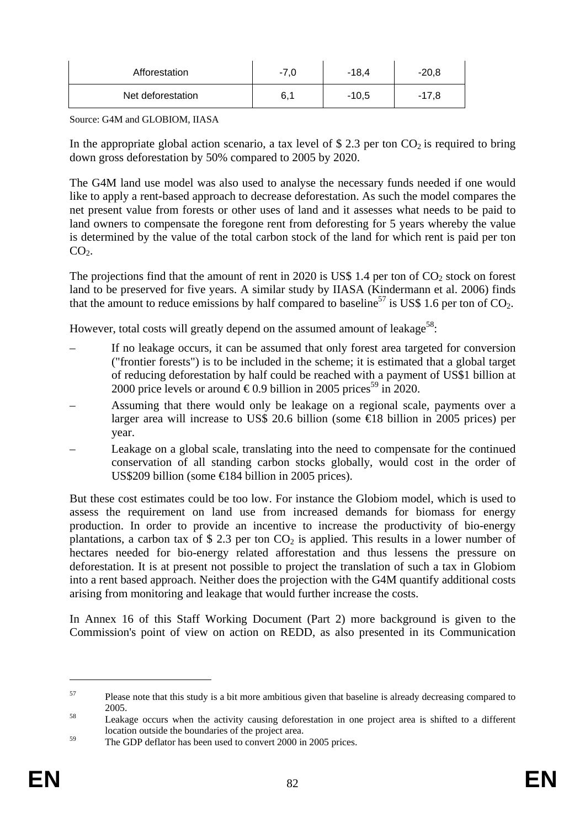| Afforestation     | $-7,0$ | $-18,4$ | $-20,8$ |
|-------------------|--------|---------|---------|
| Net deforestation | 6,1    | $-10.5$ | $-17,8$ |

Source: G4M and GLOBIOM, IIASA

In the appropriate global action scenario, a tax level of \$2.3 per ton  $CO<sub>2</sub>$  is required to bring down gross deforestation by 50% compared to 2005 by 2020.

The G4M land use model was also used to analyse the necessary funds needed if one would like to apply a rent-based approach to decrease deforestation. As such the model compares the net present value from forests or other uses of land and it assesses what needs to be paid to land owners to compensate the foregone rent from deforesting for 5 years whereby the value is determined by the value of the total carbon stock of the land for which rent is paid per ton  $CO<sub>2</sub>$ .

The projections find that the amount of rent in 2020 is US\$ 1.4 per ton of  $CO<sub>2</sub>$  stock on forest land to be preserved for five years. A similar study by IIASA (Kindermann et al. 2006) finds that the amount to reduce emissions by half compared to baseline<sup>57</sup> is US\$ 1.6 per ton of  $CO<sub>2</sub>$ .

However, total costs will greatly depend on the assumed amount of leakage<sup>58</sup>:

- If no leakage occurs, it can be assumed that only forest area targeted for conversion ("frontier forests") is to be included in the scheme; it is estimated that a global target of reducing deforestation by half could be reached with a payment of US\$1 billion at 2000 price levels or around  $\in 0.9$  billion in 2005 prices<sup>59</sup> in 2020.
- Assuming that there would only be leakage on a regional scale, payments over a larger area will increase to US\$ 20.6 billion (some €18 billion in 2005 prices) per year.
- Leakage on a global scale, translating into the need to compensate for the continued conservation of all standing carbon stocks globally, would cost in the order of US\$209 billion (some €184 billion in 2005 prices).

But these cost estimates could be too low. For instance the Globiom model, which is used to assess the requirement on land use from increased demands for biomass for energy production. In order to provide an incentive to increase the productivity of bio-energy plantations, a carbon tax of \$ 2.3 per ton  $CO<sub>2</sub>$  is applied. This results in a lower number of hectares needed for bio-energy related afforestation and thus lessens the pressure on deforestation. It is at present not possible to project the translation of such a tax in Globiom into a rent based approach. Neither does the projection with the G4M quantify additional costs arising from monitoring and leakage that would further increase the costs.

In Annex 16 of this Staff Working Document (Part 2) more background is given to the Commission's point of view on action on REDD, as also presented in its Communication

<sup>&</sup>lt;sup>57</sup> Please note that this study is a bit more ambitious given that baseline is already decreasing compared to

<sup>2005.&</sup>lt;br>Leakage occurs when the activity causing deforestation in one project area is shifted to a different location outside the boundaries of the project area.

<sup>&</sup>lt;sup>59</sup> The GDP deflator has been used to convert 2000 in 2005 prices.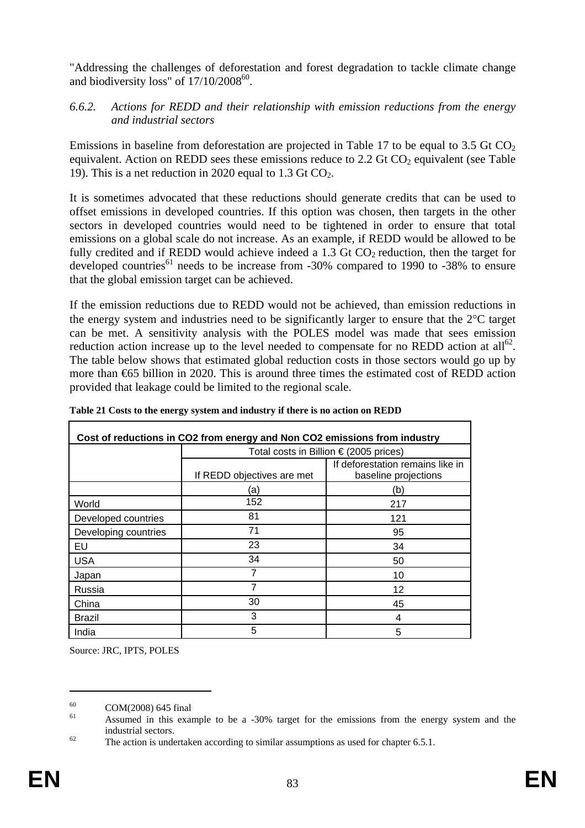"Addressing the challenges of deforestation and forest degradation to tackle climate change and biodiversity loss" of  $17/10/2008^{60}$ .

### *6.6.2. Actions for REDD and their relationship with emission reductions from the energy and industrial sectors*

Emissions in baseline from deforestation are projected in [Table 17](#page-79-0) to be equal to 3.5 Gt  $CO<sub>2</sub>$ equivalent. Action on REDD sees these emissions reduce to 2.2 Gt  $CO<sub>2</sub>$  equivalent (see Table [19\)](#page-80-0). This is a net reduction in 2020 equal to  $1.3$  Gt CO<sub>2</sub>.

It is sometimes advocated that these reductions should generate credits that can be used to offset emissions in developed countries. If this option was chosen, then targets in the other sectors in developed countries would need to be tightened in order to ensure that total emissions on a global scale do not increase. As an example, if REDD would be allowed to be fully credited and if REDD would achieve indeed a 1.3 Gt  $CO<sub>2</sub>$  reduction, then the target for developed countries<sup>61</sup> needs to be increase from  $-30\%$  compared to 1990 to  $-38\%$  to ensure that the global emission target can be achieved.

If the emission reductions due to REDD would not be achieved, than emission reductions in the energy system and industries need to be significantly larger to ensure that the 2°C target can be met. A sensitivity analysis with the POLES model was made that sees emission reduction action increase up to the level needed to compensate for no REDD action at  $all^{62}$ . The table below shows that estimated global reduction costs in those sectors would go up by more than €65 billion in 2020. This is around three times the estimated cost of REDD action provided that leakage could be limited to the regional scale.

| Cost of reductions in CO2 from energy and Non CO2 emissions from industry |                                                 |                                                          |  |  |  |
|---------------------------------------------------------------------------|-------------------------------------------------|----------------------------------------------------------|--|--|--|
|                                                                           | Total costs in Billion $\epsilon$ (2005 prices) |                                                          |  |  |  |
|                                                                           | If REDD objectives are met                      | If deforestation remains like in<br>baseline projections |  |  |  |
|                                                                           | (a                                              | (b)                                                      |  |  |  |
| World                                                                     | 152                                             | 217                                                      |  |  |  |
| Developed countries                                                       | 81                                              | 121                                                      |  |  |  |
| Developing countries                                                      | 71                                              | 95                                                       |  |  |  |
| EU                                                                        | 23                                              | 34                                                       |  |  |  |
| <b>USA</b>                                                                | 34                                              | 50                                                       |  |  |  |
| Japan                                                                     | 7                                               | 10                                                       |  |  |  |
| Russia                                                                    | 7                                               | 12                                                       |  |  |  |
| China                                                                     | 30                                              | 45                                                       |  |  |  |
| Brazil                                                                    | 3                                               | 4                                                        |  |  |  |
| India                                                                     | 5                                               | 5                                                        |  |  |  |

**Table 21 Costs to the energy system and industry if there is no action on REDD** 

Source: JRC, IPTS, POLES

 $60$  COM(2008) 645 final

<sup>61</sup> Assumed in this example to be a -30% target for the emissions from the energy system and the industrial sectors.<br><sup>62</sup> The action is undertaken according to similar assumptions as used for chapter 6.5.1.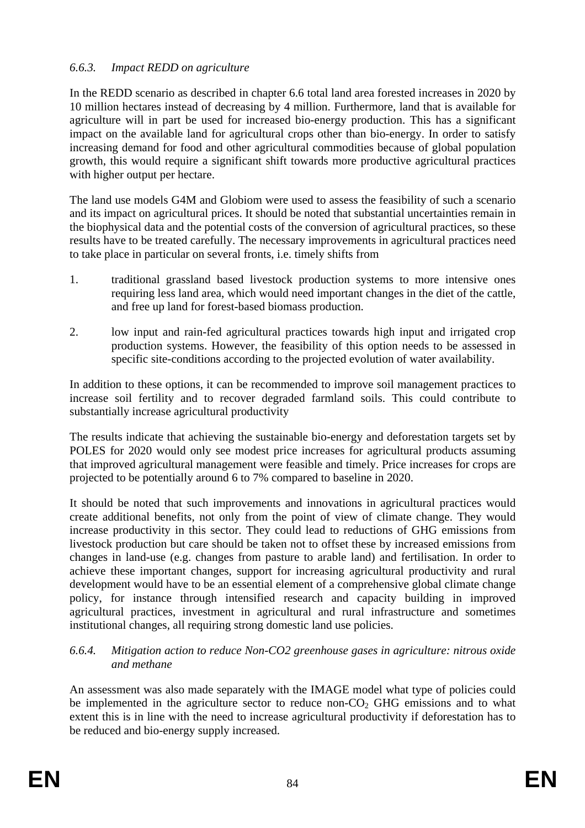### *6.6.3. Impact REDD on agriculture*

In the REDD scenario as described in chapte[r 6.6](#page-78-0) total land area forested increases in 2020 by 10 million hectares instead of decreasing by 4 million. Furthermore, land that is available for agriculture will in part be used for increased bio-energy production. This has a significant impact on the available land for agricultural crops other than bio-energy. In order to satisfy increasing demand for food and other agricultural commodities because of global population growth, this would require a significant shift towards more productive agricultural practices with higher output per hectare.

The land use models G4M and Globiom were used to assess the feasibility of such a scenario and its impact on agricultural prices. It should be noted that substantial uncertainties remain in the biophysical data and the potential costs of the conversion of agricultural practices, so these results have to be treated carefully. The necessary improvements in agricultural practices need to take place in particular on several fronts, i.e. timely shifts from

- 1. traditional grassland based livestock production systems to more intensive ones requiring less land area, which would need important changes in the diet of the cattle, and free up land for forest-based biomass production.
- 2. low input and rain-fed agricultural practices towards high input and irrigated crop production systems. However, the feasibility of this option needs to be assessed in specific site-conditions according to the projected evolution of water availability.

In addition to these options, it can be recommended to improve soil management practices to increase soil fertility and to recover degraded farmland soils. This could contribute to substantially increase agricultural productivity

The results indicate that achieving the sustainable bio-energy and deforestation targets set by POLES for 2020 would only see modest price increases for agricultural products assuming that improved agricultural management were feasible and timely. Price increases for crops are projected to be potentially around 6 to 7% compared to baseline in 2020.

It should be noted that such improvements and innovations in agricultural practices would create additional benefits, not only from the point of view of climate change. They would increase productivity in this sector. They could lead to reductions of GHG emissions from livestock production but care should be taken not to offset these by increased emissions from changes in land-use (e.g. changes from pasture to arable land) and fertilisation. In order to achieve these important changes, support for increasing agricultural productivity and rural development would have to be an essential element of a comprehensive global climate change policy, for instance through intensified research and capacity building in improved agricultural practices, investment in agricultural and rural infrastructure and sometimes institutional changes, all requiring strong domestic land use policies.

#### *6.6.4. Mitigation action to reduce Non-CO2 greenhouse gases in agriculture: nitrous oxide and methane*

An assessment was also made separately with the IMAGE model what type of policies could be implemented in the agriculture sector to reduce non- $CO<sub>2</sub>$  GHG emissions and to what extent this is in line with the need to increase agricultural productivity if deforestation has to be reduced and bio-energy supply increased.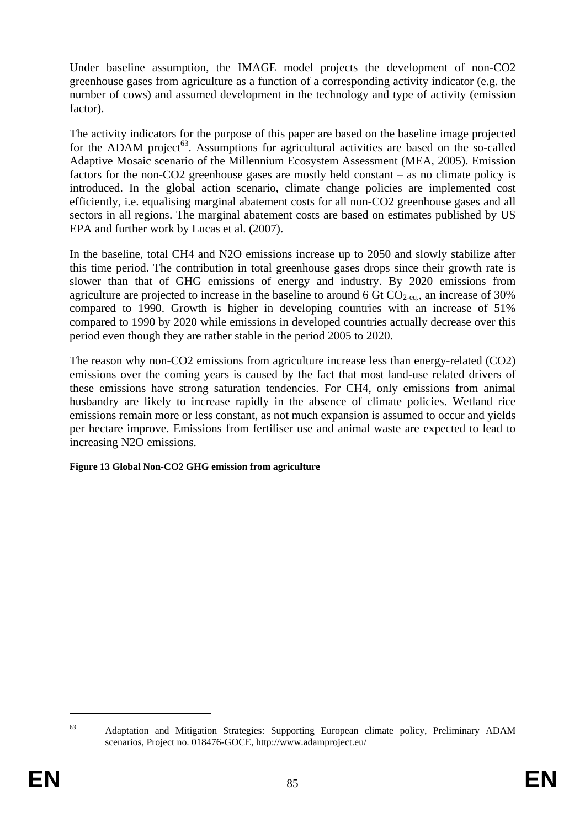Under baseline assumption, the IMAGE model projects the development of non-CO2 greenhouse gases from agriculture as a function of a corresponding activity indicator (e.g. the number of cows) and assumed development in the technology and type of activity (emission factor).

The activity indicators for the purpose of this paper are based on the baseline image projected for the ADAM project<sup>63</sup>. Assumptions for agricultural activities are based on the so-called Adaptive Mosaic scenario of the Millennium Ecosystem Assessment (MEA, 2005). Emission factors for the non-CO2 greenhouse gases are mostly held constant – as no climate policy is introduced. In the global action scenario, climate change policies are implemented cost efficiently, i.e. equalising marginal abatement costs for all non-CO2 greenhouse gases and all sectors in all regions. The marginal abatement costs are based on estimates published by US EPA and further work by Lucas et al. (2007).

In the baseline, total CH4 and N2O emissions increase up to 2050 and slowly stabilize after this time period. The contribution in total greenhouse gases drops since their growth rate is slower than that of GHG emissions of energy and industry. By 2020 emissions from agriculture are projected to increase in the baseline to around 6 Gt  $CO<sub>2-eq</sub>$ , an increase of 30% compared to 1990. Growth is higher in developing countries with an increase of 51% compared to 1990 by 2020 while emissions in developed countries actually decrease over this period even though they are rather stable in the period 2005 to 2020.

The reason why non-CO2 emissions from agriculture increase less than energy-related (CO2) emissions over the coming years is caused by the fact that most land-use related drivers of these emissions have strong saturation tendencies. For CH4, only emissions from animal husbandry are likely to increase rapidly in the absence of climate policies. Wetland rice emissions remain more or less constant, as not much expansion is assumed to occur and yields per hectare improve. Emissions from fertiliser use and animal waste are expected to lead to increasing N2O emissions.

#### **Figure 13 Global Non-CO2 GHG emission from agriculture**

<sup>&</sup>lt;sup>63</sup> Adaptation and Mitigation Strategies: Supporting European climate policy, Preliminary ADAM scenarios, Project no. 018476-GOCE, http://www.adamproject.eu/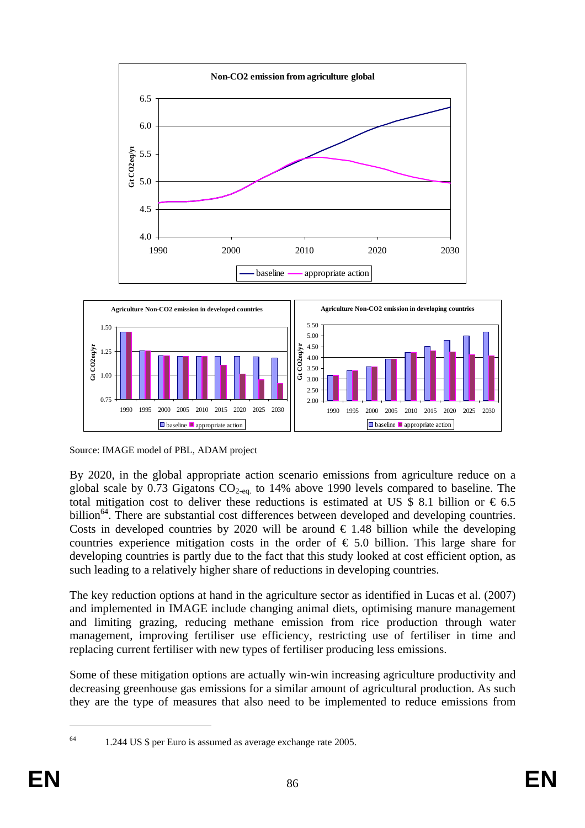



Source: IMAGE model of PBL, ADAM project

By 2020, in the global appropriate action scenario emissions from agriculture reduce on a global scale by 0.73 Gigatons  $CO<sub>2-eq</sub>$  to 14% above 1990 levels compared to baseline. The total mitigation cost to deliver these reductions is estimated at US \$ 8.1 billion or  $\epsilon$  6.5 billion<sup>64</sup>. There are substantial cost differences between developed and developing countries. Costs in developed countries by 2020 will be around  $\epsilon$  1.48 billion while the developing countries experience mitigation costs in the order of  $\epsilon$  5.0 billion. This large share for developing countries is partly due to the fact that this study looked at cost efficient option, as such leading to a relatively higher share of reductions in developing countries.

The key reduction options at hand in the agriculture sector as identified in Lucas et al. (2007) and implemented in IMAGE include changing animal diets, optimising manure management and limiting grazing, reducing methane emission from rice production through water management, improving fertiliser use efficiency, restricting use of fertiliser in time and replacing current fertiliser with new types of fertiliser producing less emissions.

Some of these mitigation options are actually win-win increasing agriculture productivity and decreasing greenhouse gas emissions for a similar amount of agricultural production. As such they are the type of measures that also need to be implemented to reduce emissions from

<sup>64 1.244</sup> US \$ per Euro is assumed as average exchange rate 2005.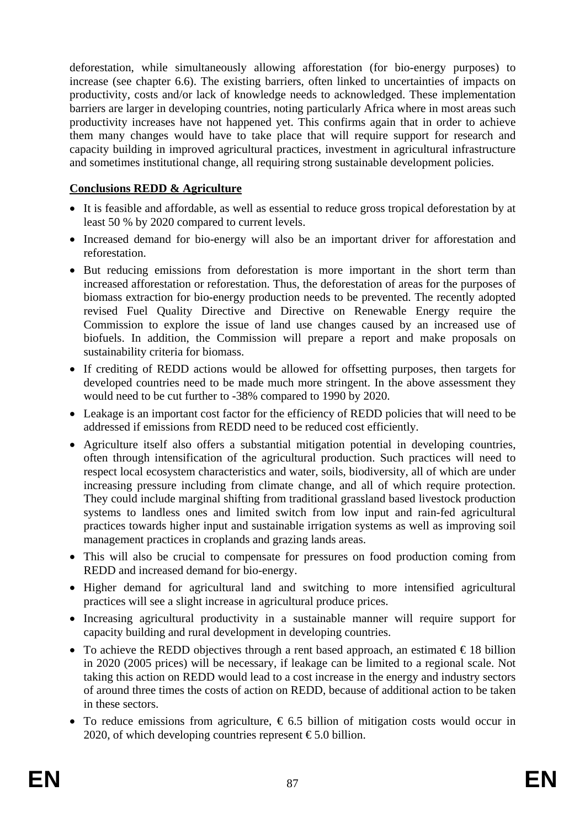deforestation, while simultaneously allowing afforestation (for bio-energy purposes) to increase (see chapter [6.6\)](#page-78-0). The existing barriers, often linked to uncertainties of impacts on productivity, costs and/or lack of knowledge needs to acknowledged. These implementation barriers are larger in developing countries, noting particularly Africa where in most areas such productivity increases have not happened yet. This confirms again that in order to achieve them many changes would have to take place that will require support for research and capacity building in improved agricultural practices, investment in agricultural infrastructure and sometimes institutional change, all requiring strong sustainable development policies.

## **Conclusions REDD & Agriculture**

- It is feasible and affordable, as well as essential to reduce gross tropical deforestation by at least 50 % by 2020 compared to current levels.
- Increased demand for bio-energy will also be an important driver for afforestation and reforestation.
- But reducing emissions from deforestation is more important in the short term than increased afforestation or reforestation. Thus, the deforestation of areas for the purposes of biomass extraction for bio-energy production needs to be prevented. The recently adopted revised Fuel Quality Directive and Directive on Renewable Energy require the Commission to explore the issue of land use changes caused by an increased use of biofuels. In addition, the Commission will prepare a report and make proposals on sustainability criteria for biomass.
- If crediting of REDD actions would be allowed for offsetting purposes, then targets for developed countries need to be made much more stringent. In the above assessment they would need to be cut further to -38% compared to 1990 by 2020.
- Leakage is an important cost factor for the efficiency of REDD policies that will need to be addressed if emissions from REDD need to be reduced cost efficiently.
- Agriculture itself also offers a substantial mitigation potential in developing countries, often through intensification of the agricultural production. Such practices will need to respect local ecosystem characteristics and water, soils, biodiversity, all of which are under increasing pressure including from climate change, and all of which require protection. They could include marginal shifting from traditional grassland based livestock production systems to landless ones and limited switch from low input and rain-fed agricultural practices towards higher input and sustainable irrigation systems as well as improving soil management practices in croplands and grazing lands areas.
- This will also be crucial to compensate for pressures on food production coming from REDD and increased demand for bio-energy.
- Higher demand for agricultural land and switching to more intensified agricultural practices will see a slight increase in agricultural produce prices.
- Increasing agricultural productivity in a sustainable manner will require support for capacity building and rural development in developing countries.
- To achieve the REDD objectives through a rent based approach, an estimated  $\epsilon$ 18 billion in 2020 (2005 prices) will be necessary, if leakage can be limited to a regional scale. Not taking this action on REDD would lead to a cost increase in the energy and industry sectors of around three times the costs of action on REDD, because of additional action to be taken in these sectors.
- To reduce emissions from agriculture,  $\epsilon$  6.5 billion of mitigation costs would occur in 2020, of which developing countries represent  $\epsilon$ 5.0 billion.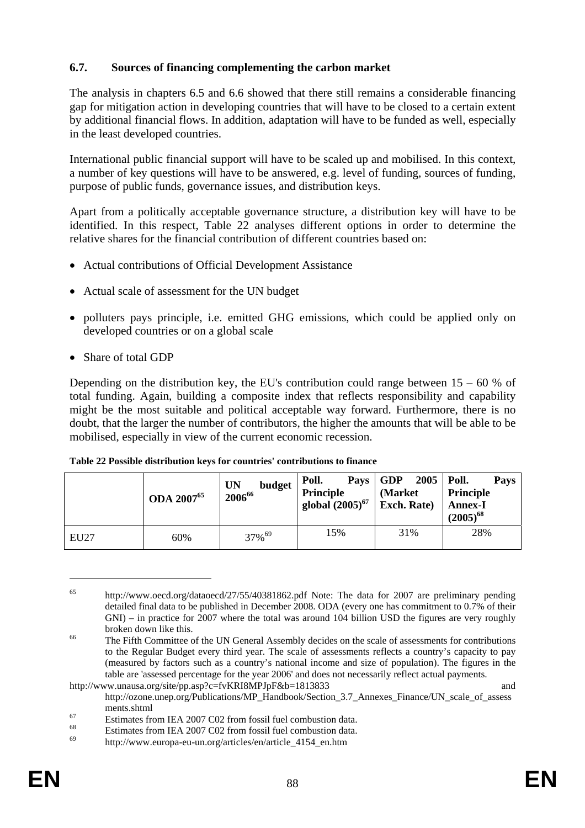### **6.7. Sources of financing complementing the carbon market**

The analysis in chapters [6.5](#page-60-1) an[d 6.6](#page-78-0) showed that there still remains a considerable financing gap for mitigation action in developing countries that will have to be closed to a certain extent by additional financial flows. In addition, adaptation will have to be funded as well, especially in the least developed countries.

International public financial support will have to be scaled up and mobilised. In this context, a number of key questions will have to be answered, e.g. level of funding, sources of funding, purpose of public funds, governance issues, and distribution keys.

Apart from a politically acceptable governance structure, a distribution key will have to be identified. In this respect, [Table 22](#page-87-0) analyses different options in order to determine the relative shares for the financial contribution of different countries based on:

- Actual contributions of Official Development Assistance
- Actual scale of assessment for the UN budget
- polluters pays principle, i.e. emitted GHG emissions, which could be applied only on developed countries or on a global scale
- Share of total GDP

Depending on the distribution key, the EU's contribution could range between  $15 - 60$  % of total funding. Again, building a composite index that reflects responsibility and capability might be the most suitable and political acceptable way forward. Furthermore, there is no doubt, that the larger the number of contributors, the higher the amounts that will be able to be mobilised, especially in view of the current economic recession.

|             | <b>ODA</b> 2007 <sup>65</sup> | budget<br><b>UN</b><br>200666 | Poll.<br>Principle<br>global $(2005)^{67}$ Exch. Rate) | Pays GDP<br>$2005$   Poll.<br>(Market) | Pays<br>Principle<br><b>Annex-I</b><br>$(2005)^{68}$ |
|-------------|-------------------------------|-------------------------------|--------------------------------------------------------|----------------------------------------|------------------------------------------------------|
| <b>EU27</b> | 60%                           | 37% <sup>69</sup>             | 15%                                                    | 31%                                    | 28%                                                  |

<span id="page-87-0"></span>

| Table 22 Possible distribution keys for countries' contributions to finance |  |
|-----------------------------------------------------------------------------|--|
|-----------------------------------------------------------------------------|--|

<sup>65</sup> <http://www.oecd.org/dataoecd/27/55/40381862.pdf>Note: The data for 2007 are preliminary pending detailed final data to be published in December 2008. ODA (every one has commitment to 0.7% of their GNI) – in practice for 2007 where the total was around 104 billion USD the figures are very roughly broken down like this.<br><sup>66</sup> The Fifth Committee of the UN General Assembly decides on the scale of assessments for contributions

to the Regular Budget every third year. The scale of assessments reflects a country's capacity to pay (measured by factors such as a country's national income and size of population). The figures in the table are 'assessed percentage for the year 2006' and does not necessarily reflect actual payments.

http://www.unausa.org/site/pp.asp?c=fvKRI8MPJpF&b=1813833 [http://ozone.unep.org/Publications/MP\\_Handbook/Section\\_3.7\\_Annexes\\_Finance/UN\\_scale\\_of\\_assess](http://ozone.unep.org/Publications/MP_Handbook/Section_3.7_Annexes_Finance/UN_scale_of_assessments.shtml)

ments.shtml<br> [Estimates fro](http://ozone.unep.org/Publications/MP_Handbook/Section_3.7_Annexes_Finance/UN_scale_of_assessments.shtml)m IEA 2007 C02 from fossil fuel combustion data.<br>
Estimates from IEA 2007 C02 from fossil fuel combustion data.

<sup>&</sup>lt;sup>68</sup><br>Estimates from IEA 2007 C02 from fossil fuel combustion data.

<sup>69</sup> [http://www.europa-eu-un.org/articles/en/article\\_4154\\_en.htm](http://www.europa-eu-un.org/articles/en/article_4154_en.htm)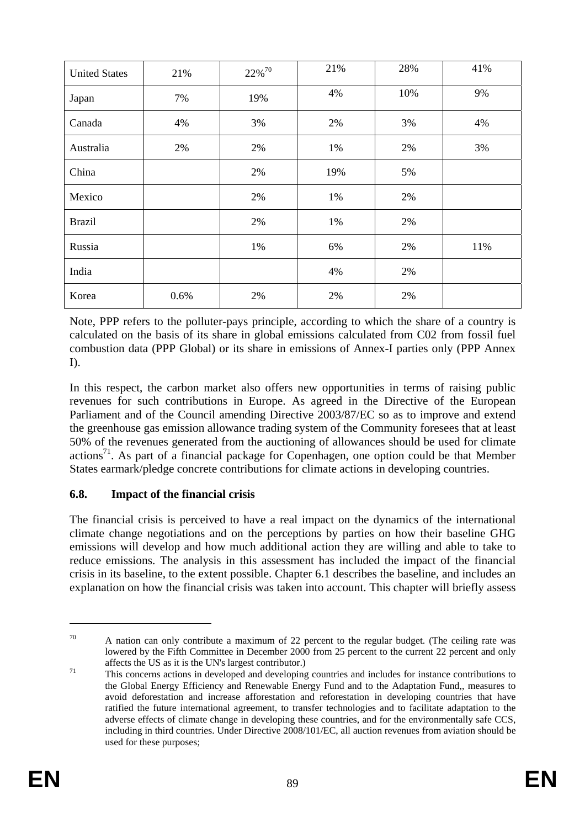| <b>United States</b> | 21%  | 22% <sup>70</sup> | 21% | 28% | 41% |
|----------------------|------|-------------------|-----|-----|-----|
| Japan                | 7%   | 19%               | 4%  | 10% | 9%  |
| Canada               | 4%   | 3%                | 2%  | 3%  | 4%  |
| Australia            | 2%   | 2%                | 1%  | 2%  | 3%  |
| China                |      | 2%                | 19% | 5%  |     |
| Mexico               |      | 2%                | 1%  | 2%  |     |
| <b>Brazil</b>        |      | 2%                | 1%  | 2%  |     |
| Russia               |      | 1%                | 6%  | 2%  | 11% |
| India                |      |                   | 4%  | 2%  |     |
| Korea                | 0.6% | 2%                | 2%  | 2%  |     |

Note, PPP refers to the polluter-pays principle, according to which the share of a country is calculated on the basis of its share in global emissions calculated from C02 from fossil fuel combustion data (PPP Global) or its share in emissions of Annex-I parties only (PPP Annex  $D<sub>1</sub>$ 

In this respect, the carbon market also offers new opportunities in terms of raising public revenues for such contributions in Europe. As agreed in the Directive of the European Parliament and of the Council amending Directive 2003/87/EC so as to improve and extend the greenhouse gas emission allowance trading system of the Community foresees that at least 50% of the revenues generated from the auctioning of allowances should be used for climate actions<sup>71</sup>. As part of a financial package for Copenhagen, one option could be that Member States earmark/pledge concrete contributions for climate actions in developing countries.

### **6.8. Impact of the financial crisis**

The financial crisis is perceived to have a real impact on the dynamics of the international climate change negotiations and on the perceptions by parties on how their baseline GHG emissions will develop and how much additional action they are willing and able to take to reduce emissions. The analysis in this assessment has included the impact of the financial crisis in its baseline, to the extent possible. Chapte[r 6.1](#page-44-0) describes the baseline, and includes an explanation on how the financial crisis was taken into account. This chapter will briefly assess

 $70$  A nation can only contribute a maximum of 22 percent to the regular budget. (The ceiling rate was lowered by the Fifth Committee in December 2000 from 25 percent to the current 22 percent and only

affects the US as it is the UN's largest contributor.)<br>This concerns actions in developed and developing countries and includes for instance contributions to the Global Energy Efficiency and Renewable Energy Fund and to the Adaptation Fund,, measures to avoid deforestation and increase afforestation and reforestation in developing countries that have ratified the future international agreement, to transfer technologies and to facilitate adaptation to the adverse effects of climate change in developing these countries, and for the environmentally safe CCS, including in third countries. Under Directive 2008/101/EC, all auction revenues from aviation should be used for these purposes;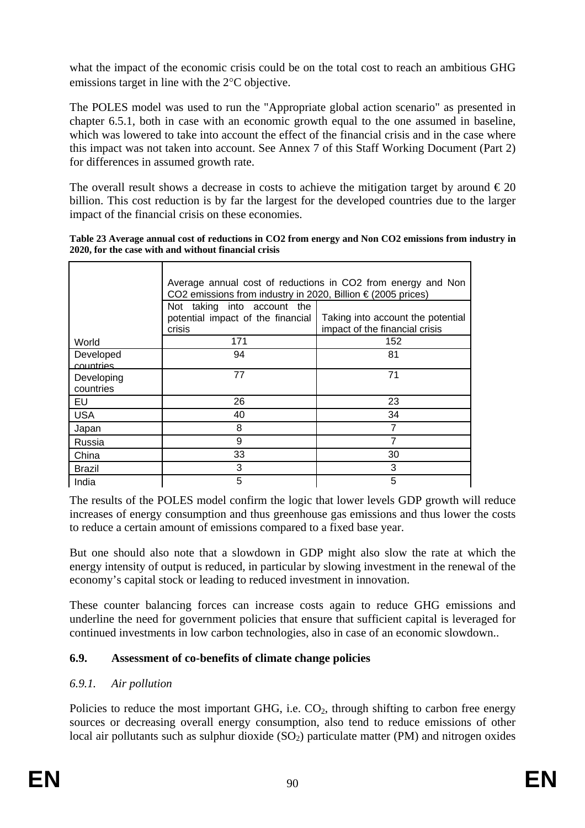what the impact of the economic crisis could be on the total cost to reach an ambitious GHG emissions target in line with the 2°C objective.

The POLES model was used to run the "Appropriate global action scenario" as presented in chapter [6.5.1,](#page-60-0) both in case with an economic growth equal to the one assumed in baseline, which was lowered to take into account the effect of the financial crisis and in the case where this impact was not taken into account. See Annex 7 of this Staff Working Document (Part 2) for differences in assumed growth rate.

The overall result shows a decrease in costs to achieve the mitigation target by around  $\epsilon$ 20 billion. This cost reduction is by far the largest for the developed countries due to the larger impact of the financial crisis on these economies.

| Table 23 Average annual cost of reductions in CO2 from energy and Non CO2 emissions from industry in |  |  |
|------------------------------------------------------------------------------------------------------|--|--|
| 2020, for the case with and without financial crisis                                                 |  |  |
|                                                                                                      |  |  |

|                         | Average annual cost of reductions in CO2 from energy and Non<br>CO2 emissions from industry in 2020, Billion € (2005 prices) |                                                                     |  |  |  |  |  |
|-------------------------|------------------------------------------------------------------------------------------------------------------------------|---------------------------------------------------------------------|--|--|--|--|--|
|                         | Not taking into account the                                                                                                  |                                                                     |  |  |  |  |  |
|                         | potential impact of the financial<br>crisis                                                                                  | Taking into account the potential<br>impact of the financial crisis |  |  |  |  |  |
| World                   | 171                                                                                                                          | 152                                                                 |  |  |  |  |  |
| Developed<br>countries  | 94                                                                                                                           | 81                                                                  |  |  |  |  |  |
| Developing<br>countries | 77                                                                                                                           | 71                                                                  |  |  |  |  |  |
| EU                      | 26                                                                                                                           | 23                                                                  |  |  |  |  |  |
| <b>USA</b>              | 40                                                                                                                           | 34                                                                  |  |  |  |  |  |
| Japan                   | 8                                                                                                                            |                                                                     |  |  |  |  |  |
| Russia                  | 9                                                                                                                            | 7                                                                   |  |  |  |  |  |
| China                   | 33                                                                                                                           | 30                                                                  |  |  |  |  |  |
| Brazil                  | 3                                                                                                                            | 3                                                                   |  |  |  |  |  |
| India                   | 5                                                                                                                            | 5                                                                   |  |  |  |  |  |

The results of the POLES model confirm the logic that lower levels GDP growth will reduce increases of energy consumption and thus greenhouse gas emissions and thus lower the costs to reduce a certain amount of emissions compared to a fixed base year.

But one should also note that a slowdown in GDP might also slow the rate at which the energy intensity of output is reduced, in particular by slowing investment in the renewal of the economy's capital stock or leading to reduced investment in innovation.

These counter balancing forces can increase costs again to reduce GHG emissions and underline the need for government policies that ensure that sufficient capital is leveraged for continued investments in low carbon technologies, also in case of an economic slowdown..

### **6.9. Assessment of co-benefits of climate change policies**

### *6.9.1. Air pollution*

Policies to reduce the most important GHG, i.e.  $CO<sub>2</sub>$ , through shifting to carbon free energy sources or decreasing overall energy consumption, also tend to reduce emissions of other local air pollutants such as sulphur dioxide  $(SO<sub>2</sub>)$  particulate matter (PM) and nitrogen oxides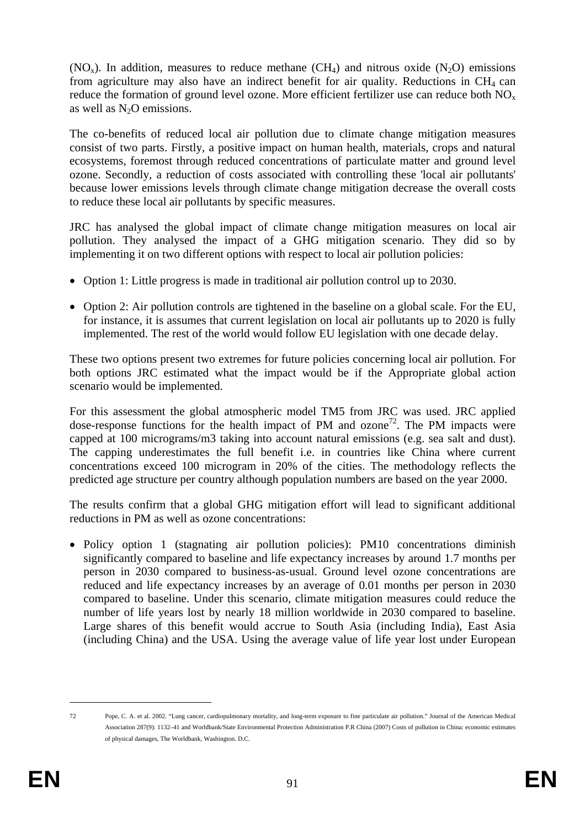$(NO<sub>x</sub>)$ . In addition, measures to reduce methane  $(CH<sub>4</sub>)$  and nitrous oxide  $(N<sub>2</sub>O)$  emissions from agriculture may also have an indirect benefit for air quality. Reductions in  $CH_4$  can reduce the formation of ground level ozone. More efficient fertilizer use can reduce both  $NO<sub>x</sub>$ as well as  $N<sub>2</sub>O$  emissions.

The co-benefits of reduced local air pollution due to climate change mitigation measures consist of two parts. Firstly, a positive impact on human health, materials, crops and natural ecosystems, foremost through reduced concentrations of particulate matter and ground level ozone. Secondly, a reduction of costs associated with controlling these 'local air pollutants' because lower emissions levels through climate change mitigation decrease the overall costs to reduce these local air pollutants by specific measures.

JRC has analysed the global impact of climate change mitigation measures on local air pollution. They analysed the impact of a GHG mitigation scenario. They did so by implementing it on two different options with respect to local air pollution policies:

- Option 1: Little progress is made in traditional air pollution control up to 2030.
- Option 2: Air pollution controls are tightened in the baseline on a global scale. For the EU, for instance, it is assumes that current legislation on local air pollutants up to 2020 is fully implemented. The rest of the world would follow EU legislation with one decade delay.

These two options present two extremes for future policies concerning local air pollution. For both options JRC estimated what the impact would be if the Appropriate global action scenario would be implemented.

For this assessment the global atmospheric model TM5 from JRC was used. JRC applied dose-response functions for the health impact of PM and ozone<sup>72</sup>. The PM impacts were capped at 100 micrograms/m3 taking into account natural emissions (e.g. sea salt and dust). The capping underestimates the full benefit i.e. in countries like China where current concentrations exceed 100 microgram in 20% of the cities. The methodology reflects the predicted age structure per country although population numbers are based on the year 2000.

The results confirm that a global GHG mitigation effort will lead to significant additional reductions in PM as well as ozone concentrations:

• Policy option 1 (stagnating air pollution policies): PM10 concentrations diminish significantly compared to baseline and life expectancy increases by around 1.7 months per person in 2030 compared to business-as-usual. Ground level ozone concentrations are reduced and life expectancy increases by an average of 0.01 months per person in 2030 compared to baseline. Under this scenario, climate mitigation measures could reduce the number of life years lost by nearly 18 million worldwide in 2030 compared to baseline. Large shares of this benefit would accrue to South Asia (including India), East Asia (including China) and the USA. Using the average value of life year lost under European

<sup>&</sup>lt;u>.</u>

<sup>72</sup> Pope, C. A. et al. 2002. "Lung cancer, cardiopulmonary mortality, and long-term exposure to fine particulate air pollution." Journal of the American Medical Association 287(9): 1132–41 and Worldbank/State Environmental Protection Administration P.R China (2007) Costs of pollution in China: economic estimates of physical damages, The Worldbank, Washington. D.C.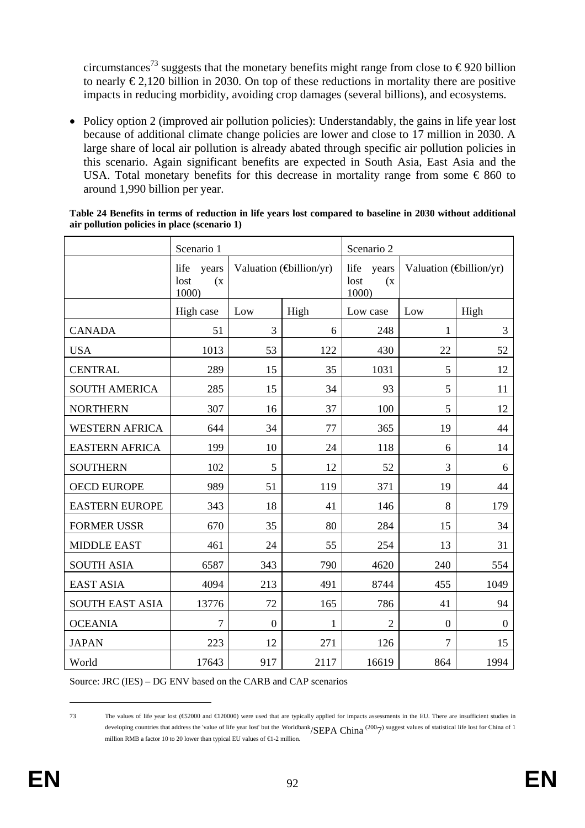circumstances<sup>73</sup> suggests that the monetary benefits might range from close to  $\epsilon$ 920 billion to nearly  $\epsilon$ 2,120 billion in 2030. On top of these reductions in mortality there are positive impacts in reducing morbidity, avoiding crop damages (several billions), and ecosystems.

• Policy option 2 (improved air pollution policies): Understandably, the gains in life year lost because of additional climate change policies are lower and close to 17 million in 2030. A large share of local air pollution is already abated through specific air pollution policies in this scenario. Again significant benefits are expected in South Asia, East Asia and the USA. Total monetary benefits for this decrease in mortality range from some  $\epsilon$  860 to around 1,990 billion per year.

|                        | Scenario 1                            |          |                                 | Scenario 2                            |                                 |          |
|------------------------|---------------------------------------|----------|---------------------------------|---------------------------------------|---------------------------------|----------|
|                        | life<br>years<br>lost<br>(x)<br>1000) |          | Valuation $(\text{Gellion/yr})$ | life<br>years<br>lost<br>(x)<br>1000) | Valuation $(\text{Gillion/yr})$ |          |
|                        | High case                             | Low      | High                            | Low case                              | Low                             | High     |
| <b>CANADA</b>          | 51                                    | 3        | 6                               | 248                                   | $\mathbf{1}$                    | 3        |
| <b>USA</b>             | 1013                                  | 53       | 122                             | 430                                   | 22                              | 52       |
| <b>CENTRAL</b>         | 289                                   | 15       | 35                              | 1031                                  | 5                               | 12       |
| <b>SOUTH AMERICA</b>   | 285                                   | 15       | 34                              | 93                                    | 5                               | 11       |
| <b>NORTHERN</b>        | 307                                   | 16       | 37                              | 100                                   | 5                               | 12       |
| <b>WESTERN AFRICA</b>  | 644                                   | 34       | 77                              | 365                                   | 19                              | 44       |
| <b>EASTERN AFRICA</b>  | 199                                   | 10       | 24                              | 118                                   | 6                               | 14       |
| <b>SOUTHERN</b>        | 102                                   | 5        | 12                              | 52                                    | 3                               | 6        |
| <b>OECD EUROPE</b>     | 989                                   | 51       | 119                             | 371                                   | 19                              | 44       |
| <b>EASTERN EUROPE</b>  | 343                                   | 18       | 41                              | 146                                   | 8                               | 179      |
| <b>FORMER USSR</b>     | 670                                   | 35       | 80                              | 284                                   | 15                              | 34       |
| <b>MIDDLE EAST</b>     | 461                                   | 24       | 55                              | 254                                   | 13                              | 31       |
| <b>SOUTH ASIA</b>      | 6587                                  | 343      | 790                             | 4620                                  | 240                             | 554      |
| <b>EAST ASIA</b>       | 4094                                  | 213      | 491                             | 8744                                  | 455                             | 1049     |
| <b>SOUTH EAST ASIA</b> | 13776                                 | 72       | 165                             | 786                                   | 41                              | 94       |
| <b>OCEANIA</b>         | $\overline{7}$                        | $\Omega$ | 1                               | $\overline{2}$                        | $\overline{0}$                  | $\Omega$ |
| <b>JAPAN</b>           | 223                                   | 12       | 271                             | 126                                   | $\overline{7}$                  | 15       |
| World                  | 17643                                 | 917      | 2117                            | 16619                                 | 864                             | 1994     |

#### **Table 24 Benefits in terms of reduction in life years lost compared to baseline in 2030 without additional air pollution policies in place (scenario 1)**

Source: JRC (IES) – DG ENV based on the CARB and CAP scenarios

<u>.</u>

<sup>73</sup> The values of life year lost (€52000 and €120000) were used that are typically applied for impacts assessments in the EU. There are insufficient studies in developing countries that address the 'value of life year lost' but the Worldbank/SEPA China (2007) suggest values of statistical life lost for China of 1 million RMB a factor 10 to 20 lower than typical EU values of  $\epsilon 1$ -2 million.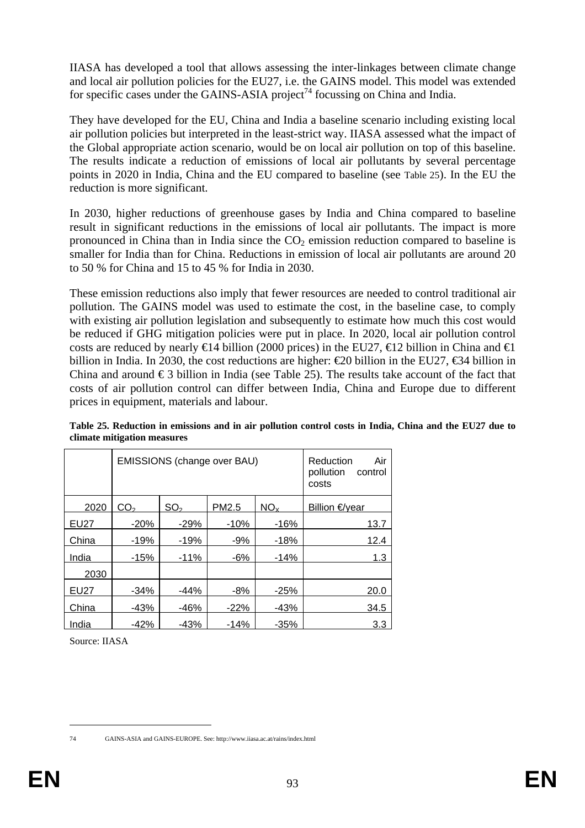IIASA has developed a tool that allows assessing the inter-linkages between climate change and local air pollution policies for the EU27, i.e. the GAINS model. This model was extended for specific cases under the GAINS-ASIA project<sup>74</sup> focussing on China and India.

They have developed for the EU, China and India a baseline scenario including existing local air pollution policies but interpreted in the least-strict way. IIASA assessed what the impact of the Global appropriate action scenario, would be on local air pollution on top of this baseline. The results indicate a reduction of emissions of local air pollutants by several percentage points in 2020 in India, China and the EU compared to baseline (see [Table 25\)](#page-92-0). In the EU the reduction is more significant.

In 2030, higher reductions of greenhouse gases by India and China compared to baseline result in significant reductions in the emissions of local air pollutants. The impact is more pronounced in China than in India since the  $CO<sub>2</sub>$  emission reduction compared to baseline is smaller for India than for China. Reductions in emission of local air pollutants are around 20 to 50 % for China and 15 to 45 % for India in 2030.

These emission reductions also imply that fewer resources are needed to control traditional air pollution. The GAINS model was used to estimate the cost, in the baseline case, to comply with existing air pollution legislation and subsequently to estimate how much this cost would be reduced if GHG mitigation policies were put in place. In 2020, local air pollution control costs are reduced by nearly  $\in$ 14 billion (2000 prices) in the EU27,  $\in$ 12 billion in China and  $\in$ 1 billion in India. In 2030, the cost reductions are higher:  $\epsilon$ 20 billion in the EU27,  $\epsilon$ 34 billion in China and around  $\epsilon$ 3 billion in India (see [Table 25\)](#page-92-0). The results take account of the fact that costs of air pollution control can differ between India, China and Europe due to different prices in equipment, materials and labour.

|             |                 | EMISSIONS (change over BAU) | Reduction<br>Air<br>pollution<br>control<br>costs |                 |                |
|-------------|-----------------|-----------------------------|---------------------------------------------------|-----------------|----------------|
| 2020        | CO <sub>2</sub> | SO <sub>2</sub>             | PM2.5                                             | NO <sub>x</sub> | Billion €/year |
| <b>EU27</b> | $-20%$          | $-29%$                      | $-10%$                                            | $-16%$          | 13.7           |
| China       | $-19%$          | $-19%$                      | $-9%$                                             | $-18%$          | 12.4           |
| India       | $-15%$          | $-11%$                      | $-6%$                                             | $-14%$          | 1.3            |
| 2030        |                 |                             |                                                   |                 |                |
| <b>EU27</b> | $-34%$          | -44%                        | $-8%$                                             | $-25%$          | 20.0           |
| China       | $-43%$          | -46%                        | $-22\%$                                           | -43%            | 34.5           |
| India       | $-42%$          | -43%                        | $-14%$                                            | $-35%$          | 3.3            |

<span id="page-92-0"></span>**Table 25. Reduction in emissions and in air pollution control costs in India, China and the EU27 due to climate mitigation measures** 

Source: IIASA

<sup>1</sup> 

<sup>74</sup> GAINS-ASIA and GAINS-EUROPE. See: http://www.iiasa.ac.at/rains/index.html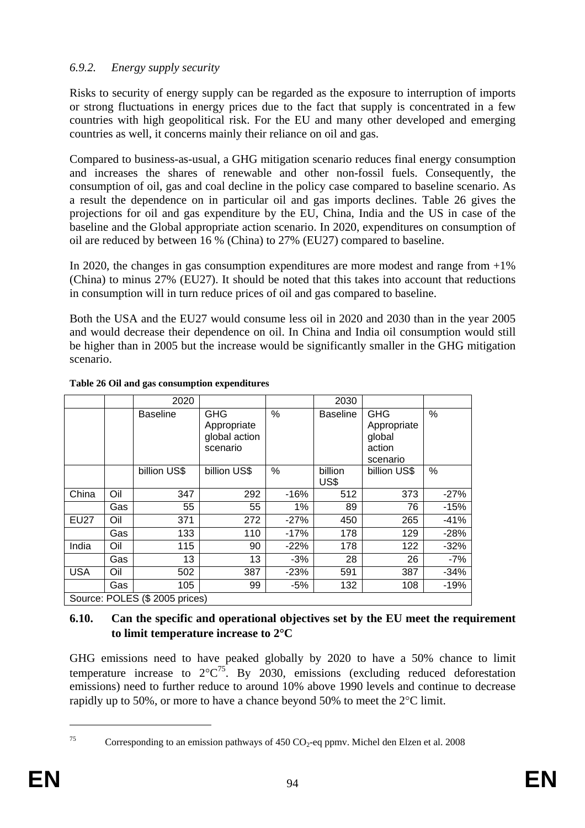# *6.9.2. Energy supply security*

Risks to security of energy supply can be regarded as the exposure to interruption of imports or strong fluctuations in energy prices due to the fact that supply is concentrated in a few countries with high geopolitical risk. For the EU and many other developed and emerging countries as well, it concerns mainly their reliance on oil and gas.

Compared to business-as-usual, a GHG mitigation scenario reduces final energy consumption and increases the shares of renewable and other non-fossil fuels. Consequently, the consumption of oil, gas and coal decline in the policy case compared to baseline scenario. As a result the dependence on in particular oil and gas imports declines. [Table 26](#page-93-0) gives the projections for oil and gas expenditure by the EU, China, India and the US in case of the baseline and the Global appropriate action scenario. In 2020, expenditures on consumption of oil are reduced by between 16 % (China) to 27% (EU27) compared to baseline.

In 2020, the changes in gas consumption expenditures are more modest and range from  $+1\%$ (China) to minus 27% (EU27). It should be noted that this takes into account that reductions in consumption will in turn reduce prices of oil and gas compared to baseline.

Both the USA and the EU27 would consume less oil in 2020 and 2030 than in the year 2005 and would decrease their dependence on oil. In China and India oil consumption would still be higher than in 2005 but the increase would be significantly smaller in the GHG mitigation scenario.

|             |                                | 2020            |                                                        |        | 2030            |                                                           |        |  |  |
|-------------|--------------------------------|-----------------|--------------------------------------------------------|--------|-----------------|-----------------------------------------------------------|--------|--|--|
|             |                                | <b>Baseline</b> | <b>GHG</b><br>Appropriate<br>global action<br>scenario | %      | <b>Baseline</b> | <b>GHG</b><br>Appropriate<br>global<br>action<br>scenario | %      |  |  |
|             |                                | billion US\$    | billion US\$                                           | %      | billion<br>US\$ | billion US\$                                              | %      |  |  |
| China       | Oil                            | 347             | 292                                                    | $-16%$ | 512             | 373                                                       | $-27%$ |  |  |
|             | Gas                            | 55              | 55                                                     | 1%     | 89              | 76                                                        | $-15%$ |  |  |
| <b>EU27</b> | Oil                            | 371             | 272                                                    | $-27%$ | 450             | 265                                                       | $-41%$ |  |  |
|             | Gas                            | 133             | 110                                                    | $-17%$ | 178             | 129                                                       | $-28%$ |  |  |
| India       | Oil                            | 115             | 90                                                     | $-22%$ | 178             | 122                                                       | $-32%$ |  |  |
|             | Gas                            | 13              | 13                                                     | $-3%$  | 28              | 26                                                        | $-7%$  |  |  |
| <b>USA</b>  | Oil                            | 502             | 387                                                    | $-23%$ | 591             | 387                                                       | $-34%$ |  |  |
|             | Gas                            | 105             | 99                                                     | -5%    | 132             | 108                                                       | $-19%$ |  |  |
|             | Source: POLES (\$ 2005 prices) |                 |                                                        |        |                 |                                                           |        |  |  |

#### <span id="page-93-0"></span>**Table 26 Oil and gas consumption expenditures**

### **6.10. Can the specific and operational objectives set by the EU meet the requirement to limit temperature increase to 2**°**C**

GHG emissions need to have peaked globally by 2020 to have a 50% chance to limit temperature increase to  $2^{\circ}C^{75}$ . By 2030, emissions (excluding reduced deforestation emissions) need to further reduce to around 10% above 1990 levels and continue to decrease rapidly up to 50%, or more to have a chance beyond 50% to meet the 2°C limit.

<sup>1</sup> 

<sup>&</sup>lt;sup>75</sup> Corresponding to an emission pathways of 450  $CO_2$ -eq ppmv. Michel den Elzen et al. 2008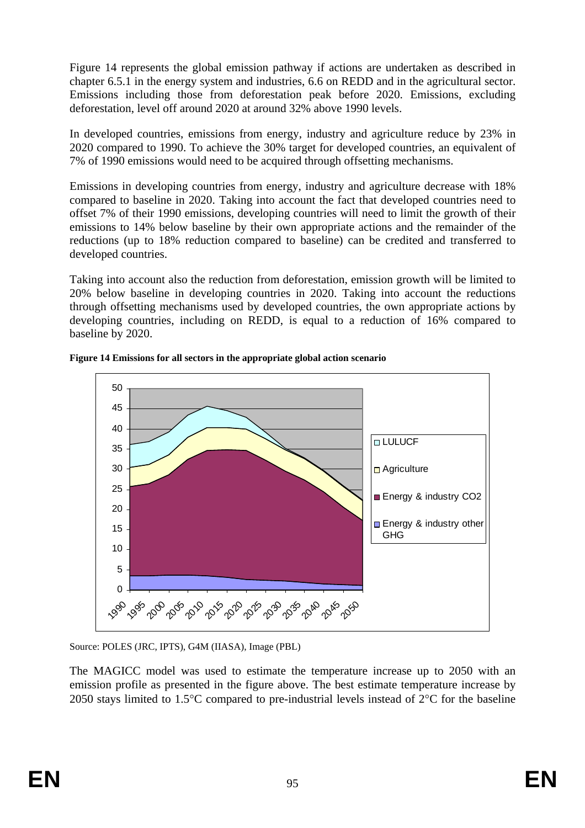[Figure 14](#page-94-0) represents the global emission pathway if actions are undertaken as described in chapte[r 6.5.1](#page-60-0) in the energy system and industries[, 6.6](#page-78-0) on REDD and in the agricultural sector. Emissions including those from deforestation peak before 2020. Emissions, excluding deforestation, level off around 2020 at around 32% above 1990 levels.

In developed countries, emissions from energy, industry and agriculture reduce by 23% in 2020 compared to 1990. To achieve the 30% target for developed countries, an equivalent of 7% of 1990 emissions would need to be acquired through offsetting mechanisms.

Emissions in developing countries from energy, industry and agriculture decrease with 18% compared to baseline in 2020. Taking into account the fact that developed countries need to offset 7% of their 1990 emissions, developing countries will need to limit the growth of their emissions to 14% below baseline by their own appropriate actions and the remainder of the reductions (up to 18% reduction compared to baseline) can be credited and transferred to developed countries.

Taking into account also the reduction from deforestation, emission growth will be limited to 20% below baseline in developing countries in 2020. Taking into account the reductions through offsetting mechanisms used by developed countries, the own appropriate actions by developing countries, including on REDD, is equal to a reduction of 16% compared to baseline by 2020.



<span id="page-94-0"></span>**Figure 14 Emissions for all sectors in the appropriate global action scenario** 

Source: POLES (JRC, IPTS), G4M (IIASA), Image (PBL)

The MAGICC model was used to estimate the temperature increase up to 2050 with an emission profile as presented in the figure above. The best estimate temperature increase by 2050 stays limited to 1.5°C compared to pre-industrial levels instead of 2°C for the baseline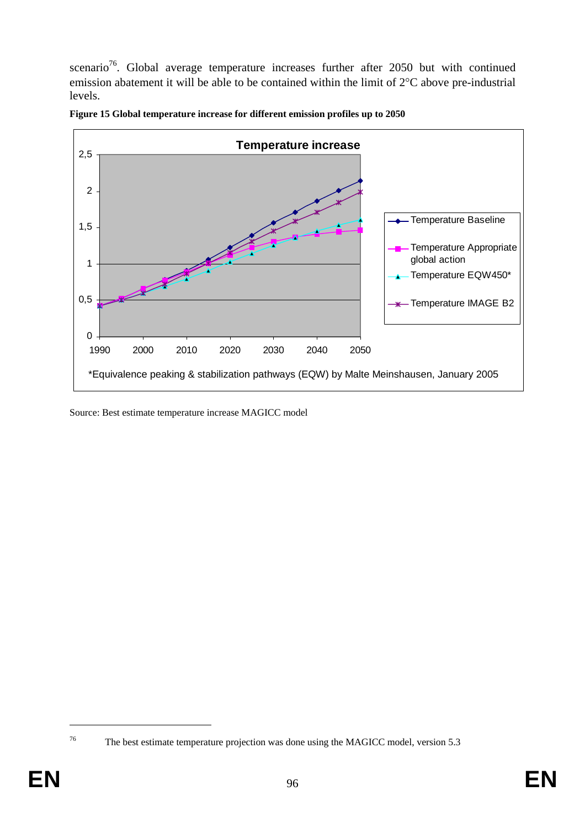scenario<sup>76</sup>. Global average temperature increases further after 2050 but with continued emission abatement it will be able to be contained within the limit of 2°C above pre-industrial levels.





Source: Best estimate temperature increase MAGICC model

<sup>76</sup> The best estimate temperature projection was done using the MAGICC model, version 5.3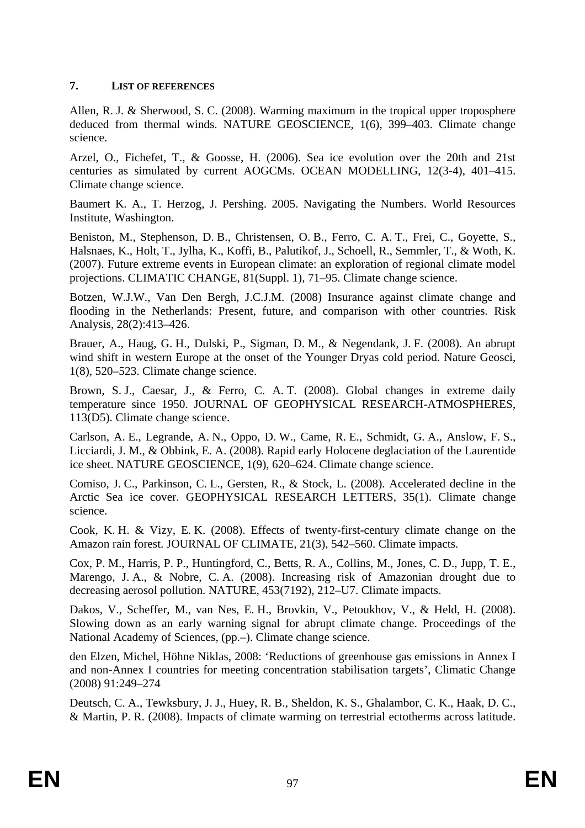### **7. LIST OF REFERENCES**

Allen, R. J. & Sherwood, S. C. (2008). Warming maximum in the tropical upper troposphere deduced from thermal winds. NATURE GEOSCIENCE, 1(6), 399–403. Climate change science.

Arzel, O., Fichefet, T., & Goosse, H. (2006). Sea ice evolution over the 20th and 21st centuries as simulated by current AOGCMs. OCEAN MODELLING, 12(3-4), 401–415. Climate change science.

Baumert K. A., T. Herzog, J. Pershing. 2005. Navigating the Numbers. World Resources Institute, Washington.

Beniston, M., Stephenson, D. B., Christensen, O. B., Ferro, C. A. T., Frei, C., Goyette, S., Halsnaes, K., Holt, T., Jylha, K., Koffi, B., Palutikof, J., Schoell, R., Semmler, T., & Woth, K. (2007). Future extreme events in European climate: an exploration of regional climate model projections. CLIMATIC CHANGE, 81(Suppl. 1), 71–95. Climate change science.

Botzen, W.J.W., Van Den Bergh, J.C.J.M. (2008) Insurance against climate change and flooding in the Netherlands: Present, future, and comparison with other countries. Risk Analysis, 28(2):413–426.

Brauer, A., Haug, G. H., Dulski, P., Sigman, D. M., & Negendank, J. F. (2008). An abrupt wind shift in western Europe at the onset of the Younger Dryas cold period. Nature Geosci, 1(8), 520–523. Climate change science.

Brown, S. J., Caesar, J., & Ferro, C. A. T. (2008). Global changes in extreme daily temperature since 1950. JOURNAL OF GEOPHYSICAL RESEARCH-ATMOSPHERES, 113(D5). Climate change science.

Carlson, A. E., Legrande, A. N., Oppo, D. W., Came, R. E., Schmidt, G. A., Anslow, F. S., Licciardi, J. M., & Obbink, E. A. (2008). Rapid early Holocene deglaciation of the Laurentide ice sheet. NATURE GEOSCIENCE, 1(9), 620–624. Climate change science.

Comiso, J. C., Parkinson, C. L., Gersten, R., & Stock, L. (2008). Accelerated decline in the Arctic Sea ice cover. GEOPHYSICAL RESEARCH LETTERS, 35(1). Climate change science.

Cook, K. H. & Vizy, E. K. (2008). Effects of twenty-first-century climate change on the Amazon rain forest. JOURNAL OF CLIMATE, 21(3), 542–560. Climate impacts.

Cox, P. M., Harris, P. P., Huntingford, C., Betts, R. A., Collins, M., Jones, C. D., Jupp, T. E., Marengo, J. A., & Nobre, C. A. (2008). Increasing risk of Amazonian drought due to decreasing aerosol pollution. NATURE, 453(7192), 212–U7. Climate impacts.

Dakos, V., Scheffer, M., van Nes, E. H., Brovkin, V., Petoukhov, V., & Held, H. (2008). Slowing down as an early warning signal for abrupt climate change. Proceedings of the National Academy of Sciences, (pp.–). Climate change science.

den Elzen, Michel, Höhne Niklas, 2008: 'Reductions of greenhouse gas emissions in Annex I and non-Annex I countries for meeting concentration stabilisation targets', Climatic Change (2008) 91:249–274

Deutsch, C. A., Tewksbury, J. J., Huey, R. B., Sheldon, K. S., Ghalambor, C. K., Haak, D. C., & Martin, P. R. (2008). Impacts of climate warming on terrestrial ectotherms across latitude.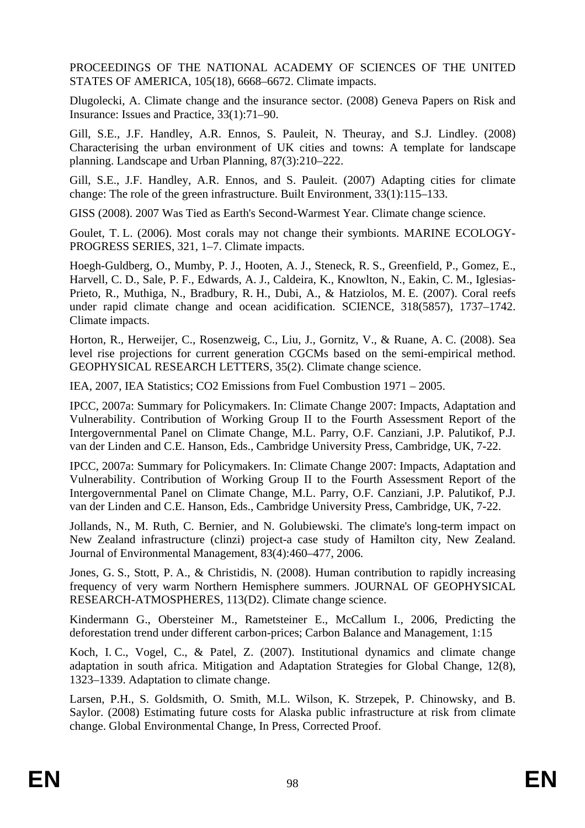PROCEEDINGS OF THE NATIONAL ACADEMY OF SCIENCES OF THE UNITED STATES OF AMERICA, 105(18), 6668–6672. Climate impacts.

Dlugolecki, A. Climate change and the insurance sector. (2008) Geneva Papers on Risk and Insurance: Issues and Practice, 33(1):71–90.

Gill, S.E., J.F. Handley, A.R. Ennos, S. Pauleit, N. Theuray, and S.J. Lindley. (2008) Characterising the urban environment of UK cities and towns: A template for landscape planning. Landscape and Urban Planning, 87(3):210–222.

Gill, S.E., J.F. Handley, A.R. Ennos, and S. Pauleit. (2007) Adapting cities for climate change: The role of the green infrastructure. Built Environment, 33(1):115–133.

GISS (2008). 2007 Was Tied as Earth's Second-Warmest Year. Climate change science.

Goulet, T. L. (2006). Most corals may not change their symbionts. MARINE ECOLOGY-PROGRESS SERIES, 321, 1–7. Climate impacts.

Hoegh-Guldberg, O., Mumby, P. J., Hooten, A. J., Steneck, R. S., Greenfield, P., Gomez, E., Harvell, C. D., Sale, P. F., Edwards, A. J., Caldeira, K., Knowlton, N., Eakin, C. M., Iglesias-Prieto, R., Muthiga, N., Bradbury, R. H., Dubi, A., & Hatziolos, M. E. (2007). Coral reefs under rapid climate change and ocean acidification. SCIENCE, 318(5857), 1737–1742. Climate impacts.

Horton, R., Herweijer, C., Rosenzweig, C., Liu, J., Gornitz, V., & Ruane, A. C. (2008). Sea level rise projections for current generation CGCMs based on the semi-empirical method. GEOPHYSICAL RESEARCH LETTERS, 35(2). Climate change science.

IEA, 2007, IEA Statistics; CO2 Emissions from Fuel Combustion 1971 – 2005.

IPCC, 2007a: Summary for Policymakers. In: Climate Change 2007: Impacts, Adaptation and Vulnerability. Contribution of Working Group II to the Fourth Assessment Report of the Intergovernmental Panel on Climate Change, M.L. Parry, O.F. Canziani, J.P. Palutikof, P.J. van der Linden and C.E. Hanson, Eds., Cambridge University Press, Cambridge, UK, 7-22.

IPCC, 2007a: Summary for Policymakers. In: Climate Change 2007: Impacts, Adaptation and Vulnerability. Contribution of Working Group II to the Fourth Assessment Report of the Intergovernmental Panel on Climate Change, M.L. Parry, O.F. Canziani, J.P. Palutikof, P.J. van der Linden and C.E. Hanson, Eds., Cambridge University Press, Cambridge, UK, 7-22.

Jollands, N., M. Ruth, C. Bernier, and N. Golubiewski. The climate's long-term impact on New Zealand infrastructure (clinzi) project-a case study of Hamilton city, New Zealand. Journal of Environmental Management, 83(4):460–477, 2006.

Jones, G. S., Stott, P. A., & Christidis, N. (2008). Human contribution to rapidly increasing frequency of very warm Northern Hemisphere summers. JOURNAL OF GEOPHYSICAL RESEARCH-ATMOSPHERES, 113(D2). Climate change science.

Kindermann G., Obersteiner M., Rametsteiner E., McCallum I., 2006, Predicting the deforestation trend under different carbon-prices; Carbon Balance and Management, 1:15

Koch, I. C., Vogel, C., & Patel, Z. (2007). Institutional dynamics and climate change adaptation in south africa. Mitigation and Adaptation Strategies for Global Change, 12(8), 1323–1339. Adaptation to climate change.

Larsen, P.H., S. Goldsmith, O. Smith, M.L. Wilson, K. Strzepek, P. Chinowsky, and B. Saylor. (2008) Estimating future costs for Alaska public infrastructure at risk from climate change. Global Environmental Change, In Press, Corrected Proof.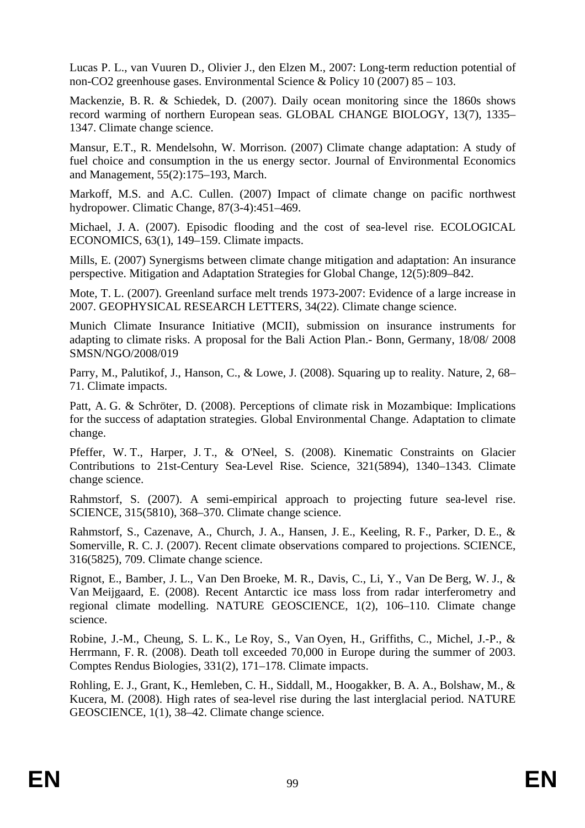Lucas P. L., van Vuuren D., Olivier J., den Elzen M., 2007: Long-term reduction potential of non-CO2 greenhouse gases. Environmental Science & Policy 10 (2007) 85 – 103.

Mackenzie, B. R. & Schiedek, D. (2007). Daily ocean monitoring since the 1860s shows record warming of northern European seas. GLOBAL CHANGE BIOLOGY, 13(7), 1335– 1347. Climate change science.

Mansur, E.T., R. Mendelsohn, W. Morrison. (2007) Climate change adaptation: A study of fuel choice and consumption in the us energy sector. Journal of Environmental Economics and Management, 55(2):175–193, March.

Markoff, M.S. and A.C. Cullen. (2007) Impact of climate change on pacific northwest hydropower. Climatic Change, 87(3-4):451–469.

Michael, J. A. (2007). Episodic flooding and the cost of sea-level rise. ECOLOGICAL ECONOMICS, 63(1), 149–159. Climate impacts.

Mills, E. (2007) Synergisms between climate change mitigation and adaptation: An insurance perspective. Mitigation and Adaptation Strategies for Global Change, 12(5):809–842.

Mote, T. L. (2007). Greenland surface melt trends 1973-2007: Evidence of a large increase in 2007. GEOPHYSICAL RESEARCH LETTERS, 34(22). Climate change science.

Munich Climate Insurance Initiative (MCII), submission on insurance instruments for adapting to climate risks. A proposal for the Bali Action Plan.- Bonn, Germany, 18/08/ 2008 SMSN/NGO/2008/019

Parry, M., Palutikof, J., Hanson, C., & Lowe, J. (2008). Squaring up to reality. Nature, 2, 68– 71. Climate impacts.

Patt, A. G. & Schröter, D. (2008). Perceptions of climate risk in Mozambique: Implications for the success of adaptation strategies. Global Environmental Change. Adaptation to climate change.

Pfeffer, W. T., Harper, J. T., & O'Neel, S. (2008). Kinematic Constraints on Glacier Contributions to 21st-Century Sea-Level Rise. Science, 321(5894), 1340–1343. Climate change science.

Rahmstorf, S. (2007). A semi-empirical approach to projecting future sea-level rise. SCIENCE, 315(5810), 368–370. Climate change science.

Rahmstorf, S., Cazenave, A., Church, J. A., Hansen, J. E., Keeling, R. F., Parker, D. E., & Somerville, R. C. J. (2007). Recent climate observations compared to projections. SCIENCE, 316(5825), 709. Climate change science.

Rignot, E., Bamber, J. L., Van Den Broeke, M. R., Davis, C., Li, Y., Van De Berg, W. J., & Van Meijgaard, E. (2008). Recent Antarctic ice mass loss from radar interferometry and regional climate modelling. NATURE GEOSCIENCE, 1(2), 106–110. Climate change science.

Robine, J.-M., Cheung, S. L. K., Le Roy, S., Van Oyen, H., Griffiths, C., Michel, J.-P., & Herrmann, F. R. (2008). Death toll exceeded 70,000 in Europe during the summer of 2003. Comptes Rendus Biologies, 331(2), 171–178. Climate impacts.

Rohling, E. J., Grant, K., Hemleben, C. H., Siddall, M., Hoogakker, B. A. A., Bolshaw, M., & Kucera, M. (2008). High rates of sea-level rise during the last interglacial period. NATURE GEOSCIENCE, 1(1), 38–42. Climate change science.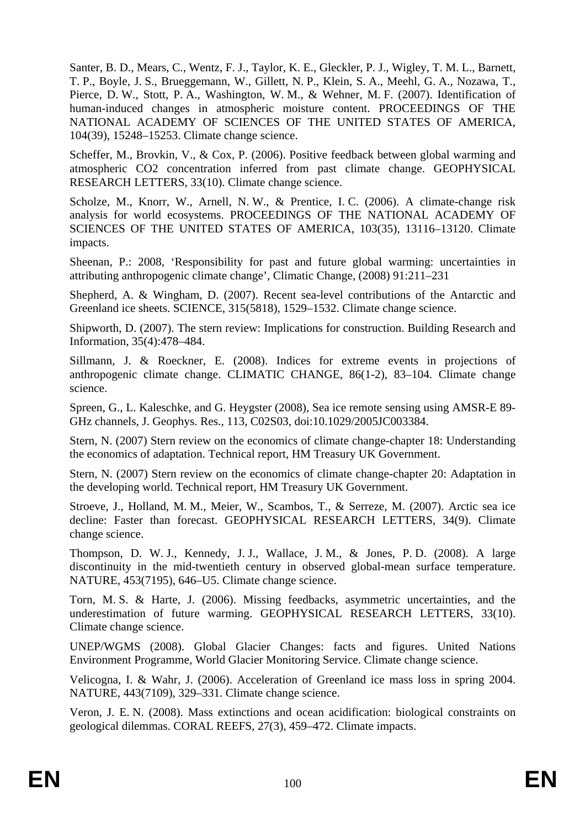Santer, B. D., Mears, C., Wentz, F. J., Taylor, K. E., Gleckler, P. J., Wigley, T. M. L., Barnett, T. P., Boyle, J. S., Brueggemann, W., Gillett, N. P., Klein, S. A., Meehl, G. A., Nozawa, T., Pierce, D. W., Stott, P. A., Washington, W. M., & Wehner, M. F. (2007). Identification of human-induced changes in atmospheric moisture content. PROCEEDINGS OF THE NATIONAL ACADEMY OF SCIENCES OF THE UNITED STATES OF AMERICA, 104(39), 15248–15253. Climate change science.

Scheffer, M., Brovkin, V., & Cox, P. (2006). Positive feedback between global warming and atmospheric CO2 concentration inferred from past climate change. GEOPHYSICAL RESEARCH LETTERS, 33(10). Climate change science.

Scholze, M., Knorr, W., Arnell, N. W., & Prentice, I. C. (2006). A climate-change risk analysis for world ecosystems. PROCEEDINGS OF THE NATIONAL ACADEMY OF SCIENCES OF THE UNITED STATES OF AMERICA, 103(35), 13116–13120. Climate impacts.

Sheenan, P.: 2008, 'Responsibility for past and future global warming: uncertainties in attributing anthropogenic climate change', Climatic Change, (2008) 91:211–231

Shepherd, A. & Wingham, D. (2007). Recent sea-level contributions of the Antarctic and Greenland ice sheets. SCIENCE, 315(5818), 1529–1532. Climate change science.

Shipworth, D. (2007). The stern review: Implications for construction. Building Research and Information, 35(4):478–484.

Sillmann, J. & Roeckner, E. (2008). Indices for extreme events in projections of anthropogenic climate change. CLIMATIC CHANGE, 86(1-2), 83–104. Climate change science.

Spreen, G., L. Kaleschke, and G. Heygster (2008), Sea ice remote sensing using AMSR-E 89- GHz channels, J. Geophys. Res., 113, C02S03, doi:10.1029/2005JC003384.

Stern, N. (2007) Stern review on the economics of climate change-chapter 18: Understanding the economics of adaptation. Technical report, HM Treasury UK Government.

Stern, N. (2007) Stern review on the economics of climate change-chapter 20: Adaptation in the developing world. Technical report, HM Treasury UK Government.

Stroeve, J., Holland, M. M., Meier, W., Scambos, T., & Serreze, M. (2007). Arctic sea ice decline: Faster than forecast. GEOPHYSICAL RESEARCH LETTERS, 34(9). Climate change science.

Thompson, D. W. J., Kennedy, J. J., Wallace, J. M., & Jones, P. D. (2008). A large discontinuity in the mid-twentieth century in observed global-mean surface temperature. NATURE, 453(7195), 646–U5. Climate change science.

Torn, M. S. & Harte, J. (2006). Missing feedbacks, asymmetric uncertainties, and the underestimation of future warming. GEOPHYSICAL RESEARCH LETTERS, 33(10). Climate change science.

UNEP/WGMS (2008). Global Glacier Changes: facts and figures. United Nations Environment Programme, World Glacier Monitoring Service. Climate change science.

Velicogna, I. & Wahr, J. (2006). Acceleration of Greenland ice mass loss in spring 2004. NATURE, 443(7109), 329–331. Climate change science.

Veron, J. E. N. (2008). Mass extinctions and ocean acidification: biological constraints on geological dilemmas. CORAL REEFS, 27(3), 459–472. Climate impacts.